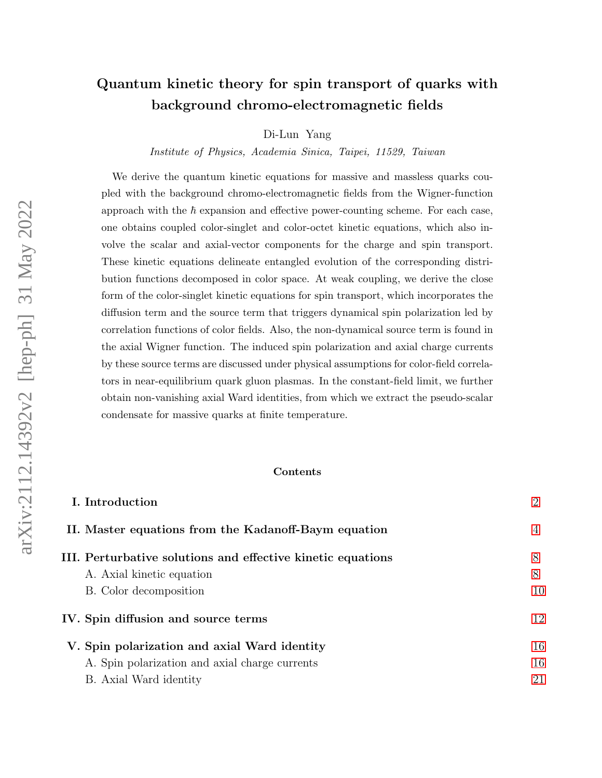# Quantum kinetic theory for spin transport of quarks with background chromo-electromagnetic fields

Di-Lun Yang

Institute of Physics, Academia Sinica, Taipei, 11529, Taiwan

We derive the quantum kinetic equations for massive and massless quarks coupled with the background chromo-electromagnetic fields from the Wigner-function approach with the  $\hbar$  expansion and effective power-counting scheme. For each case, one obtains coupled color-singlet and color-octet kinetic equations, which also involve the scalar and axial-vector components for the charge and spin transport. These kinetic equations delineate entangled evolution of the corresponding distribution functions decomposed in color space. At weak coupling, we derive the close form of the color-singlet kinetic equations for spin transport, which incorporates the diffusion term and the source term that triggers dynamical spin polarization led by correlation functions of color fields. Also, the non-dynamical source term is found in the axial Wigner function. The induced spin polarization and axial charge currents by these source terms are discussed under physical assumptions for color-field correlators in near-equilibrium quark gluon plasmas. In the constant-field limit, we further obtain non-vanishing axial Ward identities, from which we extract the pseudo-scalar condensate for massive quarks at finite temperature.

#### Contents

| I. Introduction                                             | $\overline{2}$ |
|-------------------------------------------------------------|----------------|
| II. Master equations from the Kadanoff-Baym equation        | 4              |
| III. Perturbative solutions and effective kinetic equations | 8              |
| A. Axial kinetic equation                                   | 8              |
| B. Color decomposition                                      | 10             |
| IV. Spin diffusion and source terms                         | 12             |
| V. Spin polarization and axial Ward identity                | 16             |
| A. Spin polarization and axial charge currents              | 16             |
| B. Axial Ward identity                                      | 21             |
|                                                             |                |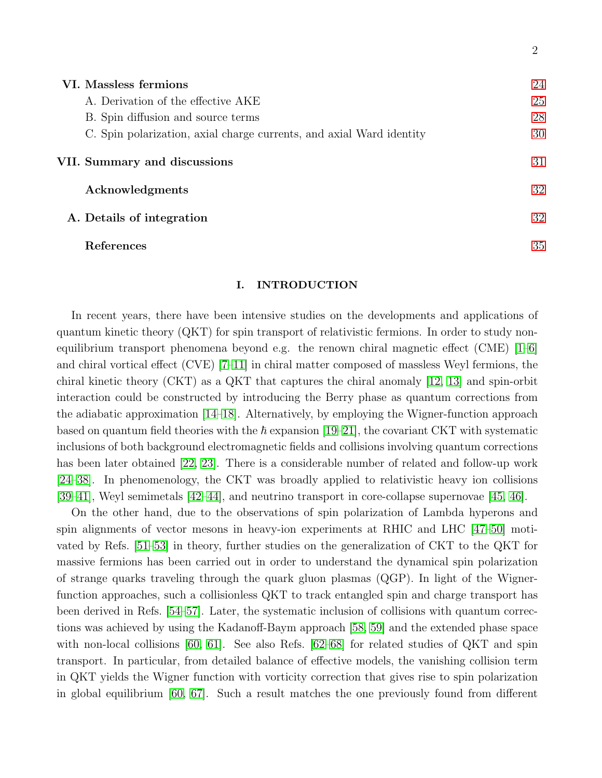| VI. Massless fermions                                                | 24 |
|----------------------------------------------------------------------|----|
| A. Derivation of the effective AKE                                   | 25 |
| B. Spin diffusion and source terms                                   | 28 |
| C. Spin polarization, axial charge currents, and axial Ward identity | 30 |
| VII. Summary and discussions                                         | 31 |
| Acknowledgments                                                      | 32 |
| A. Details of integration                                            | 32 |
| References                                                           | 35 |

2

## <span id="page-1-0"></span>I. INTRODUCTION

In recent years, there have been intensive studies on the developments and applications of quantum kinetic theory (QKT) for spin transport of relativistic fermions. In order to study nonequilibrium transport phenomena beyond e.g. the renown chiral magnetic effect (CME)  $[1-6]$  $[1-6]$ and chiral vortical effect (CVE) [\[7](#page-35-1)[–11\]](#page-35-2) in chiral matter composed of massless Weyl fermions, the chiral kinetic theory (CKT) as a QKT that captures the chiral anomaly [\[12,](#page-35-3) [13\]](#page-35-4) and spin-orbit interaction could be constructed by introducing the Berry phase as quantum corrections from the adiabatic approximation [\[14](#page-35-5)[–18\]](#page-35-6). Alternatively, by employing the Wigner-function approach based on quantum field theories with the  $\hbar$  expansion [\[19–](#page-35-7)[21\]](#page-35-8), the covariant CKT with systematic inclusions of both background electromagnetic fields and collisions involving quantum corrections has been later obtained [\[22,](#page-35-9) [23\]](#page-35-10). There is a considerable number of related and follow-up work [\[24–](#page-35-11)[38\]](#page-36-0). In phenomenology, the CKT was broadly applied to relativistic heavy ion collisions [\[39–](#page-36-1)[41\]](#page-36-2), Weyl semimetals [\[42–](#page-36-3)[44\]](#page-36-4), and neutrino transport in core-collapse supernovae [\[45,](#page-36-5) [46\]](#page-36-6).

On the other hand, due to the observations of spin polarization of Lambda hyperons and spin alignments of vector mesons in heavy-ion experiments at RHIC and LHC [\[47–](#page-36-7)[50\]](#page-36-8) motivated by Refs. [\[51–](#page-36-9)[53\]](#page-36-10) in theory, further studies on the generalization of CKT to the QKT for massive fermions has been carried out in order to understand the dynamical spin polarization of strange quarks traveling through the quark gluon plasmas (QGP). In light of the Wignerfunction approaches, such a collisionless QKT to track entangled spin and charge transport has been derived in Refs. [\[54–](#page-36-11)[57\]](#page-36-12). Later, the systematic inclusion of collisions with quantum corrections was achieved by using the Kadanoff-Baym approach [\[58,](#page-36-13) [59\]](#page-36-14) and the extended phase space with non-local collisions [\[60,](#page-36-15) [61\]](#page-36-16). See also Refs. [\[62](#page-36-17)[–68\]](#page-37-0) for related studies of QKT and spin transport. In particular, from detailed balance of effective models, the vanishing collision term in QKT yields the Wigner function with vorticity correction that gives rise to spin polarization in global equilibrium [\[60,](#page-36-15) [67\]](#page-37-1). Such a result matches the one previously found from different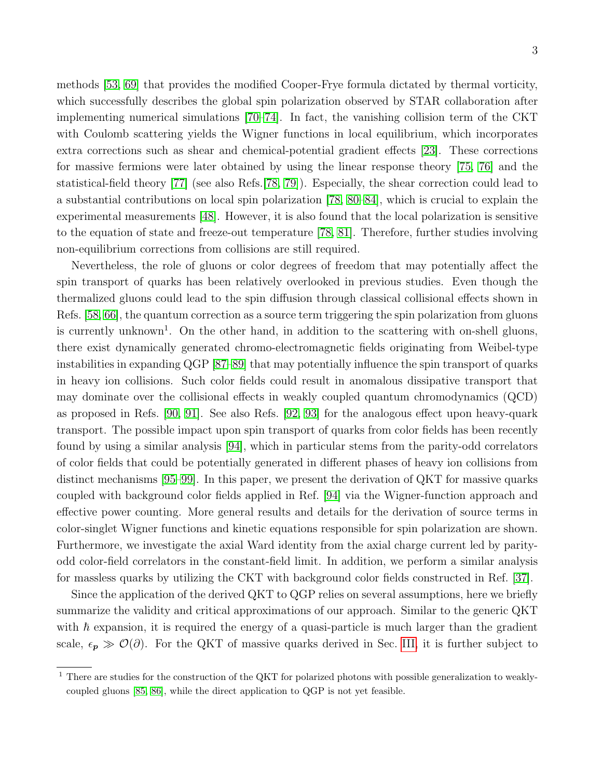methods [\[53,](#page-36-10) [69\]](#page-37-2) that provides the modified Cooper-Frye formula dictated by thermal vorticity, which successfully describes the global spin polarization observed by STAR collaboration after implementing numerical simulations [\[70](#page-37-3)[–74\]](#page-37-4). In fact, the vanishing collision term of the CKT with Coulomb scattering yields the Wigner functions in local equilibrium, which incorporates extra corrections such as shear and chemical-potential gradient effects [\[23\]](#page-35-10). These corrections for massive fermions were later obtained by using the linear response theory [\[75,](#page-37-5) [76\]](#page-37-6) and the statistical-field theory [\[77\]](#page-37-7) (see also Refs.[\[78,](#page-37-8) [79\]](#page-37-9)). Especially, the shear correction could lead to a substantial contributions on local spin polarization [\[78,](#page-37-8) [80–](#page-37-10)[84\]](#page-37-11), which is crucial to explain the experimental measurements [\[48\]](#page-36-18). However, it is also found that the local polarization is sensitive to the equation of state and freeze-out temperature [\[78,](#page-37-8) [81\]](#page-37-12). Therefore, further studies involving non-equilibrium corrections from collisions are still required.

Nevertheless, the role of gluons or color degrees of freedom that may potentially affect the spin transport of quarks has been relatively overlooked in previous studies. Even though the thermalized gluons could lead to the spin diffusion through classical collisional effects shown in Refs. [\[58,](#page-36-13) [66\]](#page-37-13), the quantum correction as a source term triggering the spin polarization from gluons is currently unknown<sup>1</sup>. On the other hand, in addition to the scattering with on-shell gluons, there exist dynamically generated chromo-electromagnetic fields originating from Weibel-type instabilities in expanding QGP [\[87–](#page-37-14)[89\]](#page-37-15) that may potentially influence the spin transport of quarks in heavy ion collisions. Such color fields could result in anomalous dissipative transport that may dominate over the collisional effects in weakly coupled quantum chromodynamics (QCD) as proposed in Refs. [\[90,](#page-37-16) [91\]](#page-37-17). See also Refs. [\[92,](#page-37-18) [93\]](#page-37-19) for the analogous effect upon heavy-quark transport. The possible impact upon spin transport of quarks from color fields has been recently found by using a similar analysis [\[94\]](#page-37-20), which in particular stems from the parity-odd correlators of color fields that could be potentially generated in different phases of heavy ion collisions from distinct mechanisms [\[95–](#page-37-21)[99\]](#page-38-0). In this paper, we present the derivation of QKT for massive quarks coupled with background color fields applied in Ref. [\[94\]](#page-37-20) via the Wigner-function approach and effective power counting. More general results and details for the derivation of source terms in color-singlet Wigner functions and kinetic equations responsible for spin polarization are shown. Furthermore, we investigate the axial Ward identity from the axial charge current led by parityodd color-field correlators in the constant-field limit. In addition, we perform a similar analysis for massless quarks by utilizing the CKT with background color fields constructed in Ref. [\[37\]](#page-36-19).

Since the application of the derived QKT to QGP relies on several assumptions, here we briefly summarize the validity and critical approximations of our approach. Similar to the generic QKT with  $\hbar$  expansion, it is required the energy of a quasi-particle is much larger than the gradient scale,  $\epsilon_p \gg \mathcal{O}(\partial)$ . For the QKT of massive quarks derived in Sec. [III,](#page-7-0) it is further subject to

<sup>1</sup> There are studies for the construction of the QKT for polarized photons with possible generalization to weaklycoupled gluons [\[85,](#page-37-22) [86\]](#page-37-23), while the direct application to QGP is not yet feasible.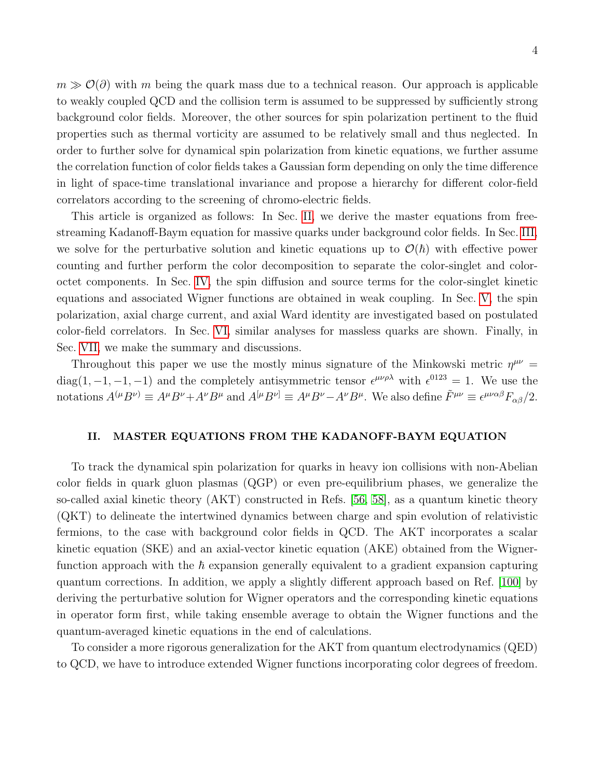$m \gg O(\partial)$  with m being the quark mass due to a technical reason. Our approach is applicable to weakly coupled QCD and the collision term is assumed to be suppressed by sufficiently strong background color fields. Moreover, the other sources for spin polarization pertinent to the fluid properties such as thermal vorticity are assumed to be relatively small and thus neglected. In order to further solve for dynamical spin polarization from kinetic equations, we further assume the correlation function of color fields takes a Gaussian form depending on only the time difference in light of space-time translational invariance and propose a hierarchy for different color-field correlators according to the screening of chromo-electric fields.

This article is organized as follows: In Sec. [II,](#page-3-0) we derive the master equations from freestreaming Kadanoff-Baym equation for massive quarks under background color fields. In Sec. [III,](#page-7-0) we solve for the perturbative solution and kinetic equations up to  $\mathcal{O}(\hbar)$  with effective power counting and further perform the color decomposition to separate the color-singlet and coloroctet components. In Sec. [IV,](#page-11-0) the spin diffusion and source terms for the color-singlet kinetic equations and associated Wigner functions are obtained in weak coupling. In Sec. [V,](#page-15-0) the spin polarization, axial charge current, and axial Ward identity are investigated based on postulated color-field correlators. In Sec. [VI,](#page-23-0) similar analyses for massless quarks are shown. Finally, in Sec. [VII,](#page-30-0) we make the summary and discussions.

Throughout this paper we use the mostly minus signature of the Minkowski metric  $\eta^{\mu\nu}$  =  $diag(1, -1, -1, -1)$  and the completely antisymmetric tensor  $\epsilon^{\mu\nu\rho\lambda}$  with  $\epsilon^{0123} = 1$ . We use the notations  $A^{(\mu}B^{\nu)} \equiv A^{\mu}B^{\nu} + A^{\nu}B^{\mu}$  and  $A^{[\mu}B^{\nu]} \equiv A^{\mu}B^{\nu} - A^{\nu}B^{\mu}$ . We also define  $\tilde{F}^{\mu\nu} \equiv \epsilon^{\mu\nu\alpha\beta}F_{\alpha\beta}/2$ .

#### <span id="page-3-0"></span>II. MASTER EQUATIONS FROM THE KADANOFF-BAYM EQUATION

To track the dynamical spin polarization for quarks in heavy ion collisions with non-Abelian color fields in quark gluon plasmas (QGP) or even pre-equilibrium phases, we generalize the so-called axial kinetic theory (AKT) constructed in Refs. [\[56,](#page-36-20) [58\]](#page-36-13), as a quantum kinetic theory (QKT) to delineate the intertwined dynamics between charge and spin evolution of relativistic fermions, to the case with background color fields in QCD. The AKT incorporates a scalar kinetic equation (SKE) and an axial-vector kinetic equation (AKE) obtained from the Wignerfunction approach with the  $\hbar$  expansion generally equivalent to a gradient expansion capturing quantum corrections. In addition, we apply a slightly different approach based on Ref. [\[100\]](#page-38-1) by deriving the perturbative solution for Wigner operators and the corresponding kinetic equations in operator form first, while taking ensemble average to obtain the Wigner functions and the quantum-averaged kinetic equations in the end of calculations.

To consider a more rigorous generalization for the AKT from quantum electrodynamics (QED) to QCD, we have to introduce extended Wigner functions incorporating color degrees of freedom.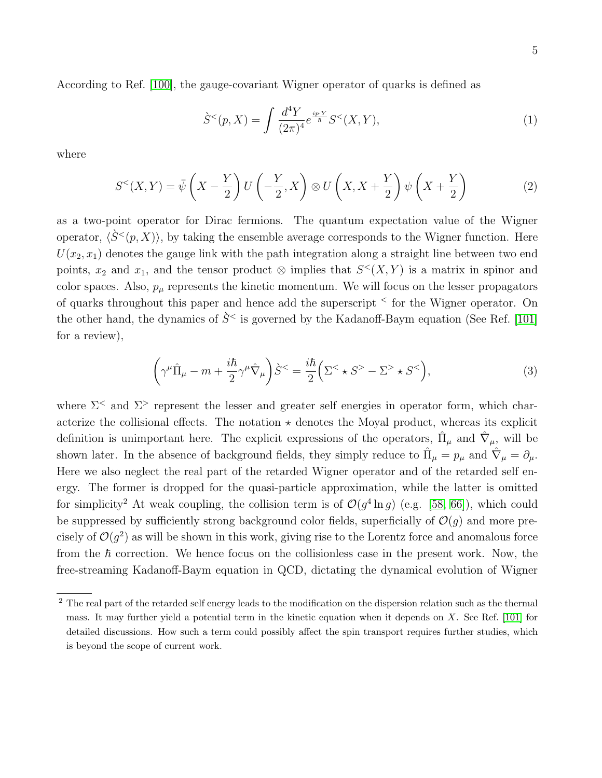According to Ref. [\[100\]](#page-38-1), the gauge-covariant Wigner operator of quarks is defined as

$$
\dot{S}^{<}(p, X) = \int \frac{d^4 Y}{(2\pi)^4} e^{\frac{ip \cdot Y}{\hbar}} S^{<}(X, Y), \tag{1}
$$

where

$$
S^{<}(X,Y) = \bar{\psi}\left(X - \frac{Y}{2}\right)U\left(-\frac{Y}{2},X\right) \otimes U\left(X,X + \frac{Y}{2}\right)\psi\left(X + \frac{Y}{2}\right) \tag{2}
$$

as a two-point operator for Dirac fermions. The quantum expectation value of the Wigner operator,  $\langle \hat{S}^{\leq}(p, X) \rangle$ , by taking the ensemble average corresponds to the Wigner function. Here  $U(x_2, x_1)$  denotes the gauge link with the path integration along a straight line between two end points,  $x_2$  and  $x_1$ , and the tensor product  $\otimes$  implies that  $S<sup>lt</sup>(X, Y)$  is a matrix in spinor and color spaces. Also,  $p_{\mu}$  represents the kinetic momentum. We will focus on the lesser propagators of quarks throughout this paper and hence add the superscript <sup>&</sup>lt; for the Wigner operator. On the other hand, the dynamics of  $\hat{S}^{\le}$  is governed by the Kadanoff-Baym equation (See Ref. [\[101\]](#page-38-2) for a review),

$$
\left(\gamma^{\mu}\hat{\Pi}_{\mu} - m + \frac{i\hbar}{2}\gamma^{\mu}\hat{\nabla}_{\mu}\right)\hat{S}^{<} = \frac{i\hbar}{2}\left(\Sigma^{<}\star S^{>} - \Sigma^{>}\star S^{<}\right),\tag{3}
$$

where  $\Sigma^{\le}$  and  $\Sigma^{\ge}$  represent the lesser and greater self energies in operator form, which characterize the collisional effects. The notation  $\star$  denotes the Moyal product, whereas its explicit definition is unimportant here. The explicit expressions of the operators,  $\hat{\Pi}_{\mu}$  and  $\hat{\nabla}_{\mu}$ , will be shown later. In the absence of background fields, they simply reduce to  $\hat{\Pi}_{\mu} = p_{\mu}$  and  $\hat{\nabla}_{\mu} = \partial_{\mu}$ . Here we also neglect the real part of the retarded Wigner operator and of the retarded self energy. The former is dropped for the quasi-particle approximation, while the latter is omitted for simplicity<sup>2</sup> At weak coupling, the collision term is of  $\mathcal{O}(g^4 \ln g)$  (e.g. [\[58,](#page-36-13) [66\]](#page-37-13)), which could be suppressed by sufficiently strong background color fields, superficially of  $\mathcal{O}(q)$  and more precisely of  $\mathcal{O}(g^2)$  as will be shown in this work, giving rise to the Lorentz force and anomalous force from the  $\hbar$  correction. We hence focus on the collisionless case in the present work. Now, the free-streaming Kadanoff-Baym equation in QCD, dictating the dynamical evolution of Wigner

<sup>&</sup>lt;sup>2</sup> The real part of the retarded self energy leads to the modification on the dispersion relation such as the thermal mass. It may further yield a potential term in the kinetic equation when it depends on  $X$ . See Ref. [\[101\]](#page-38-2) for detailed discussions. How such a term could possibly affect the spin transport requires further studies, which is beyond the scope of current work.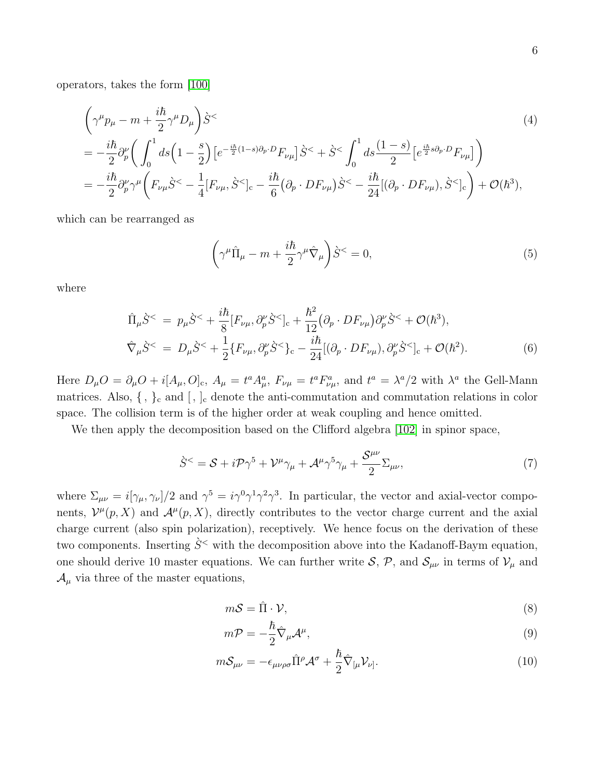operators, takes the form [\[100\]](#page-38-1)

$$
\left(\gamma^{\mu}p_{\mu}-m+\frac{i\hbar}{2}\gamma^{\mu}D_{\mu}\right)\dot{S}^{<}\n= -\frac{i\hbar}{2}\partial_{p}^{\nu}\left(\int_{0}^{1}ds\left(1-\frac{s}{2}\right)\left[e^{-\frac{i\hbar}{2}(1-s)\partial_{p}\cdot D}F_{\nu\mu}\right]\dot{S}^{<}+\dot{S}^{<}\int_{0}^{1}ds\frac{(1-s)}{2}\left[e^{\frac{i\hbar}{2}s\partial_{p}\cdot D}F_{\nu\mu}\right]\right)\n= -\frac{i\hbar}{2}\partial_{p}^{\nu}\gamma^{\mu}\left(F_{\nu\mu}\dot{S}^{<}-\frac{1}{4}\left[F_{\nu\mu},\dot{S}^{<}\right]_{c}-\frac{i\hbar}{6}\left(\partial_{p}\cdot DF_{\nu\mu}\right)\dot{S}^{<}-\frac{i\hbar}{24}\left[(\partial_{p}\cdot DF_{\nu\mu}),\dot{S}^{<}\right]_{c}\right)+\mathcal{O}(\hbar^{3}),
$$
\n(4)

which can be rearranged as

$$
\left(\gamma^{\mu}\hat{\Pi}_{\mu} - m + \frac{i\hbar}{2}\gamma^{\mu}\hat{\nabla}_{\mu}\right)\hat{S}^{<} = 0,
$$
\n(5)

where

$$
\hat{\Pi}_{\mu}\dot{S}^{<} = p_{\mu}\dot{S}^{<} + \frac{i\hbar}{8} [F_{\nu\mu}, \partial_{p}^{\nu}\dot{S}^{<}]_{c} + \frac{\hbar^{2}}{12} (\partial_{p} \cdot DF_{\nu\mu}) \partial_{p}^{\nu}\dot{S}^{<} + \mathcal{O}(\hbar^{3}),
$$
\n
$$
\hat{\nabla}_{\mu}\dot{S}^{<} = D_{\mu}\dot{S}^{<} + \frac{1}{2} \{F_{\nu\mu}, \partial_{p}^{\nu}\dot{S}^{<}\}_{c} - \frac{i\hbar}{24} [(\partial_{p} \cdot DF_{\nu\mu}), \partial_{p}^{\nu}\dot{S}^{<}]_{c} + \mathcal{O}(\hbar^{2}).
$$
\n(6)

Here  $D_{\mu}O = \partial_{\mu}O + i[A_{\mu}, O]_{c}$ ,  $A_{\mu} = t^{a}A_{\mu}^{a}$ ,  $F_{\nu\mu} = t^{a}F_{\nu\mu}^{a}$ , and  $t^{a} = \lambda^{a}/2$  with  $\lambda^{a}$  the Gell-Mann matrices. Also,  $\{\, ,\, \}_c$  and  $\,[\, ,\, ]_c$  denote the anti-commutation and commutation relations in color space. The collision term is of the higher order at weak coupling and hence omitted.

We then apply the decomposition based on the Clifford algebra [\[102\]](#page-38-3) in spinor space,

$$
\dot{S}^{<} = S + i\mathcal{P}\gamma^{5} + \mathcal{V}^{\mu}\gamma_{\mu} + \mathcal{A}^{\mu}\gamma^{5}\gamma_{\mu} + \frac{\mathcal{S}^{\mu\nu}}{2} \Sigma_{\mu\nu},\tag{7}
$$

where  $\Sigma_{\mu\nu} = i[\gamma_\mu, \gamma_\nu]/2$  and  $\gamma^5 = i\gamma^0 \gamma^1 \gamma^2 \gamma^3$ . In particular, the vector and axial-vector components,  $\mathcal{V}^{\mu}(p,X)$  and  $\mathcal{A}^{\mu}(p,X)$ , directly contributes to the vector charge current and the axial charge current (also spin polarization), receptively. We hence focus on the derivation of these two components. Inserting  $\hat{S}^{\lt}$  with the decomposition above into the Kadanoff-Baym equation, one should derive 10 master equations. We can further write  $S$ ,  $P$ , and  $S_{\mu\nu}$  in terms of  $V_{\mu}$  and  $\mathcal{A}_{\mu}$  via three of the master equations,

$$
m\mathcal{S} = \hat{\Pi} \cdot \mathcal{V},\tag{8}
$$

$$
m\mathcal{P} = -\frac{\hbar}{2}\hat{\nabla}_{\mu}\mathcal{A}^{\mu},\tag{9}
$$

$$
m\mathcal{S}_{\mu\nu} = -\epsilon_{\mu\nu\rho\sigma} \hat{\Pi}^{\rho} \mathcal{A}^{\sigma} + \frac{\hbar}{2} \hat{\nabla}_{[\mu} \mathcal{V}_{\nu]}.
$$
\n(10)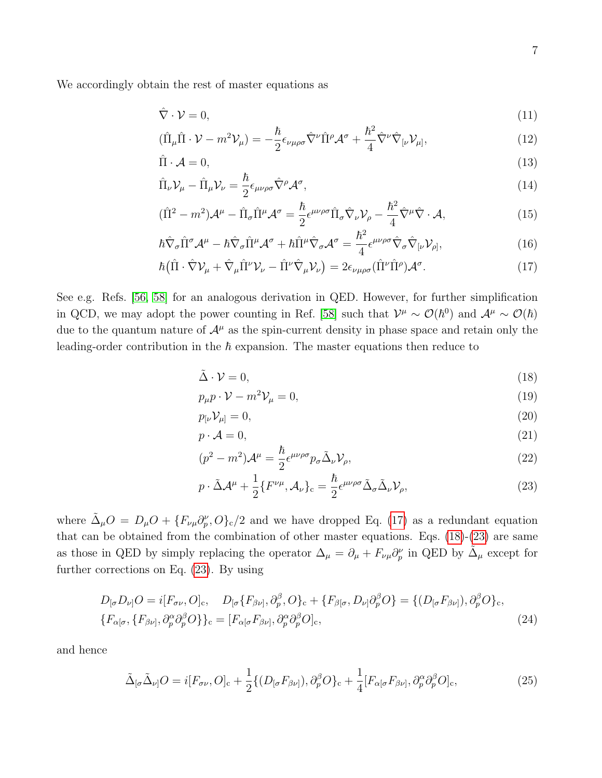We accordingly obtain the rest of master equations as

<span id="page-6-0"></span>
$$
\hat{\nabla} \cdot \mathcal{V} = 0,\tag{11}
$$

$$
(\hat{\Pi}_{\mu}\hat{\Pi}\cdot\mathcal{V}-m^2\mathcal{V}_{\mu})=-\frac{\hbar}{2}\epsilon_{\nu\mu\rho\sigma}\hat{\nabla}^{\nu}\hat{\Pi}^{\rho}\mathcal{A}^{\sigma}+\frac{\hbar^2}{4}\hat{\nabla}^{\nu}\hat{\nabla}_{\left[\nu\right.}\mathcal{V}_{\mu]},\tag{12}
$$

$$
\hat{\Pi} \cdot \mathcal{A} = 0,\tag{13}
$$

$$
\hat{\Pi}_{\nu} \mathcal{V}_{\mu} - \hat{\Pi}_{\mu} \mathcal{V}_{\nu} = \frac{\hbar}{2} \epsilon_{\mu\nu\rho\sigma} \hat{\nabla}^{\rho} \mathcal{A}^{\sigma},\tag{14}
$$

$$
(\hat{\Pi}^2 - m^2)\mathcal{A}^{\mu} - \hat{\Pi}_{\sigma}\hat{\Pi}^{\mu}\mathcal{A}^{\sigma} = \frac{\hbar}{2}\epsilon^{\mu\nu\rho\sigma}\hat{\Pi}_{\sigma}\hat{\nabla}_{\nu}\mathcal{V}_{\rho} - \frac{\hbar^2}{4}\hat{\nabla}^{\mu}\hat{\nabla}\cdot\mathcal{A},\tag{15}
$$

$$
\hbar \hat{\nabla}_{\sigma} \hat{\Pi}^{\sigma} \mathcal{A}^{\mu} - \hbar \hat{\nabla}_{\sigma} \hat{\Pi}^{\mu} \mathcal{A}^{\sigma} + \hbar \hat{\Pi}^{\mu} \hat{\nabla}_{\sigma} \mathcal{A}^{\sigma} = \frac{\hbar^2}{4} \epsilon^{\mu \nu \rho \sigma} \hat{\nabla}_{\sigma} \hat{\nabla}_{[\nu} \mathcal{V}_{\rho]}, \tag{16}
$$

$$
\hbar \left( \hat{\Pi} \cdot \hat{\nabla} \mathcal{V}_{\mu} + \hat{\nabla}_{\mu} \hat{\Pi}^{\nu} \mathcal{V}_{\nu} - \hat{\Pi}^{\nu} \hat{\nabla}_{\mu} \mathcal{V}_{\nu} \right) = 2 \epsilon_{\nu \mu \rho \sigma} (\hat{\Pi}^{\nu} \hat{\Pi}^{\rho}) \mathcal{A}^{\sigma}.
$$
 (17)

See e.g. Refs. [\[56,](#page-36-20) [58\]](#page-36-13) for an analogous derivation in QED. However, for further simplification in QCD, we may adopt the power counting in Ref. [\[58\]](#page-36-13) such that  $\mathcal{V}^{\mu} \sim \mathcal{O}(\hbar^0)$  and  $\mathcal{A}^{\mu} \sim \mathcal{O}(\hbar)$ due to the quantum nature of  $\mathcal{A}^{\mu}$  as the spin-current density in phase space and retain only the leading-order contribution in the  $\hbar$  expansion. The master equations then reduce to

<span id="page-6-1"></span>
$$
\tilde{\Delta} \cdot \mathcal{V} = 0,\tag{18}
$$

$$
p_{\mu}p \cdot \mathcal{V} - m^2 \mathcal{V}_{\mu} = 0,\tag{19}
$$

$$
p_{\left[\nu\right.}\mathcal{V}_{\mu]}=0,\tag{20}
$$

$$
p \cdot \mathcal{A} = 0,\tag{21}
$$

$$
(p^2 - m^2)\mathcal{A}^{\mu} = \frac{\hbar}{2} \epsilon^{\mu\nu\rho\sigma} p_{\sigma} \tilde{\Delta}_{\nu} \mathcal{V}_{\rho}, \qquad (22)
$$

$$
p \cdot \tilde{\Delta} \mathcal{A}^{\mu} + \frac{1}{2} \{ F^{\nu \mu}, \mathcal{A}_{\nu} \}_{c} = \frac{\hbar}{2} \epsilon^{\mu \nu \rho \sigma} \tilde{\Delta}_{\sigma} \tilde{\Delta}_{\nu} \mathcal{V}_{\rho}, \tag{23}
$$

where  $\tilde{\Delta}_{\mu}O = D_{\mu}O + \{F_{\nu\mu}\partial_{p}^{\nu},O\}_{c}/2$  and we have dropped Eq. [\(17\)](#page-6-0) as a redundant equation that can be obtained from the combination of other master equations. Eqs. [\(18\)](#page-6-1)-[\(23\)](#page-6-1) are same as those in QED by simply replacing the operator  $\Delta_{\mu} = \partial_{\mu} + F_{\nu\mu}\partial_{p}^{\nu}$  in QED by  $\tilde{\Delta}_{\mu}$  except for further corrections on Eq. [\(23\)](#page-6-1). By using

$$
D_{\lbrack\sigma}D_{\nu\rbrack}O = i[F_{\sigma\nu},O]_{c}, \quad D_{\lbrack\sigma}\{F_{\beta\nu\rbrack},\partial_{p}^{\beta},O\}_{c} + \{F_{\beta\lbrack\sigma},D_{\nu\rbrack}\partial_{p}^{\beta}O\} = \{(D_{\lbrack\sigma}F_{\beta\nu\rbrack}),\partial_{p}^{\beta}O\}_{c},{F_{\alpha\lbrack\sigma},\{F_{\beta\nu\rbrack},\partial_{p}^{\alpha}\partial_{p}^{\beta}O\}}_{c} = [F_{\alpha\lbrack\sigma}F_{\beta\nu\rbrack},\partial_{p}^{\alpha}\partial_{p}^{\beta}O]_{c},
$$
\n(24)

and hence

$$
\tilde{\Delta}_{\left[\sigma}\tilde{\Delta}_{\nu\right]}O = i[F_{\sigma\nu},O]_{c} + \frac{1}{2}\{(D_{\left[\sigma}F_{\beta\nu\right]}),\partial_{p}^{\beta}O\}_{c} + \frac{1}{4}[F_{\alpha\left[\sigma}F_{\beta\nu\right]},\partial_{p}^{\alpha}\partial_{p}^{\beta}O]_{c},\tag{25}
$$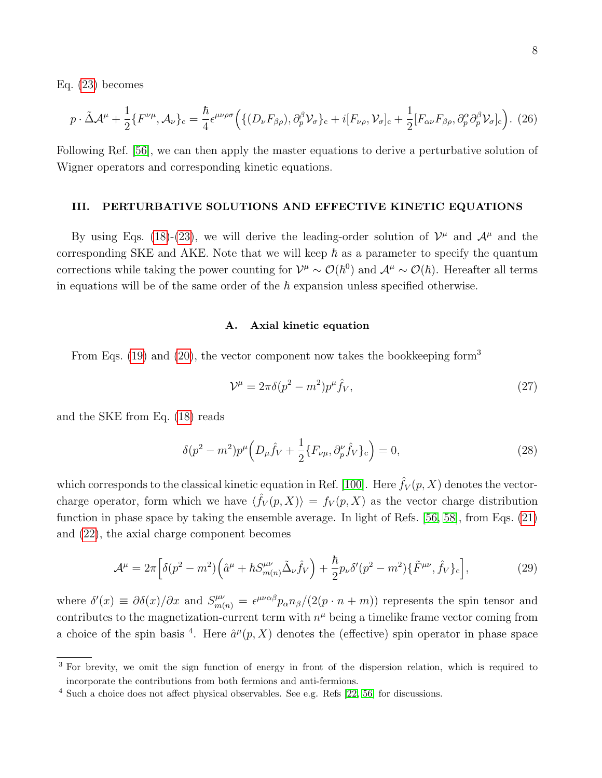Eq. [\(23\)](#page-6-1) becomes

<span id="page-7-3"></span>
$$
p \cdot \tilde{\Delta} \mathcal{A}^{\mu} + \frac{1}{2} \{ F^{\nu \mu}, \mathcal{A}_{\nu} \}_{c} = \frac{\hbar}{4} \epsilon^{\mu \nu \rho \sigma} \Big( \{ (D_{\nu} F_{\beta \rho}), \partial_{p}^{\beta} \mathcal{V}_{\sigma} \}_{c} + i [F_{\nu \rho}, \mathcal{V}_{\sigma}]_{c} + \frac{1}{2} [F_{\alpha \nu} F_{\beta \rho}, \partial_{p}^{\alpha} \partial_{p}^{\beta} \mathcal{V}_{\sigma}]_{c} \Big). (26)
$$

Following Ref. [\[56\]](#page-36-20), we can then apply the master equations to derive a perturbative solution of Wigner operators and corresponding kinetic equations.

## <span id="page-7-0"></span>III. PERTURBATIVE SOLUTIONS AND EFFECTIVE KINETIC EQUATIONS

By using Eqs. [\(18\)](#page-6-1)-[\(23\)](#page-6-1), we will derive the leading-order solution of  $\mathcal{V}^{\mu}$  and  $\mathcal{A}^{\mu}$  and the corresponding SKE and AKE. Note that we will keep  $\hbar$  as a parameter to specify the quantum corrections while taking the power counting for  $\mathcal{V}^{\mu} \sim \mathcal{O}(\hbar^0)$  and  $\mathcal{A}^{\mu} \sim \mathcal{O}(\hbar)$ . Hereafter all terms in equations will be of the same order of the  $\hbar$  expansion unless specified otherwise.

#### <span id="page-7-1"></span>A. Axial kinetic equation

From Eqs. [\(19\)](#page-6-1) and [\(20\)](#page-6-1), the vector component now takes the bookkeeping form<sup>3</sup>

$$
\mathcal{V}^{\mu} = 2\pi\delta(p^2 - m^2)p^{\mu}\hat{f}_V,\tag{27}
$$

and the SKE from Eq. [\(18\)](#page-6-1) reads

<span id="page-7-4"></span>
$$
\delta(p^2 - m^2)p^{\mu}\left(D_{\mu}\hat{f}_V + \frac{1}{2}\{F_{\nu\mu}, \partial_p^{\nu}\hat{f}_V\}_c\right) = 0,
$$
\n(28)

which corresponds to the classical kinetic equation in Ref. [\[100\]](#page-38-1). Here  $\hat{f}_V(p, X)$  denotes the vectorcharge operator, form which we have  $\langle \hat{f}_V(p,X) \rangle = f_V(p,X)$  as the vector charge distribution function in phase space by taking the ensemble average. In light of Refs. [\[56,](#page-36-20) [58\]](#page-36-13), from Eqs. [\(21\)](#page-6-1) and [\(22\)](#page-6-1), the axial charge component becomes

<span id="page-7-2"></span>
$$
\mathcal{A}^{\mu} = 2\pi \Big[ \delta(p^2 - m^2) \Big( \hat{a}^{\mu} + \hbar S^{\mu\nu}_{m(n)} \tilde{\Delta}_{\nu} \hat{f}_V \Big) + \frac{\hbar}{2} p_{\nu} \delta'(p^2 - m^2) \{ \tilde{F}^{\mu\nu}, \hat{f}_V \}_c \Big], \tag{29}
$$

where  $\delta'(x) \equiv \partial \delta(x)/\partial x$  and  $S_{m(n)}^{\mu\nu} = \epsilon^{\mu\nu\alpha\beta} p_\alpha n_\beta/(2(p \cdot n + m))$  represents the spin tensor and contributes to the magnetization-current term with  $n^{\mu}$  being a timelike frame vector coming from a choice of the spin basis <sup>4</sup>. Here  $\hat{a}^{\mu}(p, X)$  denotes the (effective) spin operator in phase space

<sup>&</sup>lt;sup>3</sup> For brevity, we omit the sign function of energy in front of the dispersion relation, which is required to incorporate the contributions from both fermions and anti-fermions.

<sup>4</sup> Such a choice does not affect physical observables. See e.g. Refs [\[22,](#page-35-9) [56\]](#page-36-20) for discussions.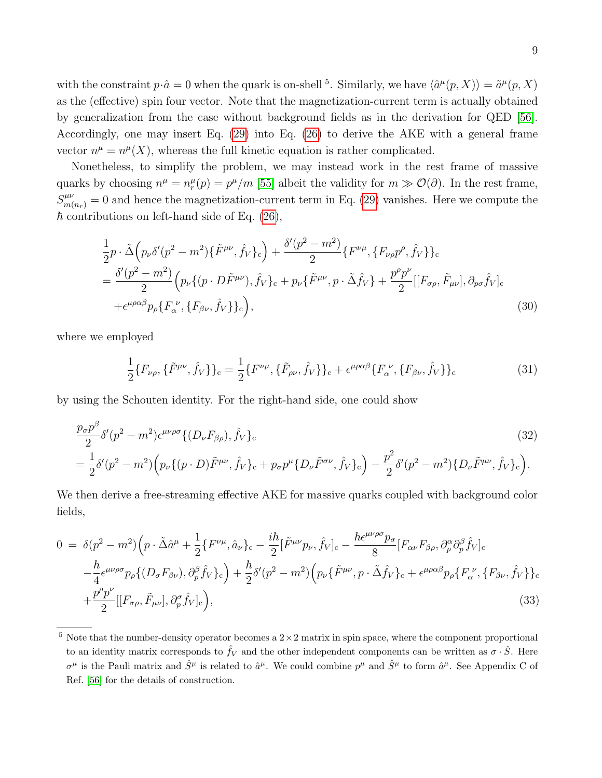with the constraint  $p \cdot \hat{a} = 0$  when the quark is on-shell <sup>5</sup>. Similarly, we have  $\langle \hat{a}^{\mu}(p, X) \rangle = \tilde{a}^{\mu}(p, X)$ as the (effective) spin four vector. Note that the magnetization-current term is actually obtained by generalization from the case without background fields as in the derivation for QED [\[56\]](#page-36-20). Accordingly, one may insert Eq. [\(29\)](#page-7-2) into Eq. [\(26\)](#page-7-3) to derive the AKE with a general frame vector  $n^{\mu} = n^{\mu}(X)$ , whereas the full kinetic equation is rather complicated.

Nonetheless, to simplify the problem, we may instead work in the rest frame of massive quarks by choosing  $n^{\mu} = n_r^{\mu}(p) = p^{\mu}/m$  [\[55\]](#page-36-21) albeit the validity for  $m \gg \mathcal{O}(\partial)$ . In the rest frame,  $S^{\mu\nu}_{m(n_r)} = 0$  and hence the magnetization-current term in Eq. [\(29\)](#page-7-2) vanishes. Here we compute the  $\hbar$  contributions on left-hand side of Eq. [\(26\)](#page-7-3),

$$
\frac{1}{2}p \cdot \tilde{\Delta}\Big(p_{\nu}\delta'(p^{2}-m^{2})\{\tilde{F}^{\mu\nu},\hat{f}_{V}\}_{c}\Big) + \frac{\delta'(p^{2}-m^{2})}{2}\{F^{\nu\mu},\{F_{\nu\rho}p^{\rho},\hat{f}_{V}\}\}_{c} \n= \frac{\delta'(p^{2}-m^{2})}{2}\Big(p_{\nu}\{(p\cdot D\tilde{F}^{\mu\nu}),\hat{f}_{V}\}_{c} + p_{\nu}\{\tilde{F}^{\mu\nu},p\cdot\tilde{\Delta}\hat{f}_{V}\} + \frac{p^{\rho}p^{\nu}}{2}[[F_{\sigma\rho},\tilde{F}_{\mu\nu}],\partial_{p\sigma}\hat{f}_{V}]_{c} \n+ \epsilon^{\mu\rho\alpha\beta}p_{\rho}\{F_{\alpha}^{\ \nu},\{F_{\beta\nu},\hat{f}_{V}\}\}_{c}\Big),
$$
\n(30)

where we employed

$$
\frac{1}{2}\{F_{\nu\rho},\{\tilde{F}^{\mu\nu},\hat{f}_V\}\}_c = \frac{1}{2}\{F^{\nu\mu},\{\tilde{F}_{\rho\nu},\hat{f}_V\}\}_c + \epsilon^{\mu\rho\alpha\beta}\{F_{\alpha}^{\ \nu},\{F_{\beta\nu},\hat{f}_V\}\}_c
$$
(31)

by using the Schouten identity. For the right-hand side, one could show

$$
\frac{p_{\sigma}p^{\beta}}{2}\delta'(p^{2}-m^{2})\epsilon^{\mu\nu\rho\sigma}\{(D_{\nu}F_{\beta\rho}),\hat{f}_{V}\}_{c}
$$
\n
$$
=\frac{1}{2}\delta'(p^{2}-m^{2})\Big(p_{\nu}\{(p\cdot D)\tilde{F}^{\mu\nu},\hat{f}_{V}\}_{c}+p_{\sigma}p^{\mu}\{D_{\nu}\tilde{F}^{\sigma\nu},\hat{f}_{V}\}_{c}\Big)-\frac{p^{2}}{2}\delta'(p^{2}-m^{2})\{D_{\nu}\tilde{F}^{\mu\nu},\hat{f}_{V}\}_{c}\Big).
$$
\n(32)

We then derive a free-streaming effective AKE for massive quarks coupled with background color fields,

<span id="page-8-0"></span>
$$
0 = \delta(p^2 - m^2) \Big( p \cdot \tilde{\Delta} \hat{a}^{\mu} + \frac{1}{2} \{ F^{\nu \mu}, \hat{a}_{\nu} \}_{c} - \frac{i \hbar}{2} [\tilde{F}^{\mu \nu} p_{\nu}, \hat{f}_{V}]_{c} - \frac{\hbar \epsilon^{\mu \nu \rho \sigma} p_{\sigma}}{8} [F_{\alpha \nu} F_{\beta \rho}, \partial_{\rho}^{\alpha} \partial_{\rho}^{\beta} \hat{f}_{V}]_{c} -\frac{\hbar}{4} \epsilon^{\mu \nu \rho \sigma} p_{\rho} \{ (D_{\sigma} F_{\beta \nu}), \partial_{p}^{\beta} \hat{f}_{V} \}_{c} \Big) + \frac{\hbar}{2} \delta'(p^2 - m^2) \Big( p_{\nu} \{ \tilde{F}^{\mu \nu}, p \cdot \tilde{\Delta} \hat{f}_{V} \}_{c} + \epsilon^{\mu \rho \alpha \beta} p_{\rho} \{ F_{\alpha}^{\nu}, \{ F_{\beta \nu}, \hat{f}_{V} \} \}_{c} +\frac{p^{\rho} p^{\nu}}{2} [[F_{\sigma \rho}, \tilde{F}_{\mu \nu}], \partial_{p}^{\sigma} \hat{f}_{V}]_{c} \Big), \tag{33}
$$

 $5$  Note that the number-density operator becomes a  $2 \times 2$  matrix in spin space, where the component proportional to an identity matrix corresponds to  $\hat{f}_V$  and the other independent components can be written as  $\sigma \cdot \hat{S}$ . Here  $\sigma^{\mu}$  is the Pauli matrix and  $\hat{S}^{\mu}$  is related to  $\hat{a}^{\mu}$ . We could combine  $p^{\mu}$  and  $\hat{S}^{\mu}$  to form  $\hat{a}^{\mu}$ . See Appendix C of Ref. [\[56\]](#page-36-20) for the details of construction.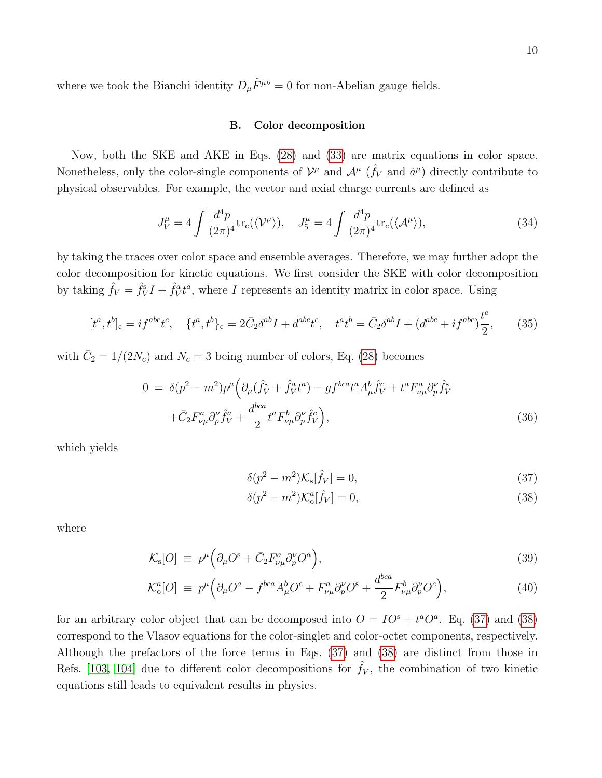where we took the Bianchi identity  $D_{\mu}\tilde{F}^{\mu\nu} = 0$  for non-Abelian gauge fields.

### <span id="page-9-0"></span>B. Color decomposition

Now, both the SKE and AKE in Eqs. [\(28\)](#page-7-4) and [\(33\)](#page-8-0) are matrix equations in color space. Nonetheless, only the color-single components of  $\mathcal{V}^{\mu}$  and  $\mathcal{A}^{\mu}$  ( $\hat{f}_V$  and  $\hat{a}^{\mu}$ ) directly contribute to physical observables. For example, the vector and axial charge currents are defined as

<span id="page-9-2"></span>
$$
J_V^{\mu} = 4 \int \frac{d^4 p}{(2\pi)^4} \text{tr}_c(\langle \mathcal{V}^{\mu} \rangle), \quad J_5^{\mu} = 4 \int \frac{d^4 p}{(2\pi)^4} \text{tr}_c(\langle \mathcal{A}^{\mu} \rangle), \tag{34}
$$

by taking the traces over color space and ensemble averages. Therefore, we may further adopt the color decomposition for kinetic equations. We first consider the SKE with color decomposition by taking  $\hat{f}_V = \hat{f}_V^s I + \hat{f}_V^a t^a$ , where I represents an identity matrix in color space. Using

$$
[t^a, t^b]_c = i f^{abc} t^c, \quad \{t^a, t^b\}_c = 2 \bar{C}_2 \delta^{ab} I + d^{abc} t^c, \quad t^a t^b = \bar{C}_2 \delta^{ab} I + (d^{abc} + i f^{abc}) \frac{t^c}{2}, \tag{35}
$$

with  $\bar{C}_2 = 1/(2N_c)$  and  $N_c = 3$  being number of colors, Eq. [\(28\)](#page-7-4) becomes

$$
0 = \delta(p^2 - m^2)p^{\mu}\Big(\partial_{\mu}(\hat{f}_V^s + \hat{f}_V^a t^a) - gf^{bca}t^a A_{\mu}^b \hat{f}_V^c + t^a F_{\nu\mu}^a \partial_p^{\nu} \hat{f}_V^s + \bar{C}_2 F_{\nu\mu}^a \partial_p^{\nu} \hat{f}_V^a + \frac{d^{bca}}{2} t^a F_{\nu\mu}^b \partial_p^{\nu} \hat{f}_V^c \Big),
$$
(36)

which yields

<span id="page-9-1"></span>
$$
\delta(p^2 - m^2) \mathcal{K}_s[\hat{f}_V] = 0,\tag{37}
$$

$$
\delta(p^2 - m^2) \mathcal{K}_o^a[\hat{f}_V] = 0,\tag{38}
$$

where

$$
\mathcal{K}_{\rm s}[O] \equiv p^{\mu} \Big( \partial_{\mu} O^{\rm s} + \bar{C}_2 F^a_{\nu \mu} \partial_p^{\nu} O^a \Big), \tag{39}
$$

$$
\mathcal{K}_o^a[O] \equiv p^\mu \Big( \partial_\mu O^a - f^{bca} A_\mu^b O^c + F^a_{\nu\mu} \partial_p^{\nu} O^s + \frac{d^{bca}}{2} F^b_{\nu\mu} \partial_p^{\nu} O^c \Big), \tag{40}
$$

for an arbitrary color object that can be decomposed into  $O = IO^s + t^a O^a$ . Eq. [\(37\)](#page-9-1) and [\(38\)](#page-9-1) correspond to the Vlasov equations for the color-singlet and color-octet components, respectively. Although the prefactors of the force terms in Eqs. [\(37\)](#page-9-1) and [\(38\)](#page-9-1) are distinct from those in Refs. [\[103,](#page-38-4) [104\]](#page-38-5) due to different color decompositions for  $\hat{f}_V$ , the combination of two kinetic equations still leads to equivalent results in physics.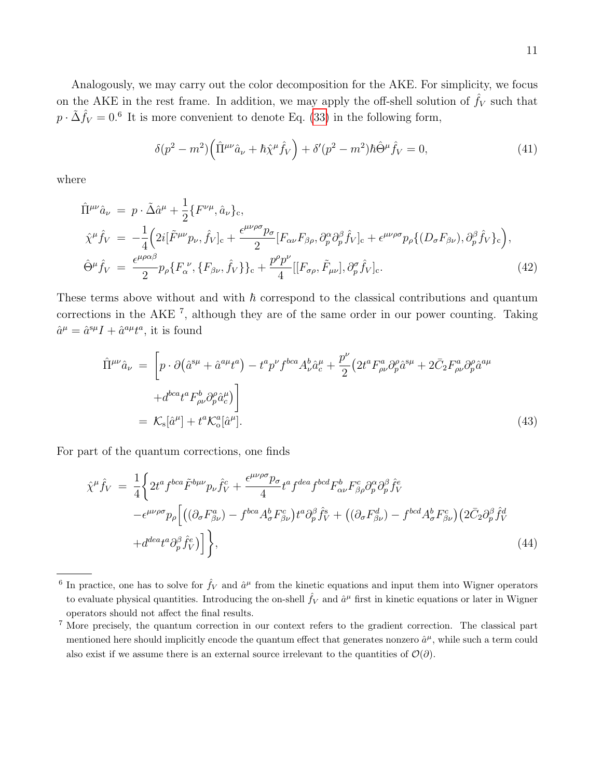Analogously, we may carry out the color decomposition for the AKE. For simplicity, we focus on the AKE in the rest frame. In addition, we may apply the off-shell solution of  $\hat{f}_V$  such that  $p \cdot \tilde{\Delta} \hat{f}_V = 0.6$  It is more convenient to denote Eq. [\(33\)](#page-8-0) in the following form,

$$
\delta(p^2 - m^2) \left( \hat{\Pi}^{\mu\nu} \hat{a}_{\nu} + \hbar \hat{\chi}^{\mu} \hat{f}_V \right) + \delta'(p^2 - m^2) \hbar \hat{\Theta}^{\mu} \hat{f}_V = 0, \tag{41}
$$

where

$$
\hat{\Pi}^{\mu\nu}\hat{a}_{\nu} = p \cdot \tilde{\Delta}\hat{a}^{\mu} + \frac{1}{2} \{F^{\nu\mu}, \hat{a}_{\nu}\}_{c}, \n\hat{\chi}^{\mu}\hat{f}_{V} = -\frac{1}{4} \Big( 2i[\tilde{F}^{\mu\nu}p_{\nu}, \hat{f}_{V}]_{c} + \frac{\epsilon^{\mu\nu\rho\sigma}p_{\sigma}}{2} [F_{\alpha\nu}F_{\beta\rho}, \partial_{\rho}^{\alpha}\partial_{\rho}^{\beta}\hat{f}_{V}]_{c} + \epsilon^{\mu\nu\rho\sigma}p_{\rho}\{ (D_{\sigma}F_{\beta\nu}), \partial_{\rho}^{\beta}\hat{f}_{V} \}_{c} \Big), \n\hat{\Theta}^{\mu}\hat{f}_{V} = \frac{\epsilon^{\mu\rho\alpha\beta}}{2} p_{\rho} \{ F_{\alpha}^{\ \nu}, \{F_{\beta\nu}, \hat{f}_{V} \} \}_{c} + \frac{p^{\rho}p^{\nu}}{4} [[F_{\sigma\rho}, \tilde{F}_{\mu\nu}], \partial_{\rho}^{\sigma}\hat{f}_{V}]_{c}.
$$
\n(42)

These terms above without and with  $\hbar$  correspond to the classical contributions and quantum corrections in the AKE <sup>7</sup> , although they are of the same order in our power counting. Taking  $\hat{a}^{\mu} = \hat{a}^{s\mu} I + \hat{a}^{a\mu} t^{a}$ , it is found

$$
\hat{\Pi}^{\mu\nu}\hat{a}_{\nu} = \left[ p \cdot \partial \left( \hat{a}^{s\mu} + \hat{a}^{a\mu} t^a \right) - t^a p^{\nu} f^{bca} A_{\nu}^b \hat{a}_{c}^{\mu} + \frac{p^{\nu}}{2} \left( 2t^a F^a_{\rho\nu} \partial^{\rho}_{p} \hat{a}^{s\mu} + 2 \bar{C}_2 F^a_{\rho\nu} \partial^{\rho}_{p} \hat{a}^{a\mu} \right) \right]
$$
\n
$$
+ d^{bca} t^a F^b_{\rho\nu} \partial^{\rho}_{p} \hat{a}_{c}^{\mu} \bigg]
$$
\n
$$
= \mathcal{K}_s[\hat{a}^{\mu}] + t^a \mathcal{K}_o^a[\hat{a}^{\mu}].
$$
\n(43)

For part of the quantum corrections, one finds

$$
\hat{\chi}^{\mu}\hat{f}_{V} = \frac{1}{4} \left\{ 2t^{a} f^{bca} \tilde{F}^{b\mu\nu} p_{\nu} \hat{f}_{V}^{c} + \frac{\epsilon^{\mu\nu\rho\sigma} p_{\sigma}}{4} t^{a} f^{dea} f^{bcd} F^{b}_{\alpha\nu} F^{c}_{\beta\rho} \partial_{p}^{\alpha} \partial_{p}^{\beta} \hat{f}_{V}^{e} - \epsilon^{\mu\nu\rho\sigma} p_{\rho} \left[ \left( (\partial_{\sigma} F^{a}_{\beta\nu}) - f^{bca} A^{b}_{\sigma} F^{c}_{\beta\nu} \right) t^{a} \partial_{p}^{\beta} \hat{f}_{V}^{s} + \left( (\partial_{\sigma} F^{d}_{\beta\nu}) - f^{bcd} A^{b}_{\sigma} F^{c}_{\beta\nu} \right) \left( 2 \bar{C}_{2} \partial_{p}^{\beta} \hat{f}_{V}^{d} \right) + d^{dea} t^{a} \partial_{p}^{\beta} \hat{f}_{V}^{e} \right] \right\},
$$
\n(44)

<sup>&</sup>lt;sup>6</sup> In practice, one has to solve for  $\hat{f}_V$  and  $\hat{a}^\mu$  from the kinetic equations and input them into Wigner operators to evaluate physical quantities. Introducing the on-shell  $\hat{f}_V$  and  $\hat{a}^\mu$  first in kinetic equations or later in Wigner operators should not affect the final results.

<sup>7</sup> More precisely, the quantum correction in our context refers to the gradient correction. The classical part mentioned here should implicitly encode the quantum effect that generates nonzero  $\hat{a}^{\mu}$ , while such a term could also exist if we assume there is an external source irrelevant to the quantities of  $\mathcal{O}(\partial)$ .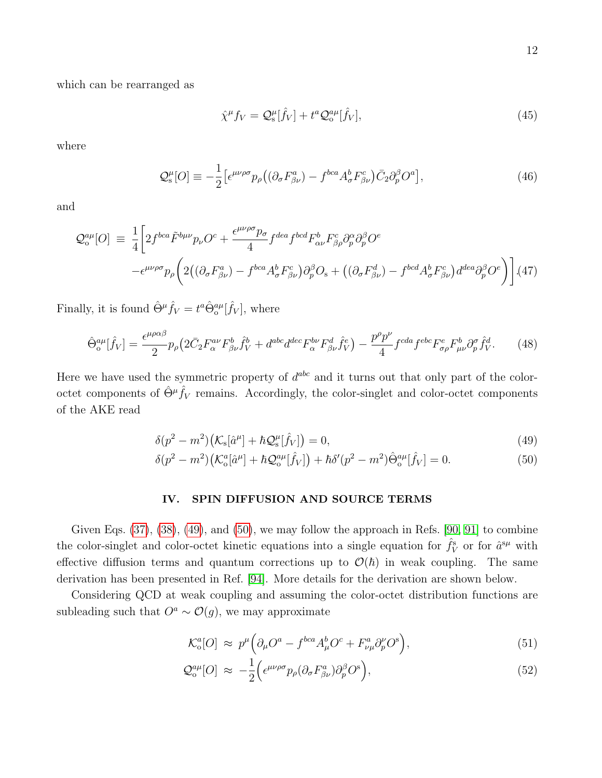which can be rearranged as

$$
\hat{\chi}^{\mu} f_V = \mathcal{Q}_s^{\mu} [\hat{f}_V] + t^a \mathcal{Q}_o^{a\mu} [\hat{f}_V], \qquad (45)
$$

where

$$
\mathcal{Q}_{s}^{\mu}[O] \equiv -\frac{1}{2} \left[ \epsilon^{\mu\nu\rho\sigma} p_{\rho} \left( (\partial_{\sigma} F_{\beta\nu}^{a}) - f^{bca} A_{\sigma}^{b} F_{\beta\nu}^{c} \right) \bar{C}_{2} \partial_{p}^{\beta} O^{a} \right],\tag{46}
$$

and

$$
\mathcal{Q}_{o}^{a\mu}[O] \equiv \frac{1}{4} \bigg[ 2f^{bca} \tilde{F}^{b\mu\nu} p_{\nu} O^c + \frac{\epsilon^{\mu\nu\rho\sigma} p_{\sigma}}{4} f^{dea} f^{bcd} F^{b}_{\alpha\nu} F^{c}_{\beta\rho} \partial^{\alpha}_{p} \partial^{\beta}_{p} O^e - \epsilon^{\mu\nu\rho\sigma} p_{\rho} \bigg( 2((\partial_{\sigma} F^{a}_{\beta\nu}) - f^{bca} A^{b}_{\sigma} F^{c}_{\beta\nu}) \partial^{\beta}_{p} O_s + ((\partial_{\sigma} F^{d}_{\beta\nu}) - f^{bcd} A^{b}_{\sigma} F^{c}_{\beta\nu}) d^{dea} \partial^{\beta}_{p} O^e \bigg) \bigg] . (47)
$$

Finally, it is found  $\hat{\Theta}^{\mu}\hat{f}_V = t^a \hat{\Theta}_o^{a\mu}[\hat{f}_V]$ , where

$$
\hat{\Theta}_{\text{o}}^{a\mu}[\hat{f}_V] = \frac{\epsilon^{\mu\rho\alpha\beta}}{2} p_\rho \left( 2\bar{C}_2 F^{\alpha\nu}_{\alpha} F^b_{\beta\nu} \hat{f}^b_V + d^{\text{abc}} d^{\text{dec}} F^{\text{b}\nu}_{\alpha} F^d_{\beta\nu} \hat{f}^e_V \right) - \frac{p^\rho p^\nu}{4} f^{\text{cd}a} f^{\text{eb}c} F^e_{\sigma\rho} F^b_{\mu\nu} \partial^\sigma_p \hat{f}^d_V. \tag{48}
$$

Here we have used the symmetric property of  $d^{abc}$  and it turns out that only part of the coloroctet components of  $\hat{\Theta}^{\mu} \hat{f}_V$  remains. Accordingly, the color-singlet and color-octet components of the AKE read

<span id="page-11-1"></span>
$$
\delta(p^2 - m^2) \left( \mathcal{K}_s[\hat{a}^\mu] + \hbar \mathcal{Q}_s^\mu[\hat{f}_V] \right) = 0,\tag{49}
$$

$$
\delta(p^2 - m^2) \left( \mathcal{K}_0^a [\hat{a}^\mu] + \hbar \mathcal{Q}_0^{a\mu} [\hat{f}_V] \right) + \hbar \delta'(p^2 - m^2) \hat{\Theta}_0^{a\mu} [\hat{f}_V] = 0. \tag{50}
$$

## <span id="page-11-0"></span>IV. SPIN DIFFUSION AND SOURCE TERMS

Given Eqs.  $(37)$ ,  $(38)$ ,  $(49)$ , and  $(50)$ , we may follow the approach in Refs. [\[90,](#page-37-16) [91\]](#page-37-17) to combine the color-singlet and color-octet kinetic equations into a single equation for  $\hat{f}_V^s$  or for  $\hat{a}^{s\mu}$  with effective diffusion terms and quantum corrections up to  $\mathcal{O}(\hbar)$  in weak coupling. The same derivation has been presented in Ref. [\[94\]](#page-37-20). More details for the derivation are shown below.

Considering QCD at weak coupling and assuming the color-octet distribution functions are subleading such that  $O^a \sim \mathcal{O}(g)$ , we may approximate

<span id="page-11-2"></span>
$$
\mathcal{K}_o^a[O] \approx p^{\mu} \Big( \partial_{\mu} O^a - f^{bca} A_{\mu}^b O^c + F_{\nu\mu}^a \partial_{p}^{\nu} O^s \Big), \tag{51}
$$

$$
\mathcal{Q}_o^{a\mu}[O] \approx -\frac{1}{2} \Big( \epsilon^{\mu\nu\rho\sigma} p_\rho (\partial_\sigma F^a_{\beta\nu}) \partial_p^\beta O^s \Big), \tag{52}
$$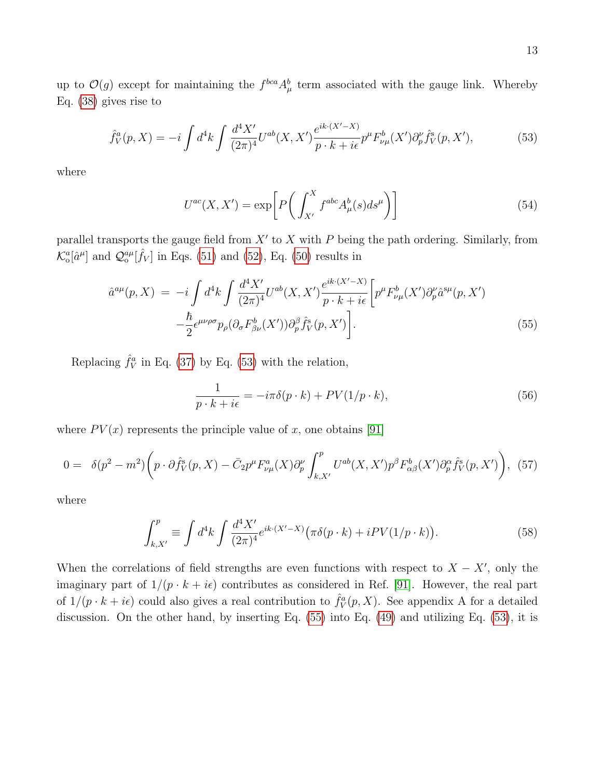up to  $\mathcal{O}(g)$  except for maintaining the  $f^{bca} A^b_\mu$  term associated with the gauge link. Whereby Eq. [\(38\)](#page-9-1) gives rise to

<span id="page-12-0"></span>
$$
\hat{f}_V^a(p,X) = -i \int d^4k \int \frac{d^4X'}{(2\pi)^4} U^{ab}(X,X') \frac{e^{ik \cdot (X'-X)}}{p \cdot k + i\epsilon} p^{\mu} F_{\nu\mu}^b(X') \partial_{p}^{\nu} \hat{f}_V^s(p,X'),\tag{53}
$$

where

$$
U^{ac}(X, X') = \exp\left[P\left(\int_{X'}^{X} f^{abc} A_{\mu}^{b}(s) ds^{\mu}\right)\right]
$$
\n(54)

parallel transports the gauge field from  $X'$  to X with P being the path ordering. Similarly, from  $\mathcal{K}^a_{\text{o}}[\hat{a}^{\mu}]$  and  $\mathcal{Q}^{a\mu}_{\text{o}}[\hat{f}_V]$  in Eqs. [\(51\)](#page-11-2) and [\(52\)](#page-11-2), Eq. [\(50\)](#page-11-1) results in

<span id="page-12-1"></span>
$$
\hat{a}^{a\mu}(p,X) = -i \int d^4k \int \frac{d^4X'}{(2\pi)^4} U^{ab}(X,X') \frac{e^{ik \cdot (X'-X)}}{p \cdot k + i\epsilon} \left[ p^{\mu} F^{b}_{\nu\mu}(X') \partial^{\nu}_{p} \hat{a}^{s\mu}(p,X') - \frac{\hbar}{2} \epsilon^{\mu\nu\rho\sigma} p_{\rho} (\partial_{\sigma} F^{b}_{\beta\nu}(X')) \partial^{\beta}_{p} \hat{f}^{s}_{V}(p,X') \right]. \tag{55}
$$

Replacing  $\hat{f}_V^a$  in Eq. [\(37\)](#page-9-1) by Eq. [\(53\)](#page-12-0) with the relation,

<span id="page-12-2"></span>
$$
\frac{1}{p \cdot k + i\epsilon} = -i\pi \delta(p \cdot k) + PV(1/p \cdot k),\tag{56}
$$

where  $PV(x)$  represents the principle value of x, one obtains [\[91\]](#page-37-17)

$$
0 = \delta(p^2 - m^2) \left( p \cdot \partial \hat{f}_V^s(p, X) - \bar{C}_2 p^\mu F_{\nu\mu}^a(X) \partial_p^\nu \int_{k, X'}^p U^{ab}(X, X') p^\beta F_{\alpha\beta}^b(X') \partial_p^\alpha \hat{f}_V^s(p, X') \right), \tag{57}
$$

where

$$
\int_{k,X'}^{p} \equiv \int d^4k \int \frac{d^4X'}{(2\pi)^4} e^{ik \cdot (X'-X)} \big(\pi \delta(p \cdot k) + iPV(1/p \cdot k)\big).
$$
 (58)

When the correlations of field strengths are even functions with respect to  $X - X'$ , only the imaginary part of  $1/(p \cdot k + i\epsilon)$  contributes as considered in Ref. [\[91\]](#page-37-17). However, the real part of  $1/(p \cdot k + i\epsilon)$  could also gives a real contribution to  $\hat{f}_V^a(p, X)$ . See appendix A for a detailed discussion. On the other hand, by inserting Eq. [\(55\)](#page-12-1) into Eq. [\(49\)](#page-11-1) and utilizing Eq. [\(53\)](#page-12-0), it is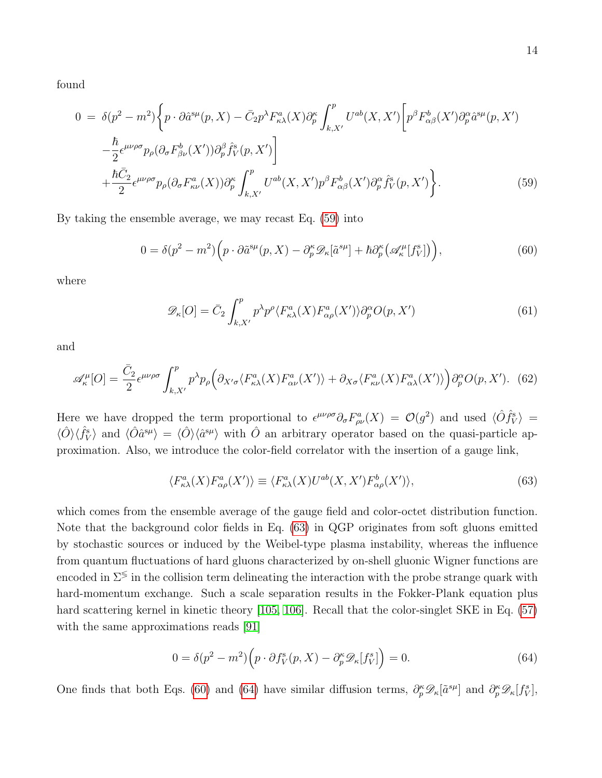found

<span id="page-13-0"></span>
$$
0 = \delta(p^2 - m^2) \bigg\{ p \cdot \partial \hat{a}^{s\mu}(p, X) - \bar{C}_2 p^\lambda F_{\kappa\lambda}^a(X) \partial_p^{\kappa} \int_{k, X'}^p U^{ab}(X, X') \bigg[ p^\beta F_{\alpha\beta}^b(X') \partial_p^{\alpha} \hat{a}^{s\mu}(p, X') - \frac{\hbar}{2} \epsilon^{\mu\nu\rho\sigma} p_\rho (\partial_\sigma F_{\beta\nu}^b(X')) \partial_p^{\beta} \hat{f}_V^s(p, X') \bigg] + \frac{\hbar \bar{C}_2}{2} \epsilon^{\mu\nu\rho\sigma} p_\rho (\partial_\sigma F_{\kappa\nu}^a(X)) \partial_p^{\kappa} \int_{k, X'}^p U^{ab}(X, X') p^\beta F_{\alpha\beta}^b(X') \partial_p^{\alpha} \hat{f}_V^s(p, X') \bigg\}.
$$
 (59)

By taking the ensemble average, we may recast Eq. [\(59\)](#page-13-0) into

<span id="page-13-2"></span>
$$
0 = \delta(p^2 - m^2) \Big( p \cdot \partial \tilde{a}^{\text{su}}(p, X) - \partial_p^{\kappa} \mathscr{D}_{\kappa}[\tilde{a}^{\text{su}}] + \hbar \partial_p^{\kappa} \big( \mathscr{A}_{\kappa}^{\mu}[f_V^{\text{s}}] \big) \Big), \tag{60}
$$

where

$$
\mathscr{D}_{\kappa}[O] = \bar{C}_2 \int_{k,X'}^{p} p^{\lambda} p^{\rho} \langle F_{\kappa\lambda}^{a}(X) F_{\alpha\rho}^{a}(X') \rangle \partial_p^{\alpha} O(p, X')
$$
(61)

and

$$
\mathscr{A}_{\kappa}^{\mu}[O] = \frac{\bar{C}_{2}}{2} \epsilon^{\mu\nu\rho\sigma} \int_{k,X'}^{p} p^{\lambda} p_{\rho} \Big( \partial_{X'\sigma} \langle F_{\kappa\lambda}^{a}(X) F_{\alpha\nu}^{a}(X') \rangle + \partial_{X\sigma} \langle F_{\kappa\nu}^{a}(X) F_{\alpha\lambda}^{a}(X') \rangle \Big) \partial_{p}^{\alpha} O(p,X'). \tag{62}
$$

Here we have dropped the term proportional to  $\epsilon^{\mu\nu\rho\sigma}\partial_{\sigma}F_{\rho\nu}^a(X) = \mathcal{O}(g^2)$  and used  $\langle \hat{O}f_V^s \rangle =$  $\langle \hat{O} \rangle \langle \hat{f}_V^s \rangle$  and  $\langle \hat{O} \hat{a}^{s\mu} \rangle = \langle \hat{O} \rangle \langle \hat{a}^{s\mu} \rangle$  with  $\hat{O}$  an arbitrary operator based on the quasi-particle approximation. Also, we introduce the color-field correlator with the insertion of a gauge link,

<span id="page-13-1"></span>
$$
\langle F_{\kappa\lambda}^a(X)F_{\alpha\rho}^a(X')\rangle \equiv \langle F_{\kappa\lambda}^a(X)U^{ab}(X,X')F_{\alpha\rho}^b(X')\rangle,\tag{63}
$$

which comes from the ensemble average of the gauge field and color-octet distribution function. Note that the background color fields in Eq. [\(63\)](#page-13-1) in QGP originates from soft gluons emitted by stochastic sources or induced by the Weibel-type plasma instability, whereas the influence from quantum fluctuations of hard gluons characterized by on-shell gluonic Wigner functions are encoded in  $\Sigma^{\lessgtr}$  in the collision term delineating the interaction with the probe strange quark with hard-momentum exchange. Such a scale separation results in the Fokker-Plank equation plus hard scattering kernel in kinetic theory [\[105,](#page-38-6) [106\]](#page-38-7). Recall that the color-singlet SKE in Eq. [\(57\)](#page-12-2) with the same approximations reads [\[91\]](#page-37-17)

<span id="page-13-3"></span>
$$
0 = \delta(p^2 - m^2) \left( p \cdot \partial f_V^s(p, X) - \partial_p^{\kappa} \mathcal{D}_{\kappa}[f_V^s] \right) = 0. \tag{64}
$$

One finds that both Eqs. [\(60\)](#page-13-2) and [\(64\)](#page-13-3) have similar diffusion terms,  $\partial_p^{\kappa} \mathscr{D}_{\kappa}[\tilde{a}^{s\mu}]$  and  $\partial_p^{\kappa} \mathscr{D}_{\kappa}[f_N^s]$ ,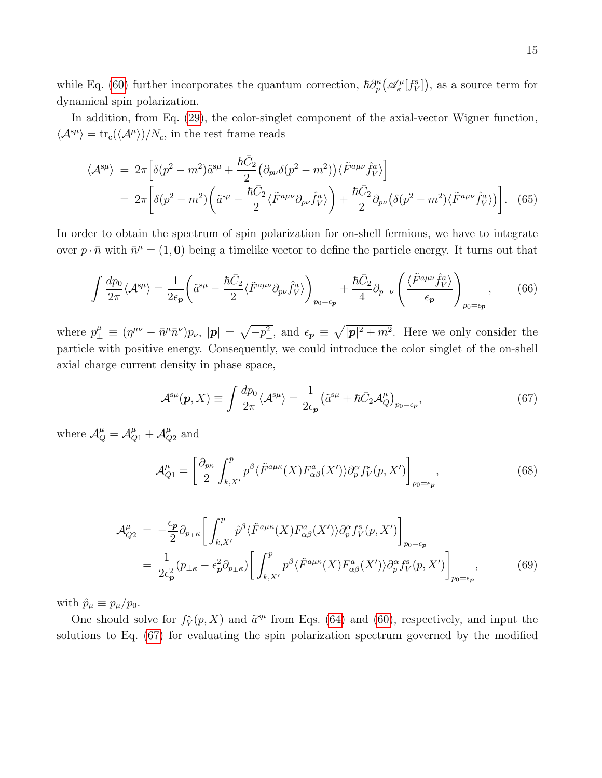while Eq. [\(60\)](#page-13-2) further incorporates the quantum correction,  $\hbar \partial_p^{\kappa} (\mathscr{A}_{\kappa}^{\mu}[f^s_V])$ , as a source term for dynamical spin polarization.

In addition, from Eq. [\(29\)](#page-7-2), the color-singlet component of the axial-vector Wigner function,  $\langle A^{\rm s}\mu \rangle = {\rm tr}_{\rm c}(\langle A^{\mu} \rangle)/N_c$ , in the rest frame reads

$$
\langle \mathcal{A}^{s\mu} \rangle = 2\pi \left[ \delta(p^2 - m^2) \tilde{a}^{s\mu} + \frac{\hbar \bar{C}_2}{2} \left( \partial_{p\nu} \delta(p^2 - m^2) \right) \langle \tilde{F}^{a\mu\nu} \hat{f}^a_V \rangle \right]
$$
  
= 
$$
2\pi \left[ \delta(p^2 - m^2) \left( \tilde{a}^{s\mu} - \frac{\hbar \bar{C}_2}{2} \langle \tilde{F}^{a\mu\nu} \partial_{p\nu} \hat{f}^a_V \rangle \right) + \frac{\hbar \bar{C}_2}{2} \partial_{p\nu} \left( \delta(p^2 - m^2) \langle \tilde{F}^{a\mu\nu} \hat{f}^a_V \rangle \right) \right].
$$
 (65)

In order to obtain the spectrum of spin polarization for on-shell fermions, we have to integrate over  $p \cdot \bar{n}$  with  $\bar{n}^{\mu} = (1, 0)$  being a timelike vector to define the particle energy. It turns out that

$$
\int \frac{dp_0}{2\pi} \langle \mathcal{A}^{s\mu} \rangle = \frac{1}{2\epsilon_p} \left( \tilde{a}^{s\mu} - \frac{\hbar \bar{C}_2}{2} \langle \tilde{F}^{a\mu\nu} \partial_{p\nu} \hat{f}^a_V \rangle \right)_{p_0 = \epsilon_p} + \frac{\hbar \bar{C}_2}{4} \partial_{p_\perp\nu} \left( \frac{\langle \tilde{F}^{a\mu\nu} \hat{f}^a_V \rangle}{\epsilon_p} \right)_{p_0 = \epsilon_p}, \tag{66}
$$

where  $p_{\perp}^{\mu} \equiv (\eta^{\mu\nu} - \bar{n}^{\mu} \bar{n}^{\nu}) p_{\nu}, \, |\mathbf{p}| = \sqrt{-p_{\perp}^2}$ , and  $\epsilon_{\mathbf{p}} \equiv \sqrt{|\mathbf{p}|^2 + m^2}$ . Here we only consider the particle with positive energy. Consequently, we could introduce the color singlet of the on-shell axial charge current density in phase space,

<span id="page-14-0"></span>
$$
\mathcal{A}^{s\mu}(\mathbf{p}, X) \equiv \int \frac{dp_0}{2\pi} \langle \mathcal{A}^{s\mu} \rangle = \frac{1}{2\epsilon_{\mathbf{p}}} \left( \tilde{a}^{s\mu} + \hbar \bar{C}_2 \mathcal{A}^{\mu}_Q \right)_{p_0 = \epsilon_{\mathbf{p}}},\tag{67}
$$

where  $\mathcal{A}_{Q}^{\mu} = \mathcal{A}_{Q1}^{\mu} + \mathcal{A}_{Q}^{\mu}$  $\frac{\mu}{Q2}$  and

$$
\mathcal{A}_{Q1}^{\mu} = \left[\frac{\partial_{p\kappa}}{2} \int_{k,X'}^{p} p^{\beta} \langle \tilde{F}^{a\mu\kappa}(X) F_{\alpha\beta}^{a}(X') \rangle \partial_{p}^{\alpha} f_{V}^{s}(p,X')\right]_{p_{0}=\epsilon_{p}},\tag{68}
$$

$$
\mathcal{A}_{Q2}^{\mu} = -\frac{\epsilon_{\mathbf{p}}}{2} \partial_{p_{\perp} \kappa} \left[ \int_{k,X'}^{p} \hat{p}^{\beta} \langle \tilde{F}^{a\mu\kappa}(X) F_{\alpha\beta}^{a}(X') \rangle \partial_{p}^{\alpha} f_{V}^{s}(p, X') \right]_{p_{0} = \epsilon_{\mathbf{p}}} \n= \frac{1}{2\epsilon_{\mathbf{p}}^{2}} (p_{\perp \kappa} - \epsilon_{\mathbf{p}}^{2} \partial_{p_{\perp} \kappa}) \left[ \int_{k,X'}^{p} p^{\beta} \langle \tilde{F}^{a\mu\kappa}(X) F_{\alpha\beta}^{a}(X') \rangle \partial_{p}^{\alpha} f_{V}^{s}(p, X') \right]_{p_{0} = \epsilon_{\mathbf{p}}},
$$
\n(69)

with  $\hat{p}_{\mu} \equiv p_{\mu}/p_0$ .

One should solve for  $f^s_V(p, X)$  and  $\tilde{a}^{s\mu}$  from Eqs. [\(64\)](#page-13-3) and [\(60\)](#page-13-2), respectively, and input the solutions to Eq. [\(67\)](#page-14-0) for evaluating the spin polarization spectrum governed by the modified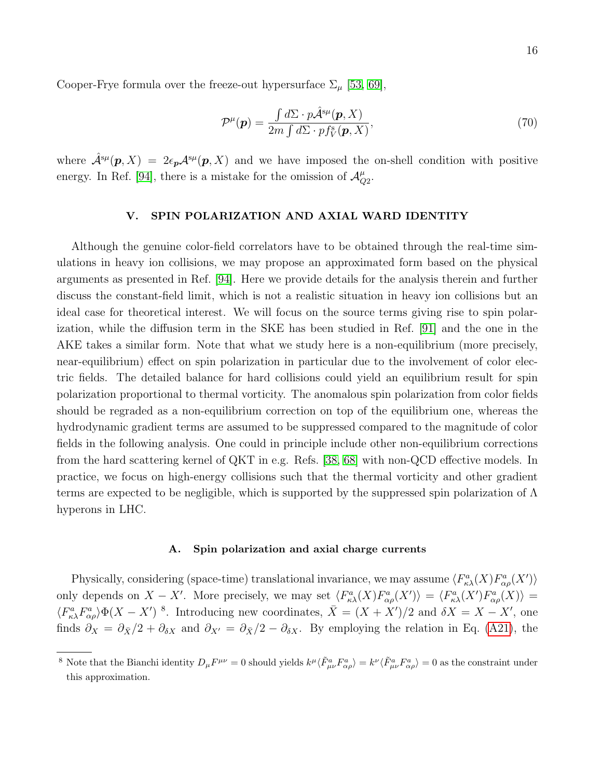Cooper-Frye formula over the freeze-out hypersurface  $\Sigma_{\mu}$  [\[53,](#page-36-10) [69\]](#page-37-2),

$$
\mathcal{P}^{\mu}(\mathbf{p}) = \frac{\int d\Sigma \cdot p\hat{\mathcal{A}}^{s\mu}(\mathbf{p}, X)}{2m \int d\Sigma \cdot p f_V^s(\mathbf{p}, X)},\tag{70}
$$

where  $\hat{\mathcal{A}}^{s\mu}(\bm{p},X) = 2\epsilon_{\bm{p}}\mathcal{A}^{s\mu}(\bm{p},X)$  and we have imposed the on-shell condition with positive energy. In Ref. [\[94\]](#page-37-20), there is a mistake for the omission of  $\mathcal{A}_{\mathcal{C}}^{\mu}$  $_{Q2}^{\mu}.$ 

## <span id="page-15-0"></span>V. SPIN POLARIZATION AND AXIAL WARD IDENTITY

Although the genuine color-field correlators have to be obtained through the real-time simulations in heavy ion collisions, we may propose an approximated form based on the physical arguments as presented in Ref. [\[94\]](#page-37-20). Here we provide details for the analysis therein and further discuss the constant-field limit, which is not a realistic situation in heavy ion collisions but an ideal case for theoretical interest. We will focus on the source terms giving rise to spin polarization, while the diffusion term in the SKE has been studied in Ref. [\[91\]](#page-37-17) and the one in the AKE takes a similar form. Note that what we study here is a non-equilibrium (more precisely, near-equilibrium) effect on spin polarization in particular due to the involvement of color electric fields. The detailed balance for hard collisions could yield an equilibrium result for spin polarization proportional to thermal vorticity. The anomalous spin polarization from color fields should be regraded as a non-equilibrium correction on top of the equilibrium one, whereas the hydrodynamic gradient terms are assumed to be suppressed compared to the magnitude of color fields in the following analysis. One could in principle include other non-equilibrium corrections from the hard scattering kernel of QKT in e.g. Refs. [\[38,](#page-36-0) [68\]](#page-37-0) with non-QCD effective models. In practice, we focus on high-energy collisions such that the thermal vorticity and other gradient terms are expected to be negligible, which is supported by the suppressed spin polarization of  $\Lambda$ hyperons in LHC.

#### <span id="page-15-1"></span>A. Spin polarization and axial charge currents

Physically, considering (space-time) translational invariance, we may assume  $\langle F_{\kappa\lambda}^a(X)F_{\alpha\rho}^a(X')\rangle$ only depends on  $X - X'$ . More precisely, we may set  $\langle F_{\kappa\lambda}^a(X)F_{\alpha\rho}^a(X')\rangle = \langle F_{\kappa\lambda}^a(X')F_{\alpha\rho}^a(X)\rangle =$  $\langle F^a_{\kappa\lambda}F^a_{\alpha\rho}\rangle\Phi(X-X')$ <sup>8</sup>. Introducing new coordinates,  $\bar{X}=(X+X')/2$  and  $\delta X=X-X'$ , one finds  $\partial_X = \partial_{\bar{X}}/2 + \partial_{\delta X}$  and  $\partial_{X'} = \partial_{\bar{X}}/2 - \partial_{\delta X}$ . By employing the relation in Eq. [\(A21\)](#page-34-2), the

<sup>&</sup>lt;sup>8</sup> Note that the Bianchi identity  $D_{\mu}F^{\mu\nu} = 0$  should yields  $k^{\mu}\langle \tilde{F}_{\mu\nu}^{a}F_{\alpha\rho}^{a}\rangle = k^{\nu}\langle \tilde{F}_{\mu\nu}^{a}F_{\alpha\rho}^{a}\rangle = 0$  as the constraint under this approximation.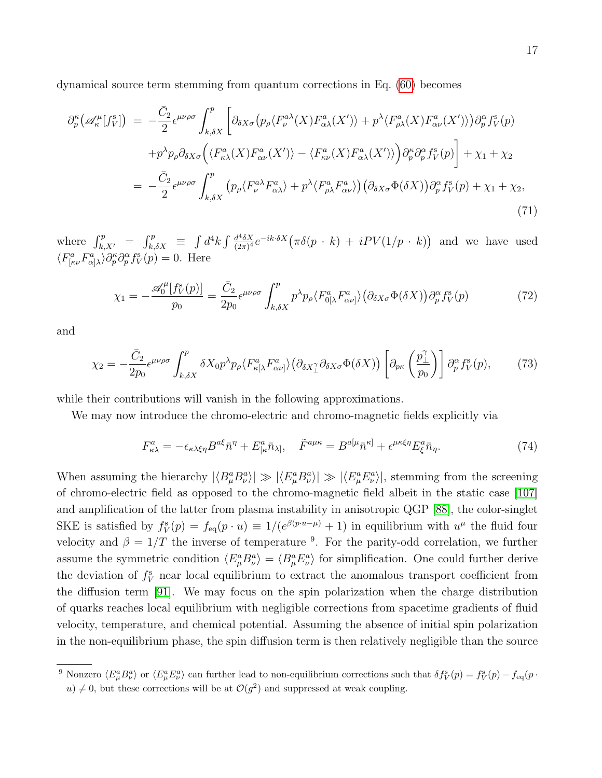dynamical source term stemming from quantum corrections in Eq. [\(60\)](#page-13-2) becomes

$$
\partial_{p}^{\kappa} \left( \mathscr{A}_{\kappa}^{\mu} [f_{V}^{s}] \right) = -\frac{\bar{C}_{2}}{2} \epsilon^{\mu\nu\rho\sigma} \int_{k,\delta X}^{p} \left[ \partial_{\delta X\sigma} \left( p_{\rho} \langle F_{\nu}^{a\lambda}(X) F_{\alpha\lambda}^{a}(X') \rangle + p^{\lambda} \langle F_{\rho\lambda}^{a}(X) F_{\alpha\nu}^{a}(X') \rangle \right) \partial_{p}^{\alpha} f_{V}^{s}(p) \right. \\
\left. + p^{\lambda} p_{\rho} \partial_{\delta X\sigma} \left( \langle F_{\kappa\lambda}^{a}(X) F_{\alpha\nu}^{a}(X') \rangle - \langle F_{\kappa\nu}^{a}(X) F_{\alpha\lambda}^{a}(X') \rangle \right) \partial_{p}^{\kappa} \partial_{p}^{\alpha} f_{V}^{s}(p) \right] + \chi_{1} + \chi_{2} \\
= -\frac{\bar{C}_{2}}{2} \epsilon^{\mu\nu\rho\sigma} \int_{k,\delta X}^{p} \left( p_{\rho} \langle F_{\nu}^{a\lambda} F_{\alpha\lambda}^{a} \rangle + p^{\lambda} \langle F_{\rho\lambda}^{a} F_{\alpha\nu}^{a} \rangle \right) \left( \partial_{\delta X\sigma} \Phi(\delta X) \right) \partial_{p}^{\alpha} f_{V}^{s}(p) + \chi_{1} + \chi_{2},
$$
\n(71)

where  $\int_{k,X'}^p = \int_{k,\delta X}^p \equiv \int d^4k \int \frac{d^4\delta X}{(2\pi)^4}$  $\frac{d^4 \delta X}{(2\pi)^4} e^{-ik \cdot \delta X} (\pi \delta(p+k) + iPV(1/p+k))$  and we have used  $\langle F^a_{\kappa\nu}F^a_{\alpha\lambda}\rangle \partial^{\kappa}_p \partial^{\alpha}_p f^s_V(p) = 0.$  Here

$$
\chi_1 = -\frac{\mathscr{A}_0^{\mu}[f_V^s(p)]}{p_0} = \frac{\bar{C}_2}{2p_0} \epsilon^{\mu\nu\rho\sigma} \int_{k,\delta X}^p p^{\lambda} p_{\rho} \langle F_{0[\lambda}^a F_{\alpha\nu]}^a \rangle \big( \partial_{\delta X \sigma} \Phi(\delta X) \big) \partial_p^{\alpha} f_V^s(p) \tag{72}
$$

and

$$
\chi_2 = -\frac{\bar{C}_2}{2p_0} \epsilon^{\mu\nu\rho\sigma} \int_{k,\delta X}^p \delta X_0 p^\lambda p_\rho \langle F_{\kappa[\lambda}^a F_{\alpha\nu]}^a \rangle \left( \partial_{\delta X_\perp^\gamma} \partial_{\delta X \sigma} \Phi(\delta X) \right) \left[ \partial_{p\kappa} \left( \frac{p_\perp^{\gamma}}{p_0} \right) \right] \partial_p^{\alpha} f_Y^s(p), \tag{73}
$$

while their contributions will vanish in the following approximations.

We may now introduce the chromo-electric and chromo-magnetic fields explicitly via

$$
F_{\kappa\lambda}^a = -\epsilon_{\kappa\lambda\xi\eta} B^{a\xi} \bar{n}^\eta + E_{[\kappa}^a \bar{n}_{\lambda]}, \quad \tilde{F}^{a\mu\kappa} = B^{a[\mu} \bar{n}^{\kappa]} + \epsilon^{\mu\kappa\xi\eta} E_{\xi}^a \bar{n}_{\eta}. \tag{74}
$$

When assuming the hierarchy  $|\langle B^a_\mu B^a_\nu \rangle| \gg |\langle E^a_\mu B^a_\nu \rangle| \gg |\langle E^a_\mu E^a_\nu \rangle|$ , stemming from the screening of chromo-electric field as opposed to the chromo-magnetic field albeit in the static case [\[107\]](#page-38-8) and amplification of the latter from plasma instability in anisotropic QGP [\[88\]](#page-37-24), the color-singlet SKE is satisfied by  $f_V^s(p) = f_{\text{eq}}(p \cdot u) \equiv 1/(e^{\beta(p \cdot u - \mu)} + 1)$  in equilibrium with  $u^{\mu}$  the fluid four velocity and  $\beta = 1/T$  the inverse of temperature <sup>9</sup>. For the parity-odd correlation, we further assume the symmetric condition  $\langle E^a_\mu B^a_\nu \rangle = \langle B^a_\mu E^a_\nu \rangle$  for simplification. One could further derive the deviation of  $f_V^s$  near local equilibrium to extract the anomalous transport coefficient from the diffusion term [\[91\]](#page-37-17). We may focus on the spin polarization when the charge distribution of quarks reaches local equilibrium with negligible corrections from spacetime gradients of fluid velocity, temperature, and chemical potential. Assuming the absence of initial spin polarization in the non-equilibrium phase, the spin diffusion term is then relatively negligible than the source

<sup>&</sup>lt;sup>9</sup> Nonzero  $\langle E_{\mu}^a E_{\nu}^a \rangle$  or  $\langle E_{\mu}^a E_{\nu}^a \rangle$  can further lead to non-equilibrium corrections such that  $\delta f_V^s(p) = f_V^s(p) - f_{\text{eq}}(p)$ .  $u \neq 0$ , but these corrections will be at  $\mathcal{O}(g^2)$  and suppressed at weak coupling.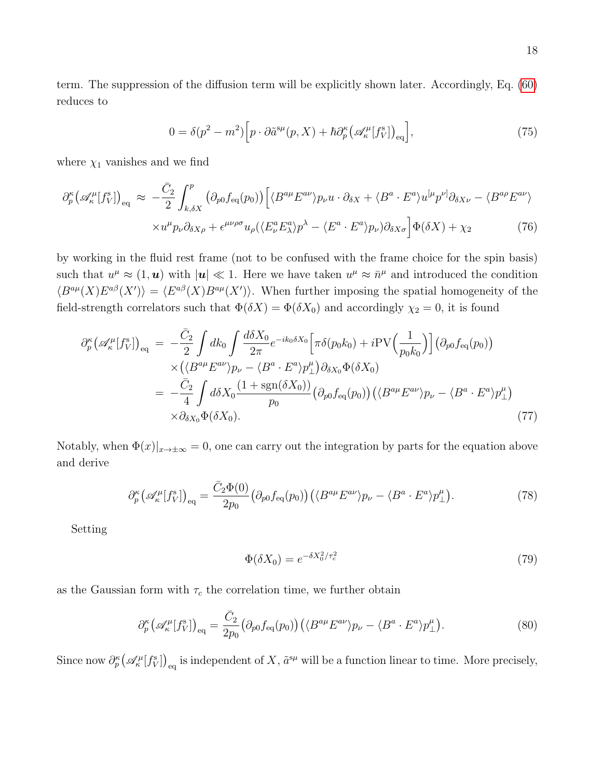term. The suppression of the diffusion term will be explicitly shown later. Accordingly, Eq. [\(60\)](#page-13-2) reduces to

<span id="page-17-0"></span>
$$
0 = \delta(p^2 - m^2) \Big[ p \cdot \partial \tilde{a}^{\rm s}{}^{\mu}(p, X) + \hbar \partial_p^{\kappa} \big( \mathscr{A}_{\kappa}^{\mu}[f_V^{\rm s}] \big)_{\rm eq} \Big], \tag{75}
$$

where  $\chi_1$  vanishes and we find

$$
\partial_p^{\kappa} \left( \mathscr{A}_{\kappa}^{\mu} [f_V^{\rm s}] \right)_{\rm eq} \approx -\frac{\bar{C}_2}{2} \int_{k,\delta X}^p \left( \partial_{p0} f_{\rm eq}(p_0) \right) \left[ \langle B^{a\mu} E^{a\nu} \rangle p_{\nu} u \cdot \partial_{\delta X} + \langle B^a \cdot E^a \rangle u^{[\mu} p^{\nu]} \partial_{\delta X \nu} - \langle B^{a\rho} E^{a\nu} \rangle \right] \times u^{\mu} p_{\nu} \partial_{\delta X \rho} + \epsilon^{\mu\nu\rho\sigma} u_{\rho} (\langle E_{\nu}^a E_{\lambda}^a \rangle p^{\lambda} - \langle E^a \cdot E^a \rangle p_{\nu}) \partial_{\delta X \sigma} \right] \Phi(\delta X) + \chi_2 \tag{76}
$$

by working in the fluid rest frame (not to be confused with the frame choice for the spin basis) such that  $u^{\mu} \approx (1, \mathbf{u})$  with  $|\mathbf{u}| \ll 1$ . Here we have taken  $u^{\mu} \approx \bar{n}^{\mu}$  and introduced the condition  $\langle B^{a\mu}(X)E^{a\beta}(X')\rangle = \langle E^{a\beta}(X)B^{a\mu}(X')\rangle$ . When further imposing the spatial homogeneity of the field-strength correlators such that  $\Phi(\delta X) = \Phi(\delta X_0)$  and accordingly  $\chi_2 = 0$ , it is found

$$
\partial_{p}^{\kappa} \left( \mathscr{A}_{\kappa}^{\mu}[f_{V}^{\mathrm{s}}] \right)_{\mathrm{eq}} = -\frac{\bar{C}_{2}}{2} \int dk_{0} \int \frac{d\delta X_{0}}{2\pi} e^{-ik_{0}\delta X_{0}} \left[ \pi \delta(p_{0}k_{0}) + i \mathrm{PV} \left( \frac{1}{p_{0}k_{0}} \right) \right] \left( \partial_{p0} f_{\mathrm{eq}}(p_{0}) \right) \times \left( \langle B^{a\mu} E^{a\nu} \rangle p_{\nu} - \langle B^{a} \cdot E^{a} \rangle p_{\perp}^{\mu} \right) \partial_{\delta X_{0}} \Phi(\delta X_{0})
$$
  
\n
$$
= -\frac{\bar{C}_{2}}{4} \int d\delta X_{0} \frac{(1 + \mathrm{sgn}(\delta X_{0}))}{p_{0}} \left( \partial_{p0} f_{\mathrm{eq}}(p_{0}) \right) \left( \langle B^{a\mu} E^{a\nu} \rangle p_{\nu} - \langle B^{a} \cdot E^{a} \rangle p_{\perp}^{\mu} \right) \times \partial_{\delta X_{0}} \Phi(\delta X_{0}). \tag{77}
$$

Notably, when  $\Phi(x)|_{x\to\pm\infty}=0$ , one can carry out the integration by parts for the equation above and derive

$$
\partial_p^{\kappa} \big(\mathscr{A}_{\kappa}^{\mu}[f_V^{\rm s}]\big)_{\rm eq} = \frac{\bar{C}_2 \Phi(0)}{2p_0} \big(\partial_{p0} f_{\rm eq}(p_0)\big) \big(\langle B^{a\mu} E^{a\nu} \rangle p_{\nu} - \langle B^{a} \cdot E^{a} \rangle p_{\perp}^{\mu}\big). \tag{78}
$$

Setting

$$
\Phi(\delta X_0) = e^{-\delta X_0^2/\tau_c^2} \tag{79}
$$

as the Gaussian form with  $\tau_c$  the correlation time, we further obtain

<span id="page-17-1"></span>
$$
\partial_p^{\kappa} \big(\mathscr{A}_{\kappa}^{\mu}[f_V^{\rm s}]\big)_{\rm eq} = \frac{\bar{C}_2}{2p_0} \big(\partial_{p0} f_{\rm eq}(p_0)\big) \big(\langle B^{a\mu} E^{a\nu} \rangle p_{\nu} - \langle B^{a} \cdot E^{a} \rangle p_{\perp}^{\mu}\big). \tag{80}
$$

Since now  $\partial_p^{\kappa}(\mathscr{A}_{\kappa}^{\mu}[f_{V}^{\mathrm{s}}])_{\mathrm{eq}}$  is independent of X,  $\tilde{a}^{s\mu}$  will be a function linear to time. More precisely,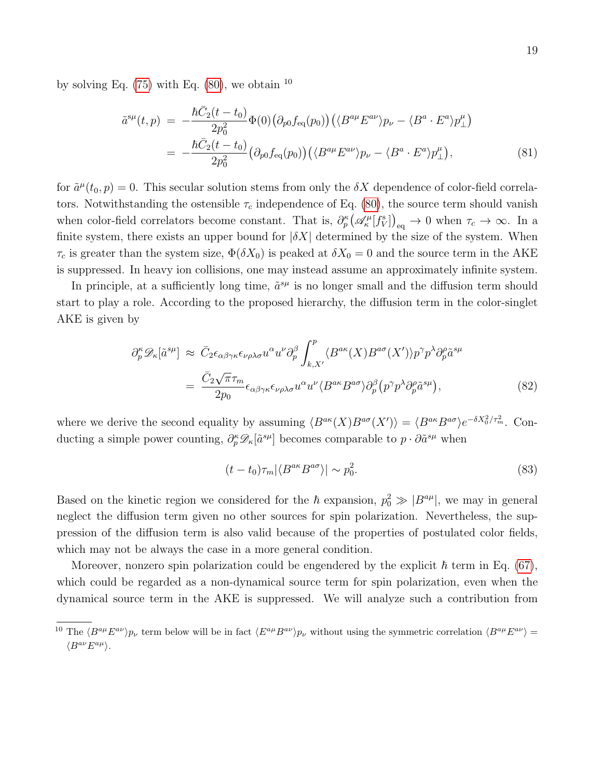by solving Eq.  $(75)$  with Eq.  $(80)$ , we obtain  $^{10}$ 

<span id="page-18-0"></span>
$$
\tilde{a}^{s\mu}(t,p) = -\frac{\hbar \bar{C}_2(t-t_0)}{2p_0^2} \Phi(0) \left(\partial_{p0} f_{\text{eq}}(p_0)\right) \left(\langle B^{a\mu} E^{a\nu} \rangle p_{\nu} - \langle B^{a} \cdot E^{a} \rangle p_{\perp}^{\mu}\right)
$$

$$
= -\frac{\hbar \bar{C}_2(t-t_0)}{2p_0^2} \left(\partial_{p0} f_{\text{eq}}(p_0)\right) \left(\langle B^{a\mu} E^{a\nu} \rangle p_{\nu} - \langle B^{a} \cdot E^{a} \rangle p_{\perp}^{\mu}\right),\tag{81}
$$

for  $\tilde{a}^{\mu}(t_0, p) = 0$ . This secular solution stems from only the  $\delta X$  dependence of color-field correlators. Notwithstanding the ostensible  $\tau_c$  independence of Eq. [\(80\)](#page-17-1), the source term should vanish when color-field correlators become constant. That is,  $\partial_p^{\kappa} (\mathscr{A}_{\kappa}^{\mu}[f_{V}^s])_{\text{eq}} \to 0$  when  $\tau_c \to \infty$ . In a finite system, there exists an upper bound for  $|\delta X|$  determined by the size of the system. When  $\tau_c$  is greater than the system size,  $\Phi(\delta X_0)$  is peaked at  $\delta X_0 = 0$  and the source term in the AKE is suppressed. In heavy ion collisions, one may instead assume an approximately infinite system.

In principle, at a sufficiently long time,  $\tilde{a}^{s\mu}$  is no longer small and the diffusion term should start to play a role. According to the proposed hierarchy, the diffusion term in the color-singlet AKE is given by

$$
\partial_p^{\kappa} \mathcal{D}_{\kappa}[\tilde{a}^{s\mu}] \approx \bar{C}_2 \epsilon_{\alpha\beta\gamma\kappa} \epsilon_{\nu\rho\lambda\sigma} u^{\alpha} u^{\nu} \partial_p^{\beta} \int_{k,X'}^{p} \langle B^{a\kappa}(X) B^{a\sigma}(X') \rangle p^{\gamma} p^{\lambda} \partial_p^{\rho} \tilde{a}^{s\mu} \n= \frac{\bar{C}_2 \sqrt{\pi} \tau_m}{2p_0} \epsilon_{\alpha\beta\gamma\kappa} \epsilon_{\nu\rho\lambda\sigma} u^{\alpha} u^{\nu} \langle B^{a\kappa} B^{a\sigma} \rangle \partial_p^{\beta} (p^{\gamma} p^{\lambda} \partial_p^{\rho} \tilde{a}^{s\mu}),
$$
\n(82)

where we derive the second equality by assuming  $\langle B^{a\kappa}(X)B^{a\sigma}(X')\rangle = \langle B^{a\kappa}B^{a\sigma}\rangle e^{-\delta X_0^2/\tau_m^2}$ . Conducting a simple power counting,  $\partial_p^{\kappa} \mathscr{D}_{\kappa}[\tilde{a}^{s\mu}]$  becomes comparable to  $p \cdot \partial \tilde{a}^{s\mu}$  when

$$
(t - t_0)\tau_m |\langle B^{a\kappa} B^{a\sigma} \rangle| \sim p_0^2. \tag{83}
$$

Based on the kinetic region we considered for the  $\hbar$  expansion,  $p_0^2 \gg |B^{a\mu}|$ , we may in general neglect the diffusion term given no other sources for spin polarization. Nevertheless, the suppression of the diffusion term is also valid because of the properties of postulated color fields, which may not be always the case in a more general condition.

Moreover, nonzero spin polarization could be engendered by the explicit  $\hbar$  term in Eq. [\(67\)](#page-14-0), which could be regarded as a non-dynamical source term for spin polarization, even when the dynamical source term in the AKE is suppressed. We will analyze such a contribution from

<sup>&</sup>lt;sup>10</sup> The  $\langle B^{a\mu}E^{a\nu}\rangle p_{\nu}$  term below will be in fact  $\langle E^{a\mu}B^{a\nu}\rangle p_{\nu}$  without using the symmetric correlation  $\langle B^{a\mu}E^{a\nu}\rangle =$  $\langle B^{a\nu}E^{a\mu}\rangle$ .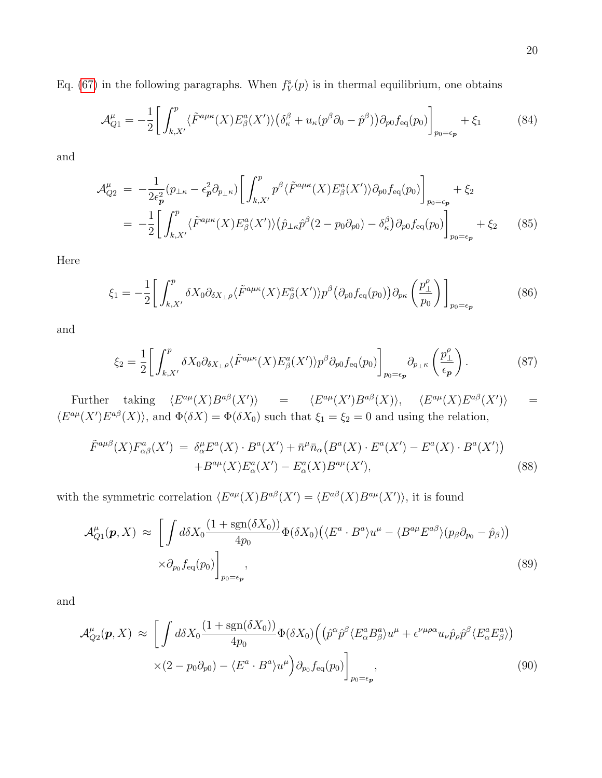Eq. [\(67\)](#page-14-0) in the following paragraphs. When  $f_V^s(p)$  is in thermal equilibrium, one obtains

<span id="page-19-0"></span>
$$
\mathcal{A}_{Q1}^{\mu} = -\frac{1}{2} \bigg[ \int_{k,X'}^{p} \langle \tilde{F}^{a\mu\kappa}(X) E^a_{\beta}(X') \rangle \big( \delta_{\kappa}^{\beta} + u_{\kappa} (p^{\beta} \partial_0 - \hat{p}^{\beta}) \big) \partial_{p0} f_{\text{eq}}(p_0) \bigg]_{p_0 = \epsilon_p} + \xi_1 \tag{84}
$$

and

$$
\mathcal{A}_{Q2}^{\mu} = -\frac{1}{2\epsilon_p^2} (p_{\perp\kappa} - \epsilon_p^2 \partial_{p_{\perp\kappa}}) \left[ \int_{k,X'}^p p^\beta \langle \tilde{F}^{a\mu\kappa}(X) E^a_\beta(X') \rangle \partial_{p0} f_{\text{eq}}(p_0) \right]_{p_0 = \epsilon_p} + \xi_2
$$
  
= 
$$
-\frac{1}{2} \left[ \int_{k,X'}^p \langle \tilde{F}^{a\mu\kappa}(X) E^a_\beta(X') \rangle \left( \hat{p}_{\perp\kappa} \hat{p}^\beta (2 - p_0 \partial_{p0}) - \delta_\kappa^\beta \right) \partial_{p0} f_{\text{eq}}(p_0) \right]_{p_0 = \epsilon_p} + \xi_2
$$
(85)

Here

$$
\xi_1 = -\frac{1}{2} \bigg[ \int_{k,X'}^p \delta X_0 \partial_{\delta X_\perp \rho} \langle \tilde{F}^{a\mu\kappa}(X) E^a_\beta(X') \rangle p^\beta \big( \partial_{p0} f_{\text{eq}}(p_0) \big) \partial_{p\kappa} \left( \frac{p_\perp^{\rho}}{p_0} \right) \bigg]_{p_0 = \epsilon_p} \tag{86}
$$

and

$$
\xi_2 = \frac{1}{2} \bigg[ \int_{k,X'}^{p} \delta X_0 \partial_{\delta X_{\perp} \rho} \langle \tilde{F}^{a\mu\kappa}(X) E^a_{\beta}(X') \rangle p^{\beta} \partial_{p0} f_{\text{eq}}(p_0) \bigg]_{p_0 = \epsilon_p} \partial_{p_{\perp} \kappa} \left( \frac{p_{\perp}^{\rho}}{\epsilon_p} \right). \tag{87}
$$

Further taking  $\langle E^{a\mu}(X)B^{a\beta}(X')\rangle$  =  $\langle E^{a\mu}(X')B^{a\beta}(X)\rangle$ ,  $\langle E^{a\mu}(X)E^{a\beta}(X')\rangle$  =  $\langle E^{a\mu}(X')E^{a\beta}(X)\rangle$ , and  $\Phi(\delta X)=\Phi(\delta X_0)$  such that  $\xi_1=\xi_2=0$  and using the relation,

$$
\tilde{F}^{a\mu\beta}(X)F^{a}_{\alpha\beta}(X') = \delta^{\mu}_{\alpha}E^{a}(X) \cdot B^{a}(X') + \bar{n}^{\mu}\bar{n}_{\alpha}\left(B^{a}(X) \cdot E^{a}(X') - E^{a}(X) \cdot B^{a}(X')\right) \n+ B^{a\mu}(X)E^{a}_{\alpha}(X') - E^{a}_{\alpha}(X)B^{a\mu}(X'),
$$
\n(88)

with the symmetric correlation  $\langle E^{a\mu}(X)B^{a\beta}(X') \rangle = \langle E^{a\beta}(X)B^{a\mu}(X') \rangle$ , it is found

$$
\mathcal{A}_{Q1}^{\mu}(\boldsymbol{p}, X) \approx \left[ \int d\delta X_0 \frac{(1 + \text{sgn}(\delta X_0))}{4p_0} \Phi(\delta X_0) \left( \langle E^a \cdot B^a \rangle u^{\mu} - \langle B^{a\mu} E^{a\beta} \rangle (p_\beta \partial_{p_0} - \hat{p}_\beta) \right) \right. \times \partial_{p_0} f_{\text{eq}}(p_0) \bigg]_{p_0 = \epsilon_{\boldsymbol{p}}} , \tag{89}
$$

and

$$
\mathcal{A}_{Q2}^{\mu}(\boldsymbol{p},X) \approx \left[ \int d\delta X_0 \frac{(1+\text{sgn}(\delta X_0))}{4p_0} \Phi(\delta X_0) \left( (\hat{p}^{\alpha} \hat{p}^{\beta} \langle E_{\alpha}^a B_{\beta}^a \rangle u^{\mu} + \epsilon^{\nu \mu \rho \alpha} u_{\nu} \hat{p}_{\rho} \hat{p}^{\beta} \langle E_{\alpha}^a E_{\beta}^a \rangle \right) \times (2-p_0 \partial_{p0}) - \langle E^a \cdot B^a \rangle u^{\mu} \right) \partial_{p_0} f_{\text{eq}}(p_0) \bigg]_{p_0=\epsilon_p}, \tag{90}
$$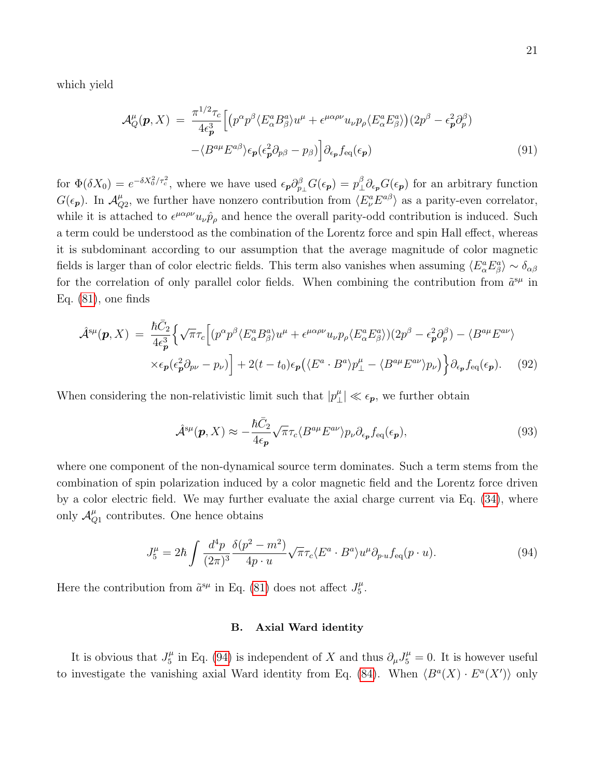which yield

<span id="page-20-2"></span>
$$
\mathcal{A}_{Q}^{\mu}(\boldsymbol{p},X) = \frac{\pi^{1/2}\tau_{c}}{4\epsilon_{\boldsymbol{p}}^{3}} \Big[ \big(p^{\alpha}p^{\beta}\langle E_{\alpha}^{a}B_{\beta}^{a}\rangle u^{\mu} + \epsilon^{\mu\alpha\rho\nu}u_{\nu}p_{\rho}\langle E_{\alpha}^{a}E_{\beta}^{a}\rangle \big) (2p^{\beta} - \epsilon_{\boldsymbol{p}}^{2}\partial_{p}^{\beta}) - \langle B^{a\mu}E^{a\beta}\rangle\epsilon_{\boldsymbol{p}}(\epsilon_{\boldsymbol{p}}^{2}\partial_{p\beta} - p_{\beta}) \Big] \partial_{\epsilon_{\boldsymbol{p}}}f_{\text{eq}}(\epsilon_{\boldsymbol{p}}) \tag{91}
$$

for  $\Phi(\delta X_0) = e^{-\delta X_0^2/\tau_c^2}$ , where we have used  $\epsilon_{\bm p} \partial_{p_\perp}^\beta G(\epsilon_{\bm p}) = p_\perp^\beta$  $\frac{\beta}{\mu} \partial_{\epsilon_p} G(\epsilon_p)$  for an arbitrary function  $G(\epsilon_p)$ . In  $\mathcal{A}_{\mathcal{C}}^{\mu}$  $_{Q2}^{\mu}$ , we further have nonzero contribution from  $\langle E_{\nu}^{a} E^{a\beta} \rangle$  as a parity-even correlator, while it is attached to  $\epsilon^{\mu\alpha\rho\nu}u_{\nu}\hat{p}_{\rho}$  and hence the overall parity-odd contribution is induced. Such a term could be understood as the combination of the Lorentz force and spin Hall effect, whereas it is subdominant according to our assumption that the average magnitude of color magnetic fields is larger than of color electric fields. This term also vanishes when assuming  $\langle E_\alpha^a E_\beta^a \rangle \sim \delta_{\alpha\beta}$ for the correlation of only parallel color fields. When combining the contribution from  $\tilde{a}^{s\mu}$  in Eq. [\(81\)](#page-18-0), one finds

<span id="page-20-3"></span>
$$
\hat{\mathcal{A}}^{s\mu}(\boldsymbol{p},X) = \frac{\hbar \bar{C}_2}{4\epsilon_p^3} \Big\{ \sqrt{\pi} \tau_c \Big[ (p^\alpha p^\beta \langle E^a_\alpha B^a_\beta \rangle u^\mu + \epsilon^{\mu \alpha \rho \nu} u_\nu p_\rho \langle E^a_\alpha E^a_\beta \rangle ) (2p^\beta - \epsilon_p^2 \partial_p^\beta) - \langle B^{a\mu} E^{a\nu} \rangle \times \epsilon_p (\epsilon_p^2 \partial_{p\nu} - p_\nu) \Big] + 2(t - t_0) \epsilon_p \Big( \langle E^a \cdot B^a \rangle p^\mu_\perp - \langle B^{a\mu} E^{a\nu} \rangle p_\nu \Big) \Big\} \partial_{\epsilon_p} f_{\text{eq}}(\epsilon_p). \tag{92}
$$

When considering the non-relativistic limit such that  $|p^{\mu}_{\perp}|$  $|\mu_{\perp}| \ll \epsilon_p$ , we further obtain

$$
\hat{\mathcal{A}}^{s\mu}(\boldsymbol{p}, X) \approx -\frac{\hbar \bar{C}_2}{4\epsilon_{\boldsymbol{p}}} \sqrt{\pi} \tau_c \langle B^{a\mu} E^{a\nu} \rangle p_{\nu} \partial_{\epsilon_{\boldsymbol{p}}} f_{\text{eq}}(\epsilon_{\boldsymbol{p}}), \tag{93}
$$

where one component of the non-dynamical source term dominates. Such a term stems from the combination of spin polarization induced by a color magnetic field and the Lorentz force driven by a color electric field. We may further evaluate the axial charge current via Eq. [\(34\)](#page-9-2), where only  $\mathcal{A}_{\mathcal{C}}^{\mu}$  $\frac{\mu}{Q_1}$  contributes. One hence obtains

<span id="page-20-1"></span>
$$
J_5^{\mu} = 2\hbar \int \frac{d^4 p}{(2\pi)^3} \frac{\delta(p^2 - m^2)}{4p \cdot u} \sqrt{\pi} \tau_c \langle E^a \cdot B^a \rangle u^{\mu} \partial_{p \cdot u} f_{\text{eq}}(p \cdot u). \tag{94}
$$

Here the contribution from  $\tilde{a}^{s\mu}$  in Eq. [\(81\)](#page-18-0) does not affect  $J_5^{\mu}$  $\frac{\mu}{5}$ .

## <span id="page-20-0"></span>B. Axial Ward identity

It is obvious that  $J_5^{\mu}$  $\delta_5^{\mu}$  in Eq. [\(94\)](#page-20-1) is independent of X and thus  $\partial_{\mu}J_5^{\mu}=0$ . It is however useful to investigate the vanishing axial Ward identity from Eq. [\(84\)](#page-19-0). When  $\langle B^a(X) \cdot E^a(X') \rangle$  only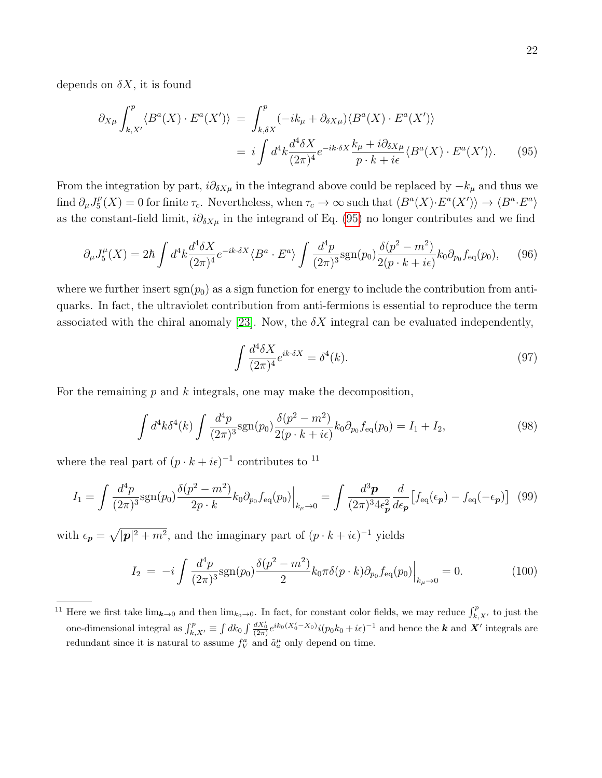depends on  $\delta X$ , it is found

<span id="page-21-0"></span>
$$
\partial_{X\mu} \int_{k,X'}^{p} \langle B^{a}(X) \cdot E^{a}(X') \rangle = \int_{k,\delta X}^{p} (-ik_{\mu} + \partial_{\delta X\mu}) \langle B^{a}(X) \cdot E^{a}(X') \rangle
$$
  

$$
= i \int d^{4}k \frac{d^{4}\delta X}{(2\pi)^{4}} e^{-ik \cdot \delta X} \frac{k_{\mu} + i \partial_{\delta X\mu}}{p \cdot k + i\epsilon} \langle B^{a}(X) \cdot E^{a}(X') \rangle.
$$
 (95)

From the integration by part,  $i\partial_{\delta X\mu}$  in the integrand above could be replaced by  $-k_{\mu}$  and thus we find  $\partial_\mu J^\mu_5$  $\mathcal{L}_5^{\mu}(X) = 0$  for finite  $\tau_c$ . Nevertheless, when  $\tau_c \to \infty$  such that  $\langle B^a(X) \cdot E^a(X') \rangle \to \langle B^a \cdot E^a \rangle$ as the constant-field limit,  $i\partial_{\delta X\mu}$  in the integrand of Eq. [\(95\)](#page-21-0) no longer contributes and we find

$$
\partial_{\mu}J_{5}^{\mu}(X) = 2\hbar \int d^{4}k \frac{d^{4}\delta X}{(2\pi)^{4}} e^{-ik\cdot\delta X} \langle B^{a} \cdot E^{a} \rangle \int \frac{d^{4}p}{(2\pi)^{3}} \text{sgn}(p_{0}) \frac{\delta(p^{2} - m^{2})}{2(p \cdot k + i\epsilon)} k_{0} \partial_{p_{0}} f_{\text{eq}}(p_{0}), \quad (96)
$$

where we further insert  $\text{sgn}(p_0)$  as a sign function for energy to include the contribution from antiquarks. In fact, the ultraviolet contribution from anti-fermions is essential to reproduce the term associated with the chiral anomaly [\[23\]](#page-35-10). Now, the  $\delta X$  integral can be evaluated independently,

$$
\int \frac{d^4 \delta X}{(2\pi)^4} e^{ik \cdot \delta X} = \delta^4(k). \tag{97}
$$

For the remaining  $p$  and  $k$  integrals, one may make the decomposition,

$$
\int d^4k \delta^4(k) \int \frac{d^4p}{(2\pi)^3} \text{sgn}(p_0) \frac{\delta(p^2 - m^2)}{2(p \cdot k + i\epsilon)} k_0 \partial_{p_0} f_{\text{eq}}(p_0) = I_1 + I_2,\tag{98}
$$

where the real part of  $(p \cdot k + i\epsilon)^{-1}$  contributes to <sup>11</sup>

$$
I_1 = \int \frac{d^4 p}{(2\pi)^3} \text{sgn}(p_0) \frac{\delta(p^2 - m^2)}{2p \cdot k} k_0 \partial_{p_0} f_{\text{eq}}(p_0) \Big|_{k_\mu \to 0} = \int \frac{d^3 \mathbf{p}}{(2\pi)^3 4\epsilon_{\mathbf{p}}^2} \frac{d}{d\epsilon_{\mathbf{p}}} \left[ f_{\text{eq}}(\epsilon_{\mathbf{p}}) - f_{\text{eq}}(-\epsilon_{\mathbf{p}}) \right] \tag{99}
$$

with  $\epsilon_p = \sqrt{|\mathbf{p}|^2 + m^2}$ , and the imaginary part of  $(p \cdot k + i\epsilon)^{-1}$  yields

$$
I_2 = -i \int \frac{d^4 p}{(2\pi)^3} \text{sgn}(p_0) \frac{\delta(p^2 - m^2)}{2} k_0 \pi \delta(p \cdot k) \partial_{p_0} f_{\text{eq}}(p_0) \Big|_{k_\mu \to 0} = 0. \tag{100}
$$

<sup>&</sup>lt;sup>11</sup> Here we first take  $\lim_{k\to 0}$  and then  $\lim_{k_0\to 0}$ . In fact, for constant color fields, we may reduce  $\int_{k,X'}^p$  to just the one-dimensional integral as  $\int_{k,X'}^p \equiv \int dk_0 \int \frac{dX'_0}{(2\pi)} e^{ik_0(X'_0 - X_0)} i(p_0 k_0 + i\epsilon)^{-1}$  and hence the **k** and **X'** integrals are redundant since it is natural to assume  $f_V^a$  and  $\tilde{a}_a^{\mu}$  only depend on time.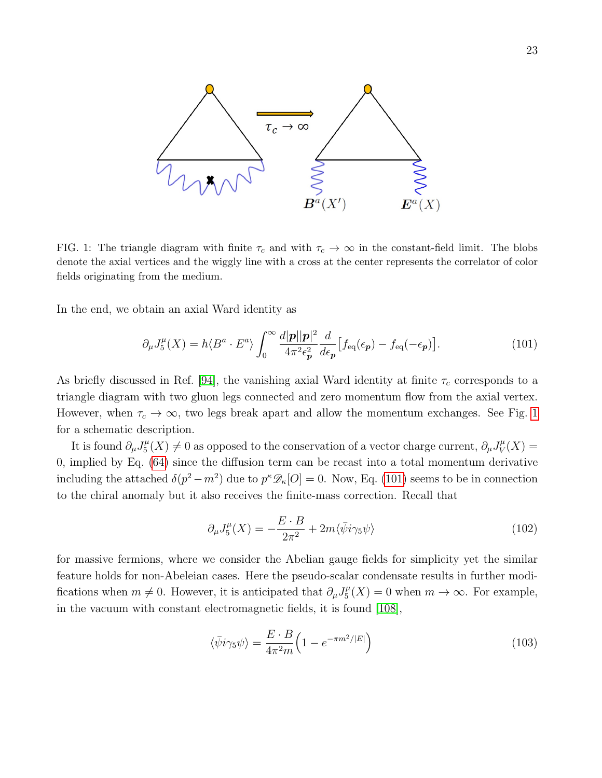

<span id="page-22-0"></span>FIG. 1: The triangle diagram with finite  $\tau_c$  and with  $\tau_c \to \infty$  in the constant-field limit. The blobs denote the axial vertices and the wiggly line with a cross at the center represents the correlator of color fields originating from the medium.

In the end, we obtain an axial Ward identity as

<span id="page-22-1"></span>
$$
\partial_{\mu}J_{5}^{\mu}(X) = \hbar \langle B^{a} \cdot E^{a} \rangle \int_{0}^{\infty} \frac{d|\mathbf{p}||\mathbf{p}|^{2}}{4\pi^{2} \epsilon_{\mathbf{p}}^{2}} \frac{d}{d\epsilon_{\mathbf{p}}} \left[ f_{\text{eq}}(\epsilon_{\mathbf{p}}) - f_{\text{eq}}(-\epsilon_{\mathbf{p}}) \right]. \tag{101}
$$

As briefly discussed in Ref. [\[94\]](#page-37-20), the vanishing axial Ward identity at finite  $\tau_c$  corresponds to a triangle diagram with two gluon legs connected and zero momentum flow from the axial vertex. However, when  $\tau_c \to \infty$ , two legs break apart and allow the momentum exchanges. See Fig. [1](#page-22-0) for a schematic description.

It is found  $\partial_{\mu}J^{\mu}_{5}$  $\mathcal{L}_5^{\mu}(X) \neq 0$  as opposed to the conservation of a vector charge current,  $\partial_{\mu} J^{\mu}_{V}$  $\gamma^{\mu}_V(X) =$ 0, implied by Eq. [\(64\)](#page-13-3) since the diffusion term can be recast into a total momentum derivative including the attached  $\delta(p^2 - m^2)$  due to  $p^k \mathscr{D}_k[O] = 0$ . Now, Eq. [\(101\)](#page-22-1) seems to be in connection to the chiral anomaly but it also receives the finite-mass correction. Recall that

$$
\partial_{\mu}J_{5}^{\mu}(X) = -\frac{E \cdot B}{2\pi^{2}} + 2m\langle \bar{\psi}i\gamma_{5}\psi \rangle \tag{102}
$$

for massive fermions, where we consider the Abelian gauge fields for simplicity yet the similar feature holds for non-Abeleian cases. Here the pseudo-scalar condensate results in further modifications when  $m \neq 0$ . However, it is anticipated that  $\partial_{\mu}J_{5}^{\mu}$  $\mathcal{L}_5^{\mu}(X) = 0$  when  $m \to \infty$ . For example, in the vacuum with constant electromagnetic fields, it is found [\[108\]](#page-38-9),

$$
\langle \bar{\psi} i\gamma_5 \psi \rangle = \frac{E \cdot B}{4\pi^2 m} \Big( 1 - e^{-\pi m^2/|E|} \Big) \tag{103}
$$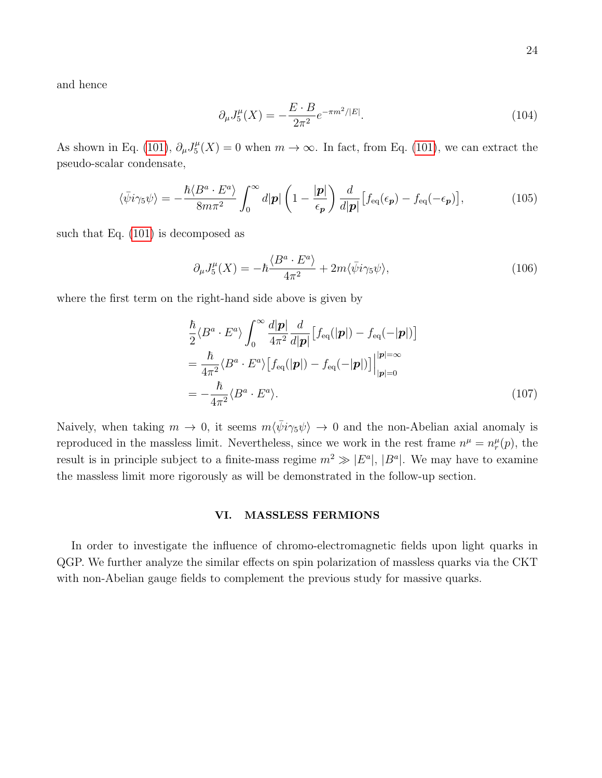and hence

$$
\partial_{\mu}J_{5}^{\mu}(X) = -\frac{E \cdot B}{2\pi^{2}} e^{-\pi m^{2}/|E|}.
$$
\n(104)

As shown in Eq. [\(101\)](#page-22-1),  $\partial_{\mu}J_5^{\mu}$  $\mathcal{L}_5^{\mu}(X) = 0$  when  $m \to \infty$ . In fact, from Eq. [\(101\)](#page-22-1), we can extract the pseudo-scalar condensate,

$$
\langle \bar{\psi} i\gamma_5 \psi \rangle = -\frac{\hbar \langle B^a \cdot E^a \rangle}{8m\pi^2} \int_0^\infty d|\mathbf{p}| \left(1 - \frac{|\mathbf{p}|}{\epsilon_\mathbf{p}}\right) \frac{d}{d|\mathbf{p}|} \left[f_{\text{eq}}(\epsilon_\mathbf{p}) - f_{\text{eq}}(-\epsilon_\mathbf{p})\right],\tag{105}
$$

such that Eq. [\(101\)](#page-22-1) is decomposed as

<span id="page-23-1"></span>
$$
\partial_{\mu}J_{5}^{\mu}(X) = -\hbar \frac{\langle B^{a} \cdot E^{a} \rangle}{4\pi^{2}} + 2m \langle \bar{\psi} i \gamma_{5} \psi \rangle, \tag{106}
$$

where the first term on the right-hand side above is given by

$$
\frac{\hbar}{2} \langle B^a \cdot E^a \rangle \int_0^\infty \frac{d|\mathbf{p}|}{4\pi^2} \frac{d}{d|\mathbf{p}|} \left[ f_{\text{eq}}(|\mathbf{p}|) - f_{\text{eq}}(-|\mathbf{p}|) \right]
$$
\n
$$
= \frac{\hbar}{4\pi^2} \langle B^a \cdot E^a \rangle \left[ f_{\text{eq}}(|\mathbf{p}|) - f_{\text{eq}}(-|\mathbf{p}|) \right] \Big|_{|\mathbf{p}|=0}^{|\mathbf{p}|=\infty}
$$
\n
$$
= -\frac{\hbar}{4\pi^2} \langle B^a \cdot E^a \rangle. \tag{107}
$$

Naively, when taking  $m \to 0$ , it seems  $m \langle \bar{\psi} i \gamma_5 \psi \rangle \to 0$  and the non-Abelian axial anomaly is reproduced in the massless limit. Nevertheless, since we work in the rest frame  $n^{\mu} = n_r^{\mu}(p)$ , the result is in principle subject to a finite-mass regime  $m^2 \gg |E^a|$ ,  $|B^a|$ . We may have to examine the massless limit more rigorously as will be demonstrated in the follow-up section.

## <span id="page-23-0"></span>VI. MASSLESS FERMIONS

In order to investigate the influence of chromo-electromagnetic fields upon light quarks in QGP. We further analyze the similar effects on spin polarization of massless quarks via the CKT with non-Abelian gauge fields to complement the previous study for massive quarks.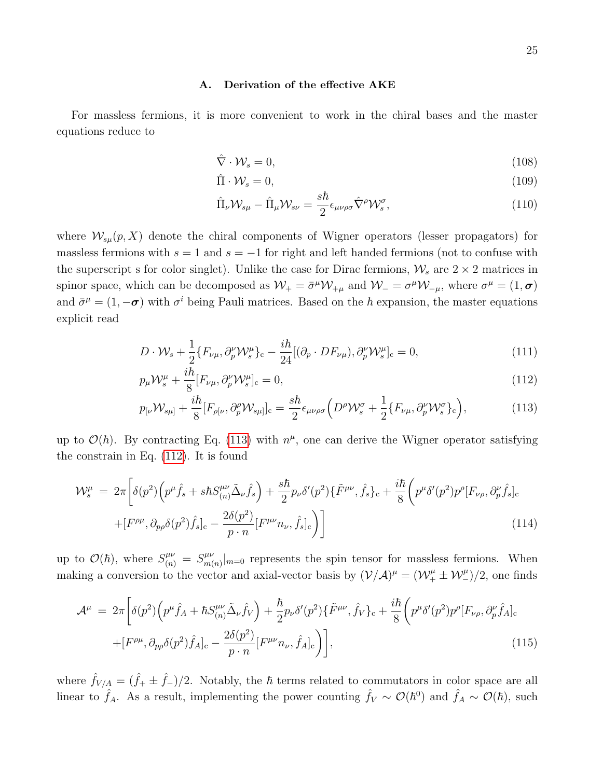#### <span id="page-24-0"></span>A. Derivation of the effective AKE

For massless fermions, it is more convenient to work in the chiral bases and the master equations reduce to

$$
\hat{\nabla} \cdot \mathcal{W}_s = 0,\tag{108}
$$

$$
\hat{\Pi} \cdot \mathcal{W}_s = 0,\tag{109}
$$

$$
\hat{\Pi}_{\nu} \mathcal{W}_{s\mu} - \hat{\Pi}_{\mu} \mathcal{W}_{s\nu} = \frac{s\hbar}{2} \epsilon_{\mu\nu\rho\sigma} \hat{\nabla}^{\rho} \mathcal{W}_{s}^{\sigma},\tag{110}
$$

where  $\mathcal{W}_{s\mu}(p, X)$  denote the chiral components of Wigner operators (lesser propagators) for massless fermions with  $s = 1$  and  $s = -1$  for right and left handed fermions (not to confuse with the superscript s for color singlet). Unlike the case for Dirac fermions,  $\mathcal{W}_s$  are  $2 \times 2$  matrices in spinor space, which can be decomposed as  $W_+ = \bar{\sigma}^\mu \mathcal{W}_{+\mu}$  and  $W_- = \sigma^\mu \mathcal{W}_{-\mu}$ , where  $\sigma^\mu = (1, \sigma)$ and  $\bar{\sigma}^{\mu} = (1, -\sigma)$  with  $\sigma^{i}$  being Pauli matrices. Based on the  $\hbar$  expansion, the master equations explicit read

<span id="page-24-1"></span>
$$
D \cdot \mathcal{W}_s + \frac{1}{2} \{ F_{\nu\mu}, \partial_p^{\nu} \mathcal{W}_s^{\mu} \}_c - \frac{i\hbar}{24} [(\partial_p \cdot DF_{\nu\mu}), \partial_p^{\nu} \mathcal{W}_s^{\mu}]_c = 0, \tag{111}
$$

$$
p_{\mu}\mathcal{W}_{s}^{\mu} + \frac{i\hbar}{8}[F_{\nu\mu}, \partial_{p}^{\nu}\mathcal{W}_{s}^{\mu}]_{c} = 0, \qquad (112)
$$

$$
p_{\lbrack\nu}\mathcal{W}_{s\mu\rbrack} + \frac{i\hbar}{8}[F_{\rho\lbrack\nu}, \partial_p^{\rho}\mathcal{W}_{s\mu\rbrack}]_c = \frac{s\hbar}{2} \epsilon_{\mu\nu\rho\sigma} \Big( D^{\rho}\mathcal{W}_s^{\sigma} + \frac{1}{2} \{F_{\nu\mu}, \partial_p^{\nu}\mathcal{W}_s^{\sigma} \}_c \Big),\tag{113}
$$

up to  $\mathcal{O}(\hbar)$ . By contracting Eq. [\(113\)](#page-24-1) with  $n^{\mu}$ , one can derive the Wigner operator satisfying the constrain in Eq. [\(112\)](#page-24-1). It is found

$$
\mathcal{W}_{s}^{\mu} = 2\pi \left[ \delta(p^{2}) \left( p^{\mu} \hat{f}_{s} + s\hbar S_{(n)}^{\mu\nu} \tilde{\Delta}_{\nu} \hat{f}_{s} \right) + \frac{s\hbar}{2} p_{\nu} \delta'(p^{2}) \{ \tilde{F}^{\mu\nu}, \hat{f}_{s} \}_{c} + \frac{i\hbar}{8} \left( p^{\mu} \delta'(p^{2}) p^{\rho} [F_{\nu\rho}, \partial_{p}^{\nu} \hat{f}_{s}]_{c} \right) + \left[ F^{\rho\mu}, \partial_{p\rho} \delta(p^{2}) \hat{f}_{s} \right]_{c} - \frac{2\delta(p^{2})}{p \cdot n} \left[ F^{\mu\nu} n_{\nu}, \hat{f}_{s} \right]_{c} \right]
$$
\n(114)

up to  $\mathcal{O}(\hbar)$ , where  $S^{\mu\nu}_{(n)} = S^{\mu\nu}_{m(n)}$  $\binom{\mu\nu}{m(n)}|_{m=0}$  represents the spin tensor for massless fermions. When making a conversion to the vector and axial-vector basis by  $(\mathcal{V}/\mathcal{A})^{\mu} = (\mathcal{W}^{\mu}_+ \pm \mathcal{W}^{\mu}_-) / 2$ , one finds

$$
\mathcal{A}^{\mu} = 2\pi \left[ \delta(p^{2}) \left( p^{\mu} \hat{f}_{A} + \hbar S^{\mu\nu}_{(n)} \tilde{\Delta}_{\nu} \hat{f}_{V} \right) + \frac{\hbar}{2} p_{\nu} \delta'(p^{2}) \{ \tilde{F}^{\mu\nu}, \hat{f}_{V} \}_{c} + \frac{i\hbar}{8} \left( p^{\mu} \delta'(p^{2}) p^{\rho} [F_{\nu\rho}, \partial_{p}^{\nu} \hat{f}_{A}]_{c} \right) + \left[ F^{\rho\mu}, \partial_{p\rho} \delta(p^{2}) \hat{f}_{A} \right]_{c} - \frac{2\delta(p^{2})}{p \cdot n} \left[ F^{\mu\nu} n_{\nu}, \hat{f}_{A} \right]_{c} \right], \tag{115}
$$

where  $\hat{f}_{V/A} = (\hat{f}_+ \pm \hat{f}_-) / 2$ . Notably, the  $\hbar$  terms related to commutators in color space are all linear to  $\hat{f}_A$ . As a result, implementing the power counting  $\hat{f}_V \sim \mathcal{O}(\hbar^0)$  and  $\hat{f}_A \sim \mathcal{O}(\hbar)$ , such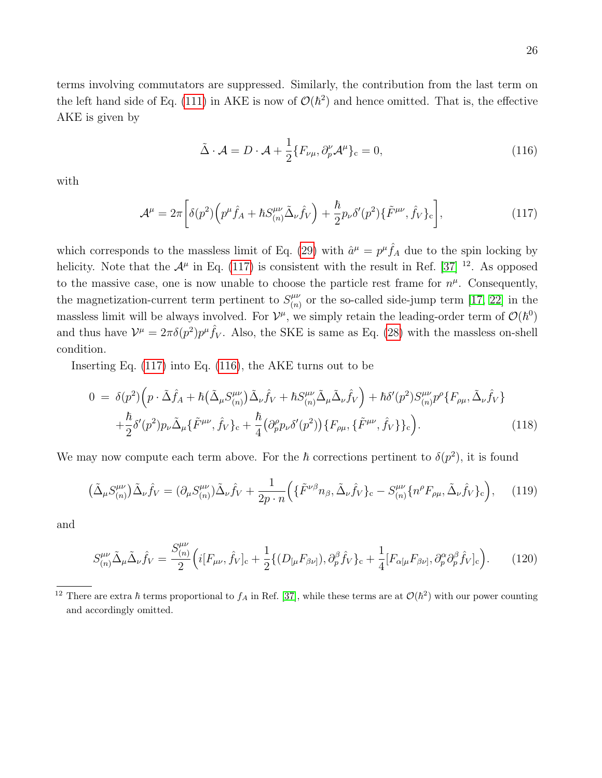terms involving commutators are suppressed. Similarly, the contribution from the last term on the left hand side of Eq. [\(111\)](#page-24-1) in AKE is now of  $\mathcal{O}(\hbar^2)$  and hence omitted. That is, the effective AKE is given by

<span id="page-25-1"></span>
$$
\tilde{\Delta} \cdot \mathcal{A} = D \cdot \mathcal{A} + \frac{1}{2} \{ F_{\nu\mu}, \partial_p^{\nu} \mathcal{A}^{\mu} \}_{c} = 0, \qquad (116)
$$

with

<span id="page-25-0"></span>
$$
\mathcal{A}^{\mu} = 2\pi \left[ \delta(p^2) \left( p^{\mu} \hat{f}_A + \hbar S^{\mu\nu}_{(n)} \tilde{\Delta}_{\nu} \hat{f}_V \right) + \frac{\hbar}{2} p_{\nu} \delta'(p^2) \{ \tilde{F}^{\mu\nu}, \hat{f}_V \}_c \right],
$$
(117)

which corresponds to the massless limit of Eq. [\(29\)](#page-7-2) with  $\hat{a}^{\mu} = p^{\mu} \hat{f}_{A}$  due to the spin locking by helicity. Note that the  $\mathcal{A}^{\mu}$  in Eq. [\(117\)](#page-25-0) is consistent with the result in Ref. [\[37\]](#page-36-19) <sup>12</sup>. As opposed to the massive case, one is now unable to choose the particle rest frame for  $n^{\mu}$ . Consequently, the magnetization-current term pertinent to  $S_{(n)}^{\mu\nu}$  $\binom{\mu\nu}{(n)}$  or the so-called side-jump term [\[17,](#page-35-12) [22\]](#page-35-9) in the massless limit will be always involved. For  $\mathcal{V}^{\mu}$ , we simply retain the leading-order term of  $\mathcal{O}(\hbar^0)$ and thus have  $\mathcal{V}^{\mu} = 2\pi \delta(p^2)p^{\mu} \hat{f}_V$ . Also, the SKE is same as Eq. [\(28\)](#page-7-4) with the massless on-shell condition.

Inserting Eq. [\(117\)](#page-25-0) into Eq. [\(116\)](#page-25-1), the AKE turns out to be

$$
0 = \delta(p^2) \left( p \cdot \tilde{\Delta} \hat{f}_A + \hbar \left( \tilde{\Delta}_{\mu} S^{\mu\nu}_{(n)} \right) \tilde{\Delta}_{\nu} \hat{f}_V + \hbar S^{\mu\nu}_{(n)} \tilde{\Delta}_{\mu} \tilde{\Delta}_{\nu} \hat{f}_V \right) + \hbar \delta'(p^2) S^{\mu\nu}_{(n)} p^{\rho} \{ F_{\rho\mu}, \tilde{\Delta}_{\nu} \hat{f}_V \} + \frac{\hbar}{2} \delta'(p^2) p_{\nu} \tilde{\Delta}_{\mu} \{ \tilde{F}^{\mu\nu}, \hat{f}_V \}_c + \frac{\hbar}{4} \left( \partial^{\rho}_{p} p_{\nu} \delta'(p^2) \right) \{ F_{\rho\mu}, \{ \tilde{F}^{\mu\nu}, \hat{f}_V \} \}_c \right).
$$
 (118)

We may now compute each term above. For the  $\hbar$  corrections pertinent to  $\delta(p^2)$ , it is found

$$
\left(\tilde{\Delta}_{\mu}S_{(n)}^{\mu\nu}\right)\tilde{\Delta}_{\nu}\hat{f}_{V} = \left(\partial_{\mu}S_{(n)}^{\mu\nu}\right)\tilde{\Delta}_{\nu}\hat{f}_{V} + \frac{1}{2p \cdot n}\left(\left\{\tilde{F}^{\nu\beta}n_{\beta}, \tilde{\Delta}_{\nu}\hat{f}_{V}\right\}_{c} - S_{(n)}^{\mu\nu}\left\{n^{\rho}F_{\rho\mu}, \tilde{\Delta}_{\nu}\hat{f}_{V}\right\}_{c}\right),\tag{119}
$$

and

$$
S^{\mu\nu}_{(n)}\tilde{\Delta}_{\mu}\tilde{\Delta}_{\nu}\hat{f}_{V} = \frac{S^{\mu\nu}_{(n)}}{2} \Big( i[F_{\mu\nu}, \hat{f}_{V}]_{c} + \frac{1}{2} \{ (D_{[\mu}F_{\beta\nu]}, \partial_{p}^{\beta}\hat{f}_{V})_{c} + \frac{1}{4} [F_{\alpha[\mu}F_{\beta\nu]}, \partial_{p}^{\alpha}\partial_{p}^{\beta}\hat{f}_{V}]_{c} \Big). \tag{120}
$$

<sup>&</sup>lt;sup>12</sup> There are extra  $\hbar$  terms proportional to  $f_A$  in Ref. [\[37\]](#page-36-19), while these terms are at  $\mathcal{O}(\hbar^2)$  with our power counting and accordingly omitted.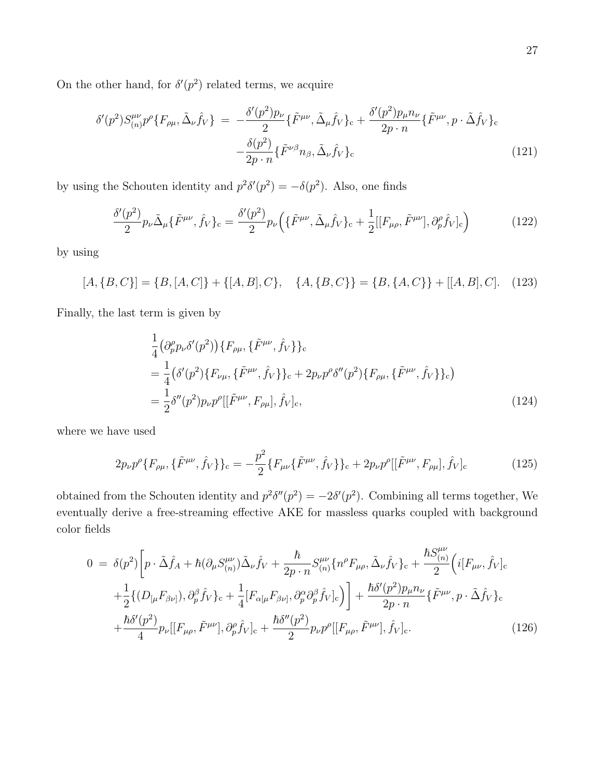On the other hand, for  $\delta'(p^2)$  related terms, we acquire

$$
\delta'(p^2)S_{(n)}^{\mu\nu}p^{\rho}\lbrace F_{\rho\mu}, \tilde{\Delta}_{\nu}\hat{f}_V\rbrace = -\frac{\delta'(p^2)p_{\nu}}{2}\lbrace \tilde{F}^{\mu\nu}, \tilde{\Delta}_{\mu}\hat{f}_V\rbrace_c + \frac{\delta'(p^2)p_{\mu}n_{\nu}}{2p\cdot n}\lbrace \tilde{F}^{\mu\nu}, p\cdot \tilde{\Delta}\hat{f}_V\rbrace_c
$$
\n
$$
-\frac{\delta(p^2)}{2p\cdot n}\lbrace \tilde{F}^{\nu\beta}n_{\beta}, \tilde{\Delta}_{\nu}\hat{f}_V\rbrace_c \tag{121}
$$

by using the Schouten identity and  $p^2\delta'(p^2) = -\delta(p^2)$ . Also, one finds

$$
\frac{\delta'(p^2)}{2}p_{\nu}\tilde{\Delta}_{\mu}\{\tilde{F}^{\mu\nu},\hat{f}_V\}_c = \frac{\delta'(p^2)}{2}p_{\nu}\Big(\{\tilde{F}^{\mu\nu},\tilde{\Delta}_{\mu}\hat{f}_V\}_c + \frac{1}{2}[[F_{\mu\rho},\tilde{F}^{\mu\nu}],\partial_p^{\rho}\hat{f}_V]_c\Big) \tag{122}
$$

by using

$$
[A, \{B, C\}] = \{B, [A, C]\} + \{[A, B], C\}, \quad \{A, \{B, C\}\} = \{B, \{A, C\}\} + [[A, B], C]. \quad (123)
$$

Finally, the last term is given by

$$
\frac{1}{4} \left( \partial_p^{\rho} p_{\nu} \delta'(p^2) \right) \{ F_{\rho\mu}, \{ \tilde{F}^{\mu\nu}, \hat{f}_V \} \}_{\text{c}} \n= \frac{1}{4} \left( \delta'(p^2) \{ F_{\nu\mu}, \{ \tilde{F}^{\mu\nu}, \hat{f}_V \} \}_{\text{c}} + 2 p_{\nu} p^{\rho} \delta''(p^2) \{ F_{\rho\mu}, \{ \tilde{F}^{\mu\nu}, \hat{f}_V \} \}_{\text{c}} \right) \n= \frac{1}{2} \delta''(p^2) p_{\nu} p^{\rho} [[\tilde{F}^{\mu\nu}, F_{\rho\mu}], \hat{f}_V ]_{\text{c}},
$$
\n(124)

where we have used

$$
2p_{\nu}p^{\rho}\{F_{\rho\mu},\{\tilde{F}^{\mu\nu},\hat{f}_V\}\}_{c} = -\frac{p^2}{2}\{F_{\mu\nu}\{\tilde{F}^{\mu\nu},\hat{f}_V\}\}_{c} + 2p_{\nu}p^{\rho}[[\tilde{F}^{\mu\nu},F_{\rho\mu}],\hat{f}_V]_{c}
$$
(125)

obtained from the Schouten identity and  $p^2\delta''(p^2) = -2\delta'(p^2)$ . Combining all terms together, We eventually derive a free-streaming effective AKE for massless quarks coupled with background color fields

$$
0 = \delta(p^{2}) \left[ p \cdot \tilde{\Delta} \hat{f}_{A} + \hbar (\partial_{\mu} S_{(n)}^{\mu \nu}) \tilde{\Delta}_{\nu} \hat{f}_{V} + \frac{\hbar}{2p \cdot n} S_{(n)}^{\mu \nu} \{ n^{\rho} F_{\mu \rho}, \tilde{\Delta}_{\nu} \hat{f}_{V} \}_{c} + \frac{\hbar S_{(n)}^{\mu \nu}}{2} \left( i[F_{\mu \nu}, \hat{f}_{V}]_{c} + \frac{1}{2} \{ (D_{[\mu} F_{\beta \nu]}, \partial_{p}^{\beta} \hat{f}_{V} \}_{c} + \frac{1}{4} [F_{\alpha[\mu} F_{\beta \nu]}, \partial_{p}^{\alpha} \partial_{p}^{\beta} \hat{f}_{V}]_{c} \right) \right] + \frac{\hbar \delta'(p^{2}) p_{\mu} n_{\nu}}{2p \cdot n} \{ \tilde{F}^{\mu \nu}, p \cdot \tilde{\Delta} \hat{f}_{V} \}_{c} + \frac{\hbar \delta'(p^{2})}{4} p_{\nu} [[F_{\mu \rho}, \tilde{F}^{\mu \nu}], \partial_{p}^{\rho} \hat{f}_{V}]_{c} + \frac{\hbar \delta''(p^{2})}{2} p_{\nu} p^{\rho} [[F_{\mu \rho}, \tilde{F}^{\mu \nu}], \hat{f}_{V}]_{c}.
$$
\n(126)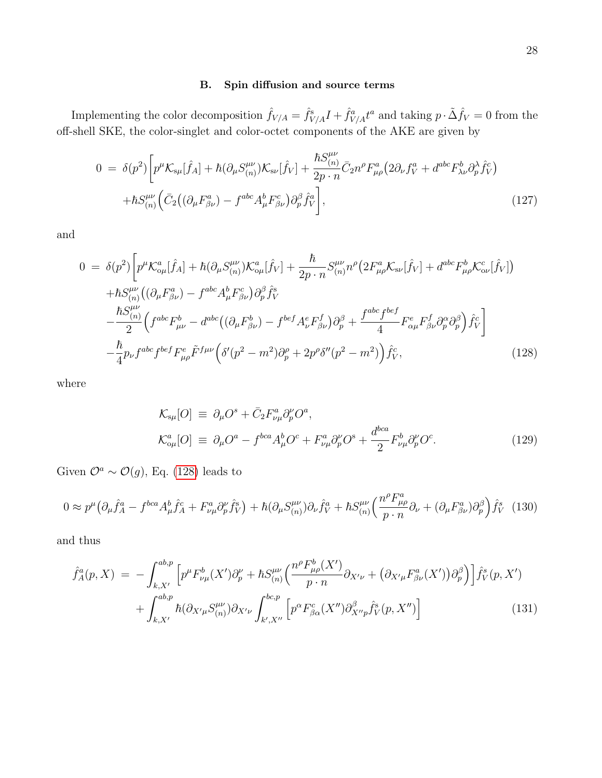## <span id="page-27-0"></span>B. Spin diffusion and source terms

Implementing the color decomposition  $\hat{f}_{V/A} = \hat{f}_{V/A}^s I + \hat{f}_{V/A}^a t^a$  and taking  $p \cdot \tilde{\Delta} \hat{f}_V = 0$  from the off-shell SKE, the color-singlet and color-octet components of the AKE are given by

<span id="page-27-2"></span>
$$
0 = \delta(p^2) \left[ p^{\mu} \mathcal{K}_{s\mu}[\hat{f}_A] + \hbar (\partial_{\mu} S^{\mu\nu}_{(n)}) \mathcal{K}_{s\nu}[\hat{f}_V] + \frac{\hbar S^{\mu\nu}_{(n)}}{2p \cdot n} \bar{C}_2 n^{\rho} F^a_{\mu\rho} (2 \partial_{\nu} f^a_V + d^{abc} F^b_{\lambda\nu} \partial^{\lambda}_{p} \hat{f}^c_V) + \hbar S^{\mu\nu}_{(n)} (\bar{C}_2 ((\partial_{\mu} F^a_{\beta\nu}) - f^{abc} A^b_{\mu} F^c_{\beta\nu}) \partial^{\beta}_{p} \hat{f}^a_V \right],
$$
\n(127)

and

<span id="page-27-1"></span>
$$
0 = \delta(p^2) \bigg[ p^{\mu} \mathcal{K}_{o\mu}^{a} [\hat{f}_A] + \hbar (\partial_{\mu} S_{(n)}^{\mu\nu}) \mathcal{K}_{o\mu}^{a} [\hat{f}_V] + \frac{\hbar}{2p \cdot n} S_{(n)}^{\mu\nu} n^{\rho} \big( 2F_{\mu\rho}^{a} \mathcal{K}_{s\nu} [\hat{f}_V] + d^{abc} F_{\mu\rho}^{b} \mathcal{K}_{o\nu}^{c} [\hat{f}_V] \big) + \hbar S_{(n)}^{\mu\nu} \big( (\partial_{\mu} F_{\beta\nu}^{a}) - f^{abc} A_{\mu}^{b} F_{\beta\nu}^{c} \big) \partial_{p}^{\beta} \hat{f}_{V}^{s} - \frac{\hbar S_{(n)}^{\mu\nu}}{2} \bigg( f^{abc} F_{\mu\nu}^{b} - d^{abc} \big( (\partial_{\mu} F_{\beta\nu}^{b}) - f^{bef} A_{\nu}^{e} F_{\beta\nu}^{f} \big) \partial_{p}^{\beta} + \frac{f^{abc} f^{bef}}{4} F_{\alpha\mu}^{e} F_{\beta\nu}^{f} \partial_{p}^{\alpha} \partial_{p}^{\beta} \big) \hat{f}_{V}^{c} \bigg] - \frac{\hbar}{4} p_{\nu} f^{abc} f^{bef} F_{\mu\rho}^{e} \tilde{F}^{f\mu\nu} \bigg( \delta'(p^2 - m^2) \partial_{p}^{\rho} + 2p^{\rho} \delta'' (p^2 - m^2) \bigg) \hat{f}_{V}^{c},
$$
(128)

where

$$
\mathcal{K}_{s\mu}[O] \equiv \partial_{\mu}O^s + \bar{C}_2 F^a_{\nu\mu} \partial^{\nu}_{p} O^a,
$$
  
\n
$$
\mathcal{K}_{o\mu}^{a}[O] \equiv \partial_{\mu}O^a - f^{bca} A^b_{\mu} O^c + F^a_{\nu\mu} \partial^{\nu}_{p} O^s + \frac{d^{bca}}{2} F^b_{\nu\mu} \partial^{\nu}_{p} O^c.
$$
\n(129)

Given  $\mathcal{O}^a \sim \mathcal{O}(g)$ , Eq. [\(128\)](#page-27-1) leads to

$$
0 \approx p^{\mu} \left( \partial_{\mu} \hat{f}_{A}^{a} - f^{bca} A_{\mu}^{b} \hat{f}_{A}^{c} + F_{\nu\mu}^{a} \partial_{p}^{\nu} \hat{f}_{V}^{s} \right) + \hbar \left( \partial_{\mu} S_{(n)}^{\mu\nu} \right) \partial_{\nu} \hat{f}_{V}^{a} + \hbar S_{(n)}^{\mu\nu} \left( \frac{n^{\rho} F_{\mu\rho}^{a}}{p \cdot n} \partial_{\nu} + (\partial_{\mu} F_{\beta\nu}^{a}) \partial_{p}^{\beta} \right) \hat{f}_{V}^{s} \tag{130}
$$

and thus

$$
\hat{f}_{A}^{a}(p,X) = -\int_{k,X'}^{ab,p} \left[ p^{\mu} F_{\nu\mu}^{b}(X') \partial_{p}^{\nu} + \hbar S_{(n)}^{\mu\nu} \left( \frac{n^{\rho} F_{\mu\rho}^{b}(X')}{p \cdot n} \partial_{X'\nu} + (\partial_{X'\mu} F_{\beta\nu}^{a}(X')) \partial_{p}^{\beta} \right) \right] \hat{f}_{V}^{s}(p,X') + \int_{k,X'}^{ab,p} \hbar (\partial_{X'\mu} S_{(n)}^{\mu\nu}) \partial_{X'\nu} \int_{k',X''}^{bc,p} \left[ p^{\alpha} F_{\beta\alpha}^{c}(X'') \partial_{X''p}^{\beta} \hat{f}_{V}^{s}(p,X'') \right]
$$
(131)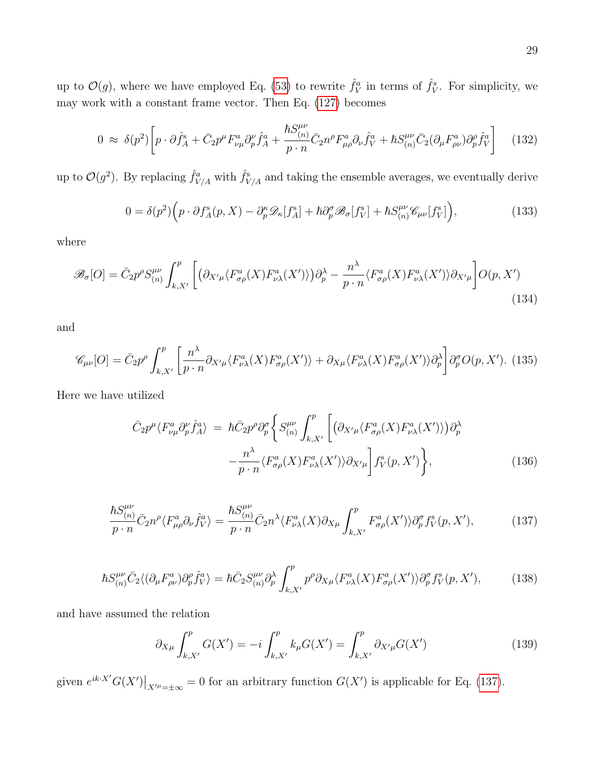up to  $\mathcal{O}(g)$ , where we have employed Eq. [\(53\)](#page-12-0) to rewrite  $\hat{f}_V^a$  in terms of  $\hat{f}_V^s$ . For simplicity, we may work with a constant frame vector. Then Eq. [\(127\)](#page-27-2) becomes

$$
0 \approx \delta(p^2) \left[ p \cdot \partial \hat{f}_A^s + \bar{C}_2 p^\mu F_{\nu\mu}^a \partial_p^\nu \hat{f}_A^a + \frac{\hbar S_{(n)}^{\mu\nu}}{p \cdot n} \bar{C}_2 n^\rho F_{\mu\rho}^a \partial_\nu \hat{f}_V^a + \hbar S_{(n)}^{\mu\nu} \bar{C}_2 (\partial_\mu F_{\rho\nu}^a) \partial_p^\rho \hat{f}_V^a \right] \tag{132}
$$

up to  $\mathcal{O}(g^2)$ . By replacing  $\hat{f}_{V/A}^a$  with  $\hat{f}_{V/A}^s$  and taking the ensemble averages, we eventually derive

<span id="page-28-1"></span>
$$
0 = \delta(p^2) \Big( p \cdot \partial f_A^{\rm s}(p, X) - \partial_p^{\kappa} \mathcal{D}_{\kappa}[f_A^{\rm s}] + \hbar \partial_p^{\sigma} \mathcal{B}_{\sigma}[f_V^{\rm s}] + \hbar S_{(n)}^{\mu\nu} \mathcal{C}_{\mu\nu}[f_V^{\rm s}] \Big), \tag{133}
$$

where

$$
\mathcal{B}_{\sigma}[O] = \bar{C}_2 p^{\rho} S_{(n)}^{\mu\nu} \int_{k,X'}^{p} \left[ \left( \partial_{X'\mu} \langle F_{\sigma\rho}^a(X) F_{\nu\lambda}^a(X') \rangle \right) \partial_p^{\lambda} - \frac{n^{\lambda}}{p \cdot n} \langle F_{\sigma\rho}^a(X) F_{\nu\lambda}^a(X') \rangle \partial_{X'\mu} \right] O(p,X')
$$
\n(134)

and

$$
\mathscr{C}_{\mu\nu}[O] = \bar{C}_2 p^{\rho} \int_{k,X'}^{p} \left[ \frac{n^{\lambda}}{p \cdot n} \partial_{X'\mu} \langle F_{\nu\lambda}^a(X) F_{\sigma\rho}^a(X') \rangle + \partial_{X\mu} \langle F_{\nu\lambda}^a(X) F_{\sigma\rho}^a(X') \rangle \partial_p^{\lambda} \right] \partial_p^{\sigma} O(p,X'). \tag{135}
$$

Here we have utilized

$$
\bar{C}_2 p^{\mu} \langle F_{\nu\mu}^a \partial_p^{\nu} \hat{f}_A^a \rangle = \hbar \bar{C}_2 p^{\rho} \partial_p^{\sigma} \left\{ S_{(n)}^{\mu\nu} \int_{k,X'}^p \left[ \left( \partial_{X'\mu} \langle F_{\sigma\rho}^a(X) F_{\nu\lambda}^a(X') \rangle \right) \partial_p^{\lambda} \right. \right. \\ \left. - \frac{n^{\lambda}}{p \cdot n} \langle F_{\sigma\rho}^a(X) F_{\nu\lambda}^a(X') \rangle \partial_{X'\mu} \right] f_V^s(p, X') \right\}, \tag{136}
$$

<span id="page-28-0"></span>
$$
\frac{\hbar S_{(n)}^{\mu\nu}}{p \cdot n} \bar{C}_2 n^{\rho} \langle F_{\mu\rho}^a \partial_{\nu} \hat{f}_V^a \rangle = \frac{\hbar S_{(n)}^{\mu\nu}}{p \cdot n} \bar{C}_2 n^{\lambda} \langle F_{\nu\lambda}^a(X) \partial_{X\mu} \int_{k,X'}^p F_{\sigma\rho}^a(X') \rangle \partial_p^{\sigma} f_V^s(p, X'), \tag{137}
$$

$$
\hbar S^{\mu\nu}_{(n)} \bar{C}_2 \langle (\partial_\mu F^a_{\rho\nu}) \partial_p^{\rho} \hat{f}^a_V \rangle = \hbar \bar{C}_2 S^{\mu\nu}_{(n)} \partial_p^{\lambda} \int_{k,X'}^p p^{\rho} \partial_{X\mu} \langle F^a_{\nu\lambda}(X) F^a_{\sigma\rho}(X') \rangle \partial_p^{\sigma} f^s_V(p, X'), \tag{138}
$$

and have assumed the relation

$$
\partial_{X\mu} \int_{k,X'}^{p} G(X') = -i \int_{k,X'}^{p} k_{\mu} G(X') = \int_{k,X'}^{p} \partial_{X'\mu} G(X') \tag{139}
$$

given  $e^{ik \cdot X'} G(X')|_{X'' = \pm \infty} = 0$  for an arbitrary function  $G(X')$  is applicable for Eq. [\(137\)](#page-28-0).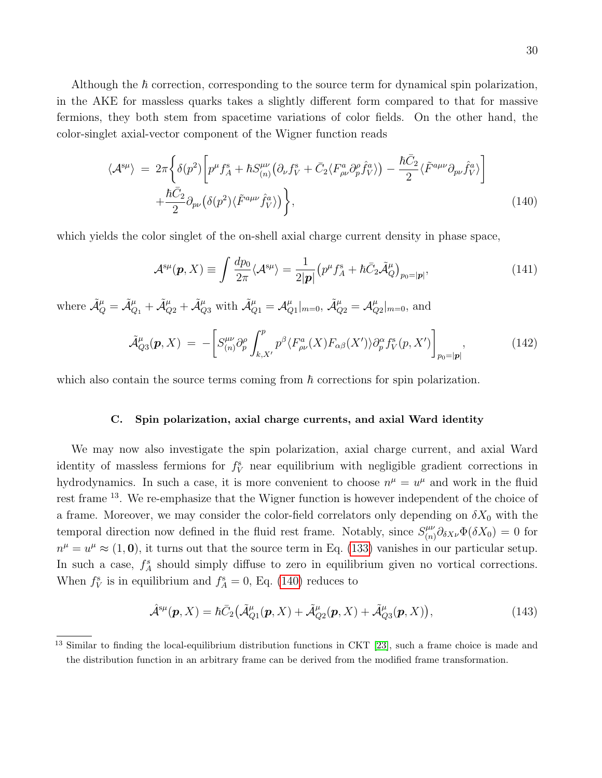Although the  $\hbar$  correction, corresponding to the source term for dynamical spin polarization, in the AKE for massless quarks takes a slightly different form compared to that for massive fermions, they both stem from spacetime variations of color fields. On the other hand, the color-singlet axial-vector component of the Wigner function reads

<span id="page-29-1"></span>
$$
\langle \mathcal{A}^{s\mu} \rangle = 2\pi \left\{ \delta(p^2) \left[ p^{\mu} f_A^s + \hbar S^{\mu\nu}_{(n)} \left( \partial_{\nu} f_V^s + \bar{C}_2 \langle F_{\rho\nu}^a \partial_p^{\rho} \hat{f}_V^a \rangle \right) - \frac{\hbar \bar{C}_2}{2} \langle \tilde{F}^{a\mu\nu} \partial_{p\nu} \hat{f}_V^a \rangle \right] + \frac{\hbar \bar{C}_2}{2} \partial_{p\nu} \left( \delta(p^2) \langle \tilde{F}^{a\mu\nu} \hat{f}_V^a \rangle \right) \right\}, \tag{140}
$$

which yields the color singlet of the on-shell axial charge current density in phase space,

<span id="page-29-2"></span>
$$
\mathcal{A}^{s\mu}(\mathbf{p}, X) \equiv \int \frac{dp_0}{2\pi} \langle \mathcal{A}^{s\mu} \rangle = \frac{1}{2|\mathbf{p}|} \left( p^{\mu} f_A^s + \hbar \bar{C}_2 \tilde{\mathcal{A}}_Q^{\mu} \right)_{p_0 = |\mathbf{p}|},\tag{141}
$$

where  $\tilde{\mathcal{A}}^{\mu}_Q = \tilde{\mathcal{A}}^{\mu}_{Q_1} + \tilde{\mathcal{A}}^{\mu}_{Q_2} + \tilde{\mathcal{A}}^{\mu}_{Q_3}$  with  $\tilde{\mathcal{A}}^{\mu}_{Q_1} = \mathcal{A}^{\mu}_{Q_3}$  $_{Q1}^\mu \vert_{m=0}, \, \tilde{\mathcal{A}}_{Q2}^\mu = \mathcal{A}_Q^\mu$  $_{Q2}^{\mu}|_{m=0}$ , and

$$
\tilde{\mathcal{A}}^{\mu}_{Q3}(\boldsymbol{p},X) = -\bigg[S^{\mu\nu}_{(n)}\partial^{\rho}_{p}\int_{k,X'}^{p}p^{\beta}\langle F^{a}_{\rho\nu}(X)F_{\alpha\beta}(X')\rangle\partial^{\alpha}_{p}f^{s}_{V}(p,X')\bigg]_{p_{0}=|\boldsymbol{p}|},\tag{142}
$$

which also contain the source terms coming from  $\hbar$  corrections for spin polarization.

#### <span id="page-29-0"></span>C. Spin polarization, axial charge currents, and axial Ward identity

We may now also investigate the spin polarization, axial charge current, and axial Ward identity of massless fermions for  $f_V^s$  near equilibrium with negligible gradient corrections in hydrodynamics. In such a case, it is more convenient to choose  $n^{\mu} = u^{\mu}$  and work in the fluid rest frame <sup>13</sup>. We re-emphasize that the Wigner function is however independent of the choice of a frame. Moreover, we may consider the color-field correlators only depending on  $\delta X_0$  with the temporal direction now defined in the fluid rest frame. Notably, since  $S_{(n)}^{\mu\nu}$  $\int_{(n)}^{\mu\nu} \partial_{\delta X \nu} \Phi(\delta X_0) = 0$  for  $n^{\mu} = u^{\mu} \approx (1, 0)$ , it turns out that the source term in Eq. [\(133\)](#page-28-1) vanishes in our particular setup. In such a case,  $f_A^s$  should simply diffuse to zero in equilibrium given no vortical corrections. When  $f_V^s$  is in equilibrium and  $f_A^s = 0$ , Eq. [\(140\)](#page-29-1) reduces to

$$
\hat{\mathcal{A}}^{s\mu}(\boldsymbol{p},X) = \hbar \bar{C}_2 \big( \tilde{\mathcal{A}}^{\mu}_{Q1}(\boldsymbol{p},X) + \tilde{\mathcal{A}}^{\mu}_{Q2}(\boldsymbol{p},X) + \tilde{\mathcal{A}}^{\mu}_{Q3}(\boldsymbol{p},X) \big), \tag{143}
$$

<sup>13</sup> Similar to finding the local-equilibrium distribution functions in CKT [\[23\]](#page-35-10), such a frame choice is made and the distribution function in an arbitrary frame can be derived from the modified frame transformation.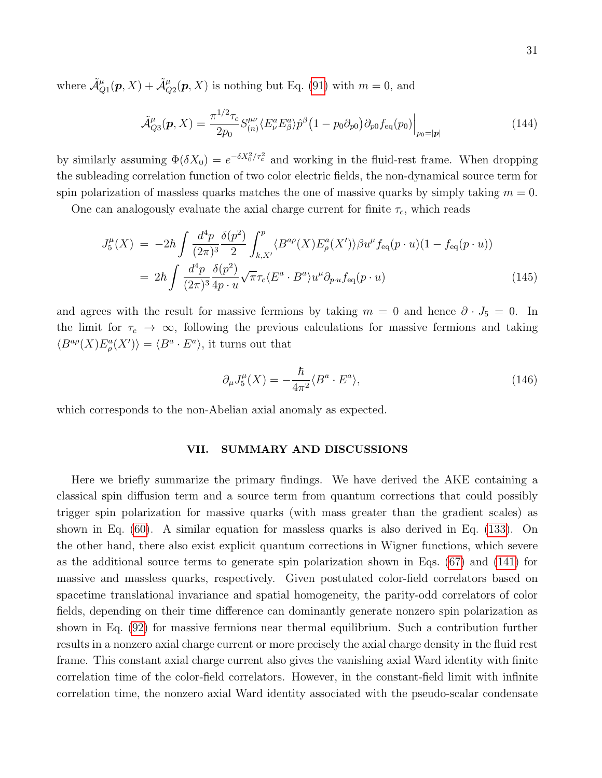where  $\tilde{\mathcal{A}}^{\mu}_{Q1}(\boldsymbol{p},X) + \tilde{\mathcal{A}}^{\mu}_{Q2}(\boldsymbol{p},X)$  is nothing but Eq. [\(91\)](#page-20-2) with  $m = 0$ , and

$$
\tilde{\mathcal{A}}^{\mu}_{Q3}(\boldsymbol{p},X) = \frac{\pi^{1/2}\tau_c}{2p_0} S^{\mu\nu}_{(n)} \langle E^a_{\nu} E^a_{\beta} \rangle \hat{p}^{\beta} (1 - p_0 \partial_{p0}) \partial_{p0} f_{\text{eq}}(p_0) \Big|_{p_0 = |\boldsymbol{p}|}
$$
(144)

by similarly assuming  $\Phi(\delta X_0) = e^{-\delta X_0^2/\tau_c^2}$  and working in the fluid-rest frame. When dropping the subleading correlation function of two color electric fields, the non-dynamical source term for spin polarization of massless quarks matches the one of massive quarks by simply taking  $m = 0$ .

One can analogously evaluate the axial charge current for finite  $\tau_c$ , which reads

$$
J_5^{\mu}(X) = -2\hbar \int \frac{d^4 p}{(2\pi)^3} \frac{\delta(p^2)}{2} \int_{k,X'}^p \langle B^{a\rho}(X) E^a_{\rho}(X') \rangle \beta u^{\mu} f_{\text{eq}}(p \cdot u)(1 - f_{\text{eq}}(p \cdot u))
$$
  
= 
$$
2\hbar \int \frac{d^4 p}{(2\pi)^3} \frac{\delta(p^2)}{4p \cdot u} \sqrt{\pi} \tau_c \langle E^a \cdot B^a \rangle u^{\mu} \partial_{p \cdot u} f_{\text{eq}}(p \cdot u)
$$
(145)

and agrees with the result for massive fermions by taking  $m = 0$  and hence  $\partial \cdot J_5 = 0$ . In the limit for  $\tau_c \to \infty$ , following the previous calculations for massive fermions and taking  $\langle B^{a\rho}(X)E^a_{\rho}(X')\rangle = \langle B^{a} \cdot E^{a}\rangle$ , it turns out that

<span id="page-30-1"></span>
$$
\partial_{\mu}J_{5}^{\mu}(X) = -\frac{\hbar}{4\pi^{2}} \langle B^{a} \cdot E^{a} \rangle, \tag{146}
$$

which corresponds to the non-Abelian axial anomaly as expected.

#### <span id="page-30-0"></span>VII. SUMMARY AND DISCUSSIONS

Here we briefly summarize the primary findings. We have derived the AKE containing a classical spin diffusion term and a source term from quantum corrections that could possibly trigger spin polarization for massive quarks (with mass greater than the gradient scales) as shown in Eq. [\(60\)](#page-13-2). A similar equation for massless quarks is also derived in Eq. [\(133\)](#page-28-1). On the other hand, there also exist explicit quantum corrections in Wigner functions, which severe as the additional source terms to generate spin polarization shown in Eqs. [\(67\)](#page-14-0) and [\(141\)](#page-29-2) for massive and massless quarks, respectively. Given postulated color-field correlators based on spacetime translational invariance and spatial homogeneity, the parity-odd correlators of color fields, depending on their time difference can dominantly generate nonzero spin polarization as shown in Eq. [\(92\)](#page-20-3) for massive fermions near thermal equilibrium. Such a contribution further results in a nonzero axial charge current or more precisely the axial charge density in the fluid rest frame. This constant axial charge current also gives the vanishing axial Ward identity with finite correlation time of the color-field correlators. However, in the constant-field limit with infinite correlation time, the nonzero axial Ward identity associated with the pseudo-scalar condensate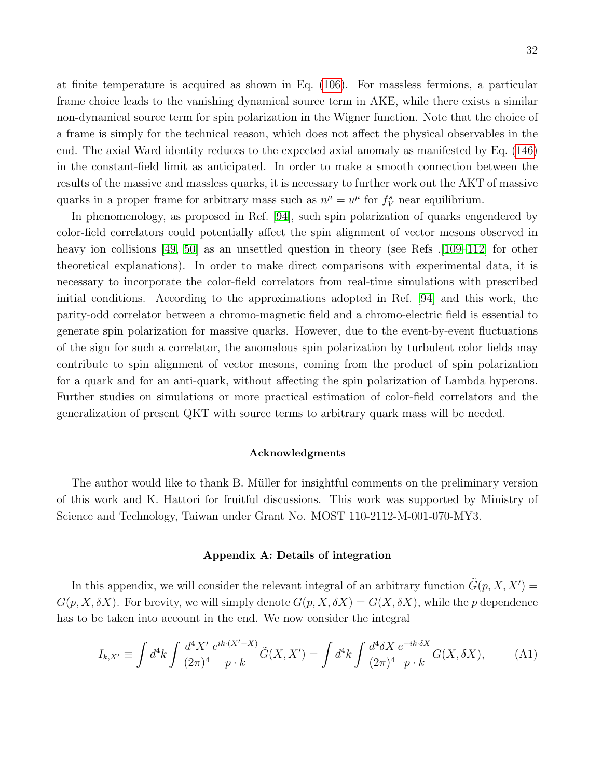at finite temperature is acquired as shown in Eq. [\(106\)](#page-23-1). For massless fermions, a particular frame choice leads to the vanishing dynamical source term in AKE, while there exists a similar non-dynamical source term for spin polarization in the Wigner function. Note that the choice of a frame is simply for the technical reason, which does not affect the physical observables in the end. The axial Ward identity reduces to the expected axial anomaly as manifested by Eq. [\(146\)](#page-30-1) in the constant-field limit as anticipated. In order to make a smooth connection between the results of the massive and massless quarks, it is necessary to further work out the AKT of massive quarks in a proper frame for arbitrary mass such as  $n^{\mu} = u^{\mu}$  for  $f_V^s$  near equilibrium.

In phenomenology, as proposed in Ref. [\[94\]](#page-37-20), such spin polarization of quarks engendered by color-field correlators could potentially affect the spin alignment of vector mesons observed in heavy ion collisions  $[49, 50]$  $[49, 50]$  as an unsettled question in theory (see Refs  $[109-112]$  $[109-112]$  for other theoretical explanations). In order to make direct comparisons with experimental data, it is necessary to incorporate the color-field correlators from real-time simulations with prescribed initial conditions. According to the approximations adopted in Ref. [\[94\]](#page-37-20) and this work, the parity-odd correlator between a chromo-magnetic field and a chromo-electric field is essential to generate spin polarization for massive quarks. However, due to the event-by-event fluctuations of the sign for such a correlator, the anomalous spin polarization by turbulent color fields may contribute to spin alignment of vector mesons, coming from the product of spin polarization for a quark and for an anti-quark, without affecting the spin polarization of Lambda hyperons. Further studies on simulations or more practical estimation of color-field correlators and the generalization of present QKT with source terms to arbitrary quark mass will be needed.

### <span id="page-31-0"></span>Acknowledgments

The author would like to thank B. Müller for insightful comments on the preliminary version of this work and K. Hattori for fruitful discussions. This work was supported by Ministry of Science and Technology, Taiwan under Grant No. MOST 110-2112-M-001-070-MY3.

## <span id="page-31-1"></span>Appendix A: Details of integration

In this appendix, we will consider the relevant integral of an arbitrary function  $\tilde{G}(p, X, X') =$  $G(p, X, \delta X)$ . For brevity, we will simply denote  $G(p, X, \delta X) = G(X, \delta X)$ , while the p dependence has to be taken into account in the end. We now consider the integral

$$
I_{k,X'} \equiv \int d^4k \int \frac{d^4X'}{(2\pi)^4} \frac{e^{ik \cdot (X'-X)}}{p \cdot k} \tilde{G}(X,X') = \int d^4k \int \frac{d^4\delta X}{(2\pi)^4} \frac{e^{-ik \cdot \delta X}}{p \cdot k} G(X,\delta X), \tag{A1}
$$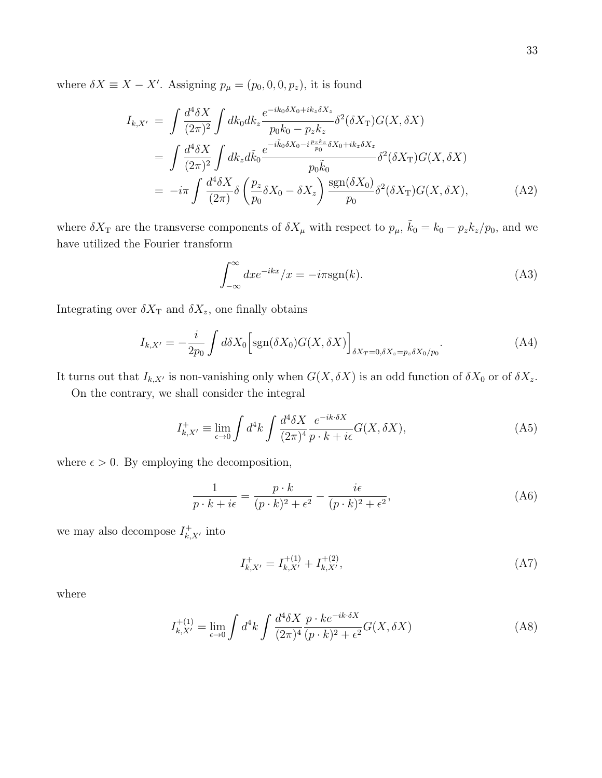where  $\delta X \equiv X - X'$ . Assigning  $p_{\mu} = (p_0, 0, 0, p_z)$ , it is found

$$
I_{k,X'} = \int \frac{d^4 \delta X}{(2\pi)^2} \int dk_0 dk_z \frac{e^{-ik_0 \delta X_0 + ik_z \delta X_z}}{p_0 k_0 - p_z k_z} \delta^2(\delta X_{\text{T}}) G(X, \delta X)
$$
  
\n
$$
= \int \frac{d^4 \delta X}{(2\pi)^2} \int dk_z d\tilde{k}_0 \frac{e^{-i\tilde{k}_0 \delta X_0 - i\frac{p_z k_z}{p_0} \delta X_0 + ik_z \delta X_z}}{p_0 \tilde{k}_0} \delta^2(\delta X_{\text{T}}) G(X, \delta X)
$$
  
\n
$$
= -i\pi \int \frac{d^4 \delta X}{(2\pi)} \delta \left(\frac{p_z}{p_0} \delta X_0 - \delta X_z\right) \frac{\text{sgn}(\delta X_0)}{p_0} \delta^2(\delta X_{\text{T}}) G(X, \delta X), \tag{A2}
$$

where  $\delta X_{\rm T}$  are the transverse components of  $\delta X_{\mu}$  with respect to  $p_{\mu}$ ,  $\tilde{k}_0 = k_0 - p_z k_z / p_0$ , and we have utilized the Fourier transform

$$
\int_{-\infty}^{\infty} dx e^{-ikx} / x = -i\pi \text{sgn}(k). \tag{A3}
$$

Integrating over  $\delta X_{\text{T}}$  and  $\delta X_{z}$ , one finally obtains

<span id="page-32-0"></span>
$$
I_{k,X'} = -\frac{i}{2p_0} \int d\delta X_0 \Big[ \text{sgn}(\delta X_0) G(X, \delta X) \Big]_{\delta X_T = 0, \delta X_z = p_z \delta X_0 / p_0}.
$$
 (A4)

It turns out that  $I_{k,X'}$  is non-vanishing only when  $G(X, \delta X)$  is an odd function of  $\delta X_0$  or of  $\delta X_z$ .

On the contrary, we shall consider the integral

$$
I_{k,X'}^+ \equiv \lim_{\epsilon \to 0} \int d^4k \int \frac{d^4\delta X}{(2\pi)^4} \frac{e^{-ik \cdot \delta X}}{p \cdot k + i\epsilon} G(X, \delta X), \tag{A5}
$$

where  $\epsilon > 0$ . By employing the decomposition,

$$
\frac{1}{p \cdot k + i\epsilon} = \frac{p \cdot k}{(p \cdot k)^2 + \epsilon^2} - \frac{i\epsilon}{(p \cdot k)^2 + \epsilon^2},\tag{A6}
$$

we may also decompose  $I_{k, X}^{+}$ , into

$$
I_{k,X'}^+ = I_{k,X'}^{+(1)} + I_{k,X'}^{+(2)},\tag{A7}
$$

where

$$
I_{k,X'}^{+(1)} = \lim_{\epsilon \to 0} \int d^4k \int \frac{d^4\delta X}{(2\pi)^4} \frac{p \cdot ke^{-ik \cdot \delta X}}{(p \cdot k)^2 + \epsilon^2} G(X, \delta X) \tag{A8}
$$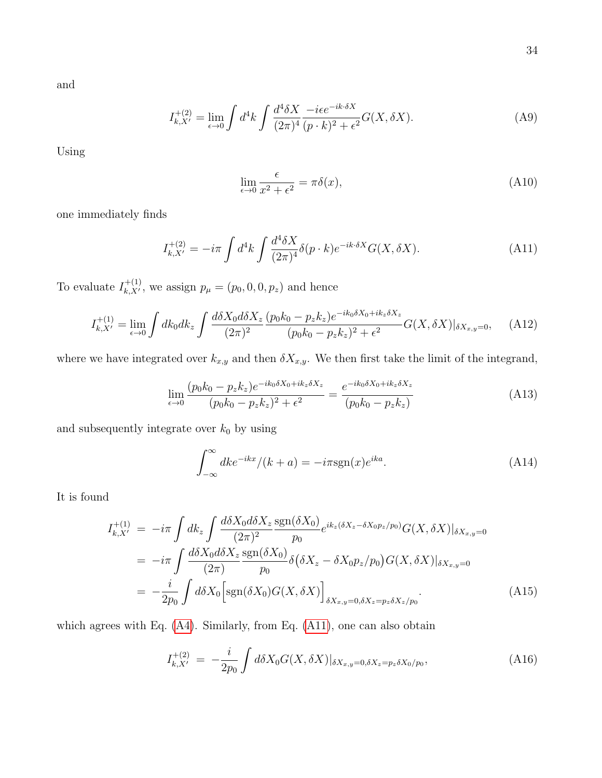and

$$
I_{k,X'}^{+(2)} = \lim_{\epsilon \to 0} \int d^4k \int \frac{d^4\delta X}{(2\pi)^4} \frac{-i\epsilon e^{-ik\cdot\delta X}}{(p \cdot k)^2 + \epsilon^2} G(X, \delta X). \tag{A9}
$$

Using

$$
\lim_{\epsilon \to 0} \frac{\epsilon}{x^2 + \epsilon^2} = \pi \delta(x),\tag{A10}
$$

one immediately finds

<span id="page-33-0"></span>
$$
I_{k,X'}^{+(2)} = -i\pi \int d^4k \int \frac{d^4\delta X}{(2\pi)^4} \delta(p \cdot k) e^{-ik \cdot \delta X} G(X, \delta X). \tag{A11}
$$

To evaluate  $I_{k, X'}^{+(1)}$ , we assign  $p_{\mu} = (p_0, 0, 0, p_z)$  and hence

$$
I_{k,X'}^{+(1)} = \lim_{\epsilon \to 0} \int dk_0 dk_z \int \frac{d\delta X_0 d\delta X_z}{(2\pi)^2} \frac{(p_0 k_0 - p_z k_z)e^{-ik_0 \delta X_0 + ik_z \delta X_z}}{(p_0 k_0 - p_z k_z)^2 + \epsilon^2} G(X, \delta X)|_{\delta X_{x,y} = 0}, \quad (A12)
$$

where we have integrated over  $k_{x,y}$  and then  $\delta X_{x,y}$ . We then first take the limit of the integrand,

$$
\lim_{\epsilon \to 0} \frac{(p_0 k_0 - p_z k_z) e^{-ik_0 \delta X_0 + ik_z \delta X_z}}{(p_0 k_0 - p_z k_z)^2 + \epsilon^2} = \frac{e^{-ik_0 \delta X_0 + ik_z \delta X_z}}{(p_0 k_0 - p_z k_z)}
$$
(A13)

and subsequently integrate over  $k_0$  by using

$$
\int_{-\infty}^{\infty} dk e^{-ikx} / (k+a) = -i\pi \text{sgn}(x) e^{ika}.
$$
 (A14)

It is found

$$
I_{k,X'}^{+(1)} = -i\pi \int dk_z \int \frac{d\delta X_0 d\delta X_z}{(2\pi)^2} \frac{\text{sgn}(\delta X_0)}{p_0} e^{ik_z(\delta X_z - \delta X_0 p_z/p_0)} G(X, \delta X)|_{\delta X_{x,y}=0}
$$
  
\n
$$
= -i\pi \int \frac{d\delta X_0 d\delta X_z}{(2\pi)} \frac{\text{sgn}(\delta X_0)}{p_0} \delta(\delta X_z - \delta X_0 p_z/p_0) G(X, \delta X)|_{\delta X_{x,y}=0}
$$
  
\n
$$
= -\frac{i}{2p_0} \int d\delta X_0 \Big[ \text{sgn}(\delta X_0) G(X, \delta X) \Big]_{\delta X_{x,y}=0, \delta X_z = p_z \delta X_z/p_0} . \tag{A15}
$$

which agrees with Eq. [\(A4\)](#page-32-0). Similarly, from Eq. [\(A11\)](#page-33-0), one can also obtain

$$
I_{k,X'}^{+(2)} = -\frac{i}{2p_0} \int d\delta X_0 G(X,\delta X)|_{\delta X_{x,y}=0,\delta X_z=p_z \delta X_0/p_0},\tag{A16}
$$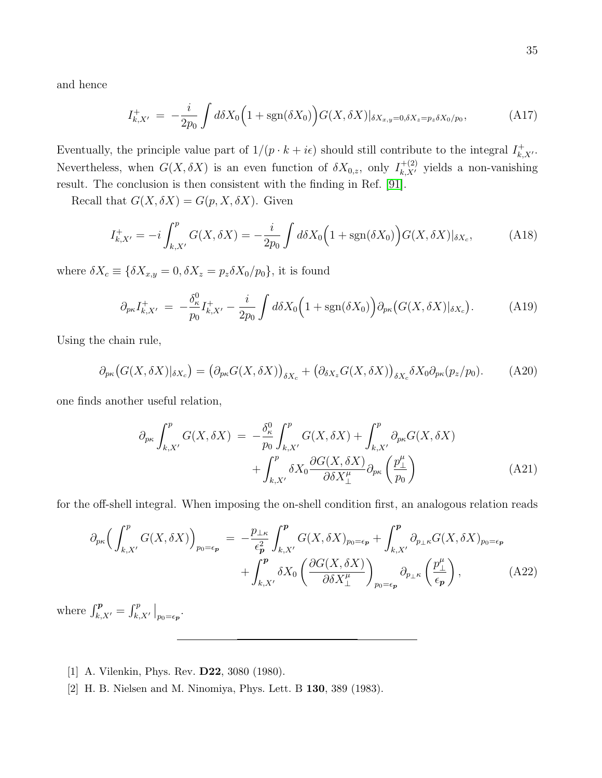and hence

$$
I_{k,X'}^{+} = -\frac{i}{2p_0} \int d\delta X_0 \Big( 1 + \text{sgn}(\delta X_0) \Big) G(X, \delta X)|_{\delta X_{x,y}=0, \delta X_z=p_z \delta X_0/p_0}, \tag{A17}
$$

Eventually, the principle value part of  $1/(p \cdot k + i\epsilon)$  should still contribute to the integral  $I_{k,X}^+$ . Nevertheless, when  $G(X, \delta X)$  is an even function of  $\delta X_{0,z}$ , only  $I_{k,X'}^{+(2)}$  yields a non-vanishing result. The conclusion is then consistent with the finding in Ref. [\[91\]](#page-37-17).

Recall that  $G(X, \delta X) = G(p, X, \delta X)$ . Given

$$
I_{k,X'}^+ = -i \int_{k,X'}^p G(X, \delta X) = -\frac{i}{2p_0} \int d\delta X_0 \Big( 1 + \text{sgn}(\delta X_0) \Big) G(X, \delta X)|_{\delta X_c}, \tag{A18}
$$

where  $\delta X_c \equiv \{ \delta X_{x,y} = 0, \delta X_z = p_z \delta X_0 / p_0 \}$ , it is found

$$
\partial_{p\kappa} I_{k,X'}^+ = -\frac{\delta_\kappa^0}{p_0} I_{k,X'}^+ - \frac{i}{2p_0} \int d\delta X_0 \Big( 1 + \text{sgn}(\delta X_0) \Big) \partial_{p\kappa} \big( G(X, \delta X) |_{\delta X_c} \Big). \tag{A19}
$$

Using the chain rule,

$$
\partial_{p\kappa}\big(G(X,\delta X)|_{\delta X_c}\big) = \big(\partial_{p\kappa}G(X,\delta X)\big)_{\delta X_c} + \big(\partial_{\delta X_z}G(X,\delta X)\big)_{\delta X_c}\delta X_0\partial_{p\kappa}(p_z/p_0). \tag{A20}
$$

one finds another useful relation,

<span id="page-34-2"></span>
$$
\partial_{p\kappa} \int_{k,X'}^{p} G(X,\delta X) = -\frac{\delta_{\kappa}^{0}}{p_{0}} \int_{k,X'}^{p} G(X,\delta X) + \int_{k,X'}^{p} \partial_{p\kappa} G(X,\delta X) + \int_{k,X'}^{p} \delta X_{0} \frac{\partial G(X,\delta X)}{\partial \delta X_{\perp}^{\mu}} \partial_{p\kappa} \left(\frac{p_{\perp}^{\mu}}{p_{0}}\right)
$$
(A21)

for the off-shell integral. When imposing the on-shell condition first, an analogous relation reads

$$
\partial_{p\kappa} \Big( \int_{k,X'}^{p} G(X,\delta X) \Big)_{p_0=\epsilon_p} = -\frac{p_{\perp\kappa}}{\epsilon_p^2} \int_{k,X'}^{p} G(X,\delta X)_{p_0=\epsilon_p} + \int_{k,X'}^{p} \partial_{p_{\perp}\kappa} G(X,\delta X)_{p_0=\epsilon_p} + \int_{k,X'}^{p} \delta X_0 \left( \frac{\partial G(X,\delta X)}{\partial \delta X_{\perp}^{\mu}} \right)_{p_0=\epsilon_p} \partial_{p_{\perp}\kappa} \left( \frac{p_{\perp}^{\mu}}{\epsilon_p} \right), \tag{A22}
$$

<span id="page-34-0"></span>where  $\int_{k,X'}^p = \int_{k,X'}^p \Big|_{p_0=\epsilon_p}$ .

- <span id="page-34-1"></span>[1] A. Vilenkin, Phys. Rev. D22, 3080 (1980).
- [2] H. B. Nielsen and M. Ninomiya, Phys. Lett. B 130, 389 (1983).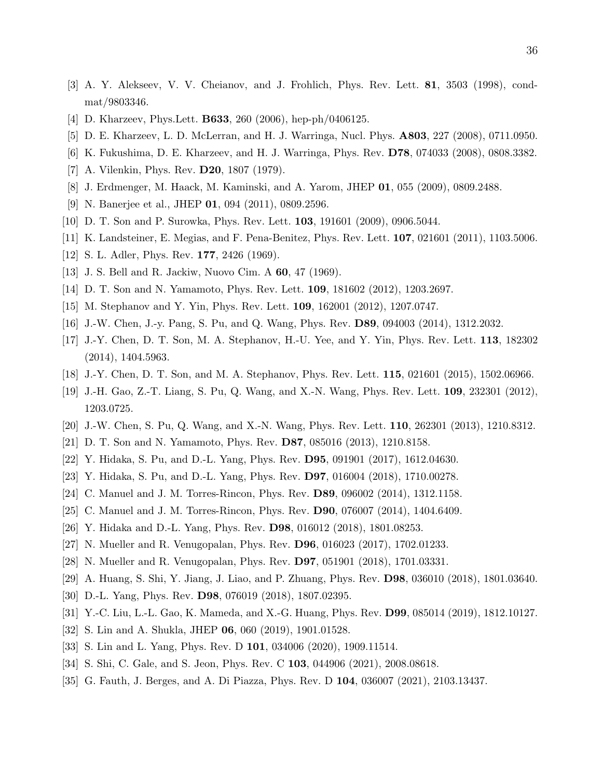- [3] A. Y. Alekseev, V. V. Cheianov, and J. Frohlich, Phys. Rev. Lett. 81, 3503 (1998), condmat/9803346.
- [4] D. Kharzeev, Phys.Lett. **B633**, 260 (2006), hep-ph/0406125.
- <span id="page-35-0"></span>[5] D. E. Kharzeev, L. D. McLerran, and H. J. Warringa, Nucl. Phys. A803, 227 (2008), 0711.0950.
- <span id="page-35-1"></span>[6] K. Fukushima, D. E. Kharzeev, and H. J. Warringa, Phys. Rev. D78, 074033 (2008), 0808.3382.
- [7] A. Vilenkin, Phys. Rev. **D20**, 1807 (1979).
- [8] J. Erdmenger, M. Haack, M. Kaminski, and A. Yarom, JHEP 01, 055 (2009), 0809.2488.
- [9] N. Banerjee et al., JHEP 01, 094 (2011), 0809.2596.
- <span id="page-35-2"></span>[10] D. T. Son and P. Surowka, Phys. Rev. Lett. 103, 191601 (2009), 0906.5044.
- <span id="page-35-3"></span>[11] K. Landsteiner, E. Megias, and F. Pena-Benitez, Phys. Rev. Lett. 107, 021601 (2011), 1103.5006.
- <span id="page-35-4"></span>[12] S. L. Adler, Phys. Rev. **177**, 2426 (1969).
- <span id="page-35-5"></span>[13] J. S. Bell and R. Jackiw, Nuovo Cim. A 60, 47 (1969).
- [14] D. T. Son and N. Yamamoto, Phys. Rev. Lett. 109, 181602 (2012), 1203.2697.
- [15] M. Stephanov and Y. Yin, Phys. Rev. Lett. 109, 162001 (2012), 1207.0747.
- <span id="page-35-12"></span>[16] J.-W. Chen, J.-y. Pang, S. Pu, and Q. Wang, Phys. Rev. D89, 094003 (2014), 1312.2032.
- [17] J.-Y. Chen, D. T. Son, M. A. Stephanov, H.-U. Yee, and Y. Yin, Phys. Rev. Lett. 113, 182302 (2014), 1404.5963.
- <span id="page-35-7"></span><span id="page-35-6"></span>[18] J.-Y. Chen, D. T. Son, and M. A. Stephanov, Phys. Rev. Lett. 115, 021601 (2015), 1502.06966.
- [19] J.-H. Gao, Z.-T. Liang, S. Pu, Q. Wang, and X.-N. Wang, Phys. Rev. Lett. 109, 232301 (2012), 1203.0725.
- <span id="page-35-8"></span>[20] J.-W. Chen, S. Pu, Q. Wang, and X.-N. Wang, Phys. Rev. Lett. 110, 262301 (2013), 1210.8312.
- <span id="page-35-9"></span>[21] D. T. Son and N. Yamamoto, Phys. Rev. D87, 085016 (2013), 1210.8158.
- <span id="page-35-10"></span>[22] Y. Hidaka, S. Pu, and D.-L. Yang, Phys. Rev. D95, 091901 (2017), 1612.04630.
- <span id="page-35-11"></span>[23] Y. Hidaka, S. Pu, and D.-L. Yang, Phys. Rev. D97, 016004 (2018), 1710.00278.
- [24] C. Manuel and J. M. Torres-Rincon, Phys. Rev. D89, 096002 (2014), 1312.1158.
- [25] C. Manuel and J. M. Torres-Rincon, Phys. Rev. D90, 076007 (2014), 1404.6409.
- [26] Y. Hidaka and D.-L. Yang, Phys. Rev. D98, 016012 (2018), 1801.08253.
- [27] N. Mueller and R. Venugopalan, Phys. Rev. D96, 016023 (2017), 1702.01233.
- [28] N. Mueller and R. Venugopalan, Phys. Rev. D97, 051901 (2018), 1701.03331.
- [29] A. Huang, S. Shi, Y. Jiang, J. Liao, and P. Zhuang, Phys. Rev. D98, 036010 (2018), 1801.03640.
- [30] D.-L. Yang, Phys. Rev. D98, 076019 (2018), 1807.02395.
- [31] Y.-C. Liu, L.-L. Gao, K. Mameda, and X.-G. Huang, Phys. Rev. D99, 085014 (2019), 1812.10127.
- [32] S. Lin and A. Shukla, JHEP 06, 060 (2019), 1901.01528.
- [33] S. Lin and L. Yang, Phys. Rev. D 101, 034006 (2020), 1909.11514.
- [34] S. Shi, C. Gale, and S. Jeon, Phys. Rev. C 103, 044906 (2021), 2008.08618.
- [35] G. Fauth, J. Berges, and A. Di Piazza, Phys. Rev. D 104, 036007 (2021), 2103.13437.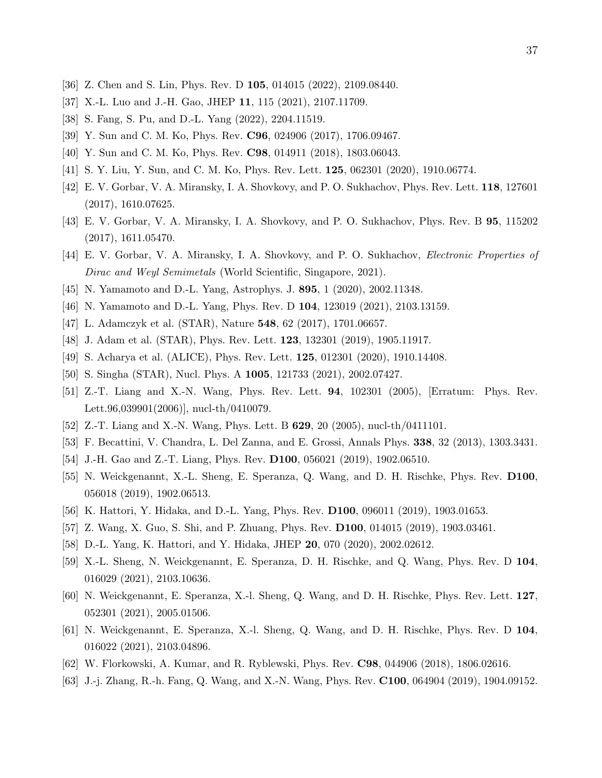- <span id="page-36-19"></span>[36] Z. Chen and S. Lin, Phys. Rev. D 105, 014015 (2022), 2109.08440.
- <span id="page-36-0"></span>[37] X.-L. Luo and J.-H. Gao, JHEP 11, 115 (2021), 2107.11709.
- <span id="page-36-1"></span>[38] S. Fang, S. Pu, and D.-L. Yang (2022), 2204.11519.
- [39] Y. Sun and C. M. Ko, Phys. Rev. C96, 024906 (2017), 1706.09467.
- <span id="page-36-2"></span>[40] Y. Sun and C. M. Ko, Phys. Rev. **C98**, 014911 (2018), 1803.06043.
- <span id="page-36-3"></span>[41] S. Y. Liu, Y. Sun, and C. M. Ko, Phys. Rev. Lett. 125, 062301 (2020), 1910.06774.
- [42] E. V. Gorbar, V. A. Miransky, I. A. Shovkovy, and P. O. Sukhachov, Phys. Rev. Lett. 118, 127601 (2017), 1610.07625.
- [43] E. V. Gorbar, V. A. Miransky, I. A. Shovkovy, and P. O. Sukhachov, Phys. Rev. B 95, 115202 (2017), 1611.05470.
- <span id="page-36-4"></span>[44] E. V. Gorbar, V. A. Miransky, I. A. Shovkovy, and P. O. Sukhachov, *Electronic Properties of* Dirac and Weyl Semimetals (World Scientific, Singapore, 2021).
- <span id="page-36-6"></span><span id="page-36-5"></span>[45] N. Yamamoto and D.-L. Yang, Astrophys. J. 895, 1 (2020), 2002.11348.
- <span id="page-36-7"></span>[46] N. Yamamoto and D.-L. Yang, Phys. Rev. D 104, 123019 (2021), 2103.13159.
- <span id="page-36-18"></span>[47] L. Adamczyk et al. (STAR), Nature 548, 62 (2017), 1701.06657.
- <span id="page-36-22"></span>[48] J. Adam et al. (STAR), Phys. Rev. Lett. **123**, 132301 (2019), 1905.11917.
- <span id="page-36-8"></span>[49] S. Acharya et al. (ALICE), Phys. Rev. Lett. 125, 012301 (2020), 1910.14408.
- <span id="page-36-9"></span>[50] S. Singha (STAR), Nucl. Phys. A 1005, 121733 (2021), 2002.07427.
- [51] Z.-T. Liang and X.-N. Wang, Phys. Rev. Lett. 94, 102301 (2005), [Erratum: Phys. Rev. Lett.96,039901(2006)], nucl-th/0410079.
- <span id="page-36-10"></span>[52] Z.-T. Liang and X.-N. Wang, Phys. Lett. B 629, 20 (2005), nucl-th/0411101.
- <span id="page-36-11"></span>[53] F. Becattini, V. Chandra, L. Del Zanna, and E. Grossi, Annals Phys. 338, 32 (2013), 1303.3431.
- <span id="page-36-21"></span>[54] J.-H. Gao and Z.-T. Liang, Phys. Rev. D100, 056021 (2019), 1902.06510.
- [55] N. Weickgenannt, X.-L. Sheng, E. Speranza, Q. Wang, and D. H. Rischke, Phys. Rev. D100, 056018 (2019), 1902.06513.
- <span id="page-36-20"></span><span id="page-36-12"></span>[56] K. Hattori, Y. Hidaka, and D.-L. Yang, Phys. Rev. D100, 096011 (2019), 1903.01653.
- <span id="page-36-13"></span>[57] Z. Wang, X. Guo, S. Shi, and P. Zhuang, Phys. Rev. D100, 014015 (2019), 1903.03461.
- <span id="page-36-14"></span>[58] D.-L. Yang, K. Hattori, and Y. Hidaka, JHEP 20, 070 (2020), 2002.02612.
- [59] X.-L. Sheng, N. Weickgenannt, E. Speranza, D. H. Rischke, and Q. Wang, Phys. Rev. D 104, 016029 (2021), 2103.10636.
- <span id="page-36-15"></span>[60] N. Weickgenannt, E. Speranza, X.-l. Sheng, Q. Wang, and D. H. Rischke, Phys. Rev. Lett. 127, 052301 (2021), 2005.01506.
- <span id="page-36-16"></span>[61] N. Weickgenannt, E. Speranza, X.-l. Sheng, Q. Wang, and D. H. Rischke, Phys. Rev. D 104, 016022 (2021), 2103.04896.
- <span id="page-36-17"></span>[62] W. Florkowski, A. Kumar, and R. Ryblewski, Phys. Rev. C98, 044906 (2018), 1806.02616.
- [63] J.-j. Zhang, R.-h. Fang, Q. Wang, and X.-N. Wang, Phys. Rev. C100, 064904 (2019), 1904.09152.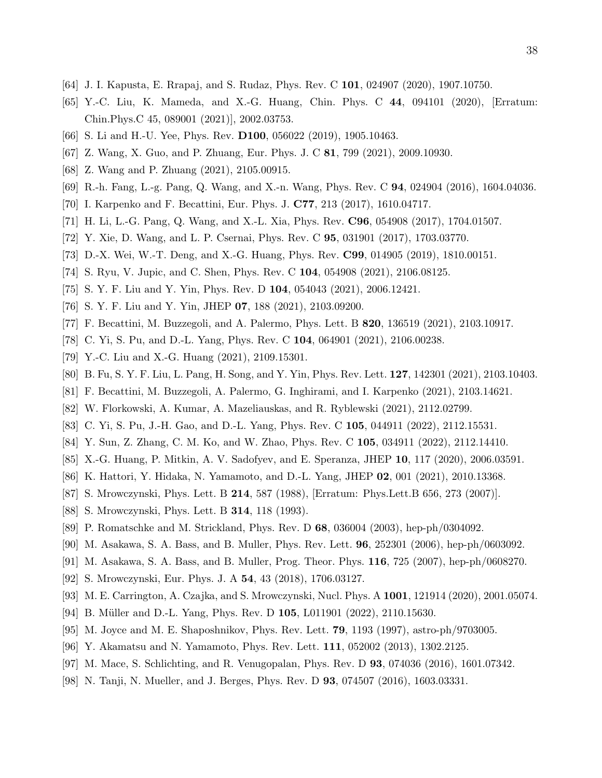- [64] J. I. Kapusta, E. Rrapaj, and S. Rudaz, Phys. Rev. C 101, 024907 (2020), 1907.10750.
- [65] Y.-C. Liu, K. Mameda, and X.-G. Huang, Chin. Phys. C 44, 094101 (2020), [Erratum: Chin.Phys.C 45, 089001 (2021)], 2002.03753.
- <span id="page-37-13"></span><span id="page-37-1"></span>[66] S. Li and H.-U. Yee, Phys. Rev. **D100**, 056022 (2019), 1905.10463.
- <span id="page-37-0"></span>[67] Z. Wang, X. Guo, and P. Zhuang, Eur. Phys. J. C 81, 799 (2021), 2009.10930.
- <span id="page-37-2"></span>[68] Z. Wang and P. Zhuang (2021), 2105.00915.
- <span id="page-37-3"></span>[69] R.-h. Fang, L.-g. Pang, Q. Wang, and X.-n. Wang, Phys. Rev. C 94, 024904 (2016), 1604.04036.
- [70] I. Karpenko and F. Becattini, Eur. Phys. J. C77, 213 (2017), 1610.04717.
- [71] H. Li, L.-G. Pang, Q. Wang, and X.-L. Xia, Phys. Rev. C96, 054908 (2017), 1704.01507.
- [72] Y. Xie, D. Wang, and L. P. Csernai, Phys. Rev. C 95, 031901 (2017), 1703.03770.
- <span id="page-37-4"></span>[73] D.-X. Wei, W.-T. Deng, and X.-G. Huang, Phys. Rev. C99, 014905 (2019), 1810.00151.
- <span id="page-37-5"></span>[74] S. Ryu, V. Jupic, and C. Shen, Phys. Rev. C 104, 054908 (2021), 2106.08125.
- <span id="page-37-6"></span>[75] S. Y. F. Liu and Y. Yin, Phys. Rev. D 104, 054043 (2021), 2006.12421.
- <span id="page-37-7"></span>[76] S. Y. F. Liu and Y. Yin, JHEP 07, 188 (2021), 2103.09200.
- <span id="page-37-8"></span>[77] F. Becattini, M. Buzzegoli, and A. Palermo, Phys. Lett. B 820, 136519 (2021), 2103.10917.
- <span id="page-37-9"></span>[78] C. Yi, S. Pu, and D.-L. Yang, Phys. Rev. C 104, 064901 (2021), 2106.00238.
- <span id="page-37-10"></span>[79] Y.-C. Liu and X.-G. Huang (2021), 2109.15301.
- <span id="page-37-12"></span>[80] B. Fu, S. Y. F. Liu, L. Pang, H. Song, and Y. Yin, Phys. Rev. Lett. 127, 142301 (2021), 2103.10403.
- [81] F. Becattini, M. Buzzegoli, A. Palermo, G. Inghirami, and I. Karpenko (2021), 2103.14621.
- [82] W. Florkowski, A. Kumar, A. Mazeliauskas, and R. Ryblewski (2021), 2112.02799.
- <span id="page-37-11"></span>[83] C. Yi, S. Pu, J.-H. Gao, and D.-L. Yang, Phys. Rev. C 105, 044911 (2022), 2112.15531.
- <span id="page-37-22"></span>[84] Y. Sun, Z. Zhang, C. M. Ko, and W. Zhao, Phys. Rev. C 105, 034911 (2022), 2112.14410.
- <span id="page-37-23"></span>[85] X.-G. Huang, P. Mitkin, A. V. Sadofyev, and E. Speranza, JHEP 10, 117 (2020), 2006.03591.
- <span id="page-37-14"></span>[86] K. Hattori, Y. Hidaka, N. Yamamoto, and D.-L. Yang, JHEP 02, 001 (2021), 2010.13368.
- <span id="page-37-24"></span>[87] S. Mrowczynski, Phys. Lett. B 214, 587 (1988), [Erratum: Phys.Lett.B 656, 273 (2007)].
- <span id="page-37-15"></span>[88] S. Mrowczynski, Phys. Lett. B 314, 118 (1993).
- <span id="page-37-16"></span>[89] P. Romatschke and M. Strickland, Phys. Rev. D 68, 036004 (2003), hep-ph/0304092.
- <span id="page-37-17"></span>[90] M. Asakawa, S. A. Bass, and B. Muller, Phys. Rev. Lett. 96, 252301 (2006), hep-ph/0603092.
- <span id="page-37-18"></span>[91] M. Asakawa, S. A. Bass, and B. Muller, Prog. Theor. Phys. 116, 725 (2007), hep-ph/0608270.
- <span id="page-37-19"></span>[92] S. Mrowczynski, Eur. Phys. J. A 54, 43 (2018), 1706.03127.
- <span id="page-37-20"></span>[93] M. E. Carrington, A. Czajka, and S. Mrowczynski, Nucl. Phys. A 1001, 121914 (2020), 2001.05074.
- <span id="page-37-21"></span>[94] B. Müller and D.-L. Yang, Phys. Rev. D 105, L011901 (2022), 2110.15630.
- [95] M. Joyce and M. E. Shaposhnikov, Phys. Rev. Lett. 79, 1193 (1997), astro-ph/9703005.
- [96] Y. Akamatsu and N. Yamamoto, Phys. Rev. Lett. 111, 052002 (2013), 1302.2125.
- [97] M. Mace, S. Schlichting, and R. Venugopalan, Phys. Rev. D 93, 074036 (2016), 1601.07342.
- [98] N. Tanji, N. Mueller, and J. Berges, Phys. Rev. D 93, 074507 (2016), 1603.03331.